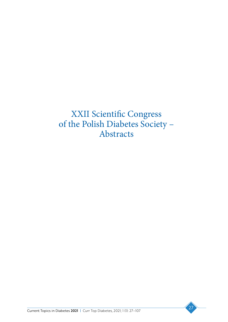XXII Scientific Congress of the Polish Diabetes Society – Abstracts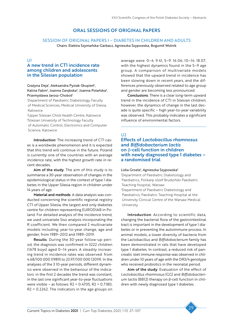# ORAL SESSIONS OF ORIGINAL PAPERS

### SESSION OF ORIGINAL PAPERS I – DIABETES IN CHILDREN AND ADULTS Chairs: Elektra Szymańska-Garbacz, Agnieszka Szypowska, Bogumił Wolnik

# U1

# A new trend in CT1 incidence rate among children and adolescents in the Silesian population

### Grażyna Deja<sup>1</sup>, Aleksandra Pyziak-Skupień<sup>1</sup>, Kalina Fabin<sup>2</sup>, Joanna Zarębska<sup>2</sup>, Joanna Polańska<sup>3</sup>, Przemysława Jarosz-Chobot<sup>1</sup>

1 Department of Paediatric Diabetology, Faculty of Medical Sciences, Medical University of Silesia, Katowice

2 Upper Silesian Child Health Centre, Katowice 3 Silesian University of Technology Faculty of Automatic Control, Electronics and Computer Science, Katowice

Introduction: The increasing trend of CT1 cases is a worldwide phenomenon and it is expected that this trend will continue in the future. Poland is currently one of the countries with an average incidence rate, with the highest growth rate in recent decades.

Aim of the study: The aim of this study is to summarise a 30-year observation of changes in the epidemiological status in the context of type 1 diabetes in the Upper Silesia region in children under 14 years of age.

Material and methods: A data analysis was conducted concerning the scientific regional registry CT1 of Upper Silesia, the largest and only diabetes centre for children representing EURODIAB in Poland. For detailed analysis of the incidence trend, we used univariate Siso analysis incorporating the R coefficient. We then compared 2 multivariate models including: year-to-year change, age and gender; from 1989–2012 and 1989–2019.

Results: During the 30-year follow-up period, the diagnosis was confirmed in 3222 children (1678 boys) aged 0–14 years. A steadily increasing trend in incidence rates was observed: from 4.68/100 000 (1989) to 23.97/100 000 (2019). In the analyses of the 3 10-year periods, different dynamics were observed in the behaviour of the indicators: in the first 2 decades the trend was constant, in the last one significant year-to-year fluctuations were visible – as follows: R2 = 0.4705, R2 = 0.7180; R2 = 0.2262. The indicators in the age groups on

average were: 0–4: 9.41, 5–9: 16.06, 10–14: 18.07; with the highest dynamics found in the 5–9 age group. A comparison of multivariate models showed that the upward trend in incidence has been slowing down in recent years, and the differences previously observed related to age group and gender are becoming less pronounced.

Conclusions: There is a clear long-term upward trend in the incidence of CT1 in Silesian children; however, the dynamics of change in the last decade is quite specific – high year-to-year variability was observed. This probably indicates a significant influence of environmental factors.

# $U2$

# Effects of *Lactobacillus rhamnosus* and *Biffidobacterium lactis* on β-cell function in children with newly diagnosed type 1 diabetes – a randomised trial

#### Lidia Groele<sup>1</sup>, Agnieszka Szypowska<sup>2</sup>

1 Department of Paediatric Diabetology and Paediatrics, Polikarp Józef Brudziński Paediatric Teaching Hospital, Warsaw 2 Department of Paediatric Diabetology and Paediatrics, Paediatric Teaching Hospital at the University Clinical Centre of the Warsaw Medical University

Introduction: According to scientific data, changing the bacterial flora of the gastrointestinal tract is important in the development of type 1 diabetes or in preventing the autoimmune process. In animal models, a lower diversity of bacteria from the Lactobacillus and *Biffidobacterium* family has been demonstrated in rats that have developed type 1 diabetes. In contrast, a reduced risk of pancreatic islet immune response was observed in children under 10 years of age with the DR3/4 genotype who received probiotics in the neonatal period.

Aim of the study: Evaluation of the effect of *Lactobacillus rhamnosus* (GG) and *Biffidobacterium lactis* (BB12) therapy on β-cell function in children with newly diagnosed type 1 diabetes.

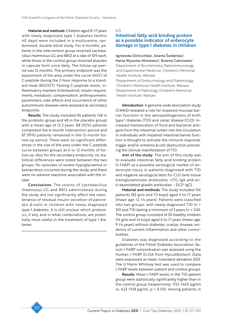Material and methods: Children aged 8-17 years with newly diagnosed type 1 diabetes (within 60 days) were included in a multicentre, randomised, double-blind study. For 6 months, patients in the intervention group received Lactobacillus rhamnosus GG and BB12 at a rate of 109 each, while those in the control group received placebo in capsule form once daily. The follow-up period was 12 months. The primary endpoint was the assessment of the area under the curve (AUC) of C-peptide during the 2-hour response to a standard meal (BOOST). Fasting C-peptide levels, inflammatory markers (interleukins), insulin requirements, metabolic compensation, anthropometric parameters, side effects and occurrence of other autoimmune diseases were assessed as secondary endpoints.

Results: The study included 96 patients (48 in the probiotic group and 48 in the placebo group) with a mean age of 12.3 years. 88 (92%) patients completed the 6-month intervention period and 87 (91%) patients remained in the 12-month follow-up period. There were no significant differences in the size of the area under the C-peptide curve between groups at 6 or 12 months of follow-up. Also for the secondary endpoints, no statistical differences were noted between the two groups. No episodes of severe hypoglycaemia or ketoacidosis occurred during the study, and there were no adverse reactions associated with the intake.

Conclusions: The strains of Lactobacillus rhamnosus GG and BB12 administered during the study did not significantly affect the maintenance of residual insulin secretion of pancreatic β-cells in children with newly diagnosed type 1 diabetes. It is still unclear which probiotics, if any, and in what combinations, are potentially most useful in the treatment of type 1 diabetes.

### $U<sub>3</sub>$

# Intestinal fatty acid binding protein as a possible indicator of enterocyte damage in type 1 diabetes in children

Agnieszka Ochocińska<sup>1</sup>, Jolanta Świderska<sup>2</sup>, Marta Wysocka-Mincewicz<sup>2</sup>, Bożena Cukrowska<sup>3</sup> 1 Department of Biochemistry, Radioimmunology and Experimental Medicine, Children's Memorial Health Institute, Warsaw 2 Department of Endocrinology and Diabetology, Children's Memorial Health Institute, Warsaw 3 Department of Pathology, Children's Memorial Health Institute, Warsaw

Introduction: A genome-wide association study (GWAS) revealed a role for impaired mucosal barrier function in the aetiopathogenesis of both type 1 diabetes (T1D) and celiac disease (CLD). Increased translocation of food and bacterial antigens from the intestinal lumen into the circulation in individuals with impaired intestinal barrier function is thought to activate the immune response, trigger and/or enhance β-cell destruction preceding the clinical manifestation of T1D.

Aim of the study: The aim of this study was to evaluate intestinal fatty acid binding protein (I-FABP) as a possible serological marker of enterocyte injury in patients diagnosed with T1D and negative serological tests for CLD (anti-tissue transglutaminase antibodies –tTG-IgA and anti-deamidated gliadin antibodies – DGP-IgG).

Material and methods: The study included 156 patients (83 girls and 73 boys) aged 6 to 17 years (mean age: 12 ±4 years). Patients were classified into two groups: with newly diagnosed T1D (*n* = 30) and T1D lasting a minimum of 3 years (*n* = 126). The control group consisted of 30 healthy children (14 girls and 16 boys) aged 6 to 17 years (mean age: 9 ±4 years) without diabetes, coeliac disease, evidence of current inflammation and other comorbidities.

Diabetes was diagnosed according to the guidelines of the Polish Diabetes Association. Serum I-FABP concentration was assessed using the Human I-FABP ELISA from HycultBiotech. Data were expressed as mean ±standard deviation (SD). The *U* Mann-Whitney test was used to compare I-FABP levels between patient and control groups.

Results: Mean I-FABP levels in the T1D patient group were statistically significantly higher than in the control group (respectively: 1153 ±665 pg/ml vs. 623 ±518 pg/ml, *p* < 0.05). Among patients in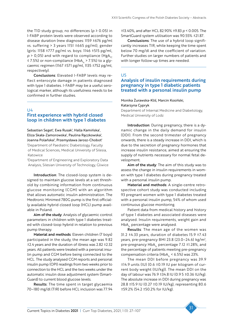the T1D study group, no differences (*p* ≥ 0.05) in I-FABP protein levels were observed according to disease duration (new diagnoses: 1159 ±676 pg/ml vs. suffering > 3 years 1151 ±665 pg/ml), gender (girls: 1158 ±777 pg/ml vs. boys: 1146 ±515 pg/ml,  $p > 0.05$ ) and with regard to compliance (HgA<sub>1C</sub>) ≤ 7.5%) or non-compliance (HbA<sub>1c</sub> > 7.5%) to a glycaemic regimen (1167 ±571 pg/ml, 1135 ±752 pg/ml, respectively).

Conclusions: Elevated I-FABP levels may reflect enterocyte damage in patients diagnosed with type 1 diabetes. I-FABP may be a useful serological marker, although its usefulness needs to be confirmed in further studies.

U4

# First experience with hybrid closed loop in children with type 1 diabetes

Sebastian Seget<sup>1</sup>, Ewa Rusak<sup>1</sup>, Halla Kamińska<sup>1</sup>, Eliza Skała-Zamorowska<sup>1</sup>, Paulina Rączkowska<sup>1</sup>, Joanna Polańska<sup>2</sup>, Przemysława Jarosz-Chobot<sup>1</sup> 1 Department of Paediatric Diabetology, Faculty of Medical Sciences, Medical University of Silesia, Katowice

2 Department of Engineering and Exploratory Data Analysis, Silesian University of Technology, Gliwice

Introduction: The closed-loop system is designed to maintain glucose levels at a set threshold by combining information from continuous glucose monitoring (CGM) with an algorithm that allows automatic insulin administration. The Medtronic Minimed 780G pump is the first officially available hybrid closed loop (HCL) pump available in Poland.

Aim of the study: Analysis of glycaemic control parameters in children with type 1 diabetes treated with closed-loop hybrid in relation to previous pump therapy.

Material and methods: Eleven children (7 boys) participated in the study, the mean age was 9.82 ±2.4 years and the duration of illness was 2.82 ±2.32 years. All patients were treated with a personal insulin pump and CGM before being connected to the HCL. The study analysed CGM reports and personal insulin pump (OPI) readings from two weeks prior to connection to the HCL and the two weeks under the automatic insulin dose adjustment system (Smart-Guard) to current blood glucose levels.

Results: The time spent in target glycaemia 70–180 mg/dl (TIR) before HCL inclusion was 77.94

±13.40%, and after HCL 82.90% ±9.83 *p* < 0.005. The SmartGuard system utilisation was 90.55% ±21.87.

Conclusions: The use of a hybrid loop significantly increases TIR, while keeping the time spent below 70 mg/dl and the coefficient of variation. Further studies on larger numbers of patients and with longer follow-up times are needed.

### U5

# Analysis of insulin requirements during pregnancy in type 1 diabetic patients treated with a personal insulin pump

Monika Żurawska-Kliś, Marcin Kosiński, Katarzyna Cypryk Department of Internal Medicine and Diabetology, Medical University of Lodz

Introduction: During pregnancy, there is a dynamic change in the daily demand for insulin (DDI). From the second trimester of pregnancy onwards, there is a steady increase in DDI, which is due to the secretion of pregnancy hormones that increase insulin resistance, aimed at ensuring the supply of nutrients necessary for normal fetal development.

Aim of the study: The aim of this study was to assess the change in insulin requirements in women with type 1 diabetes during pregnancy treated with a personal insulin pump.

Material and methods: A single-centre retrospective cohort study was conducted including 93 pregnant women with type 1 diabetes treated with a personal insulin pump, 54% of whom used continuous glucose monitoring.

Patient data from medical history and history of type 1 diabetes and associated diseases were analysed. Insulin requirements, weight gain and HbA<sub>1c</sub> percentage were analysed.

Results: The mean age of the women was 31.2  $\pm$ 4.33 years, duration of diabetes 15.9  $\pm$ 7.43 years, pre-pregnancy BMI 23.8 (23.0–24.6) kg/m2 , pre-pregnancy  $HbA_{1c}$  percentage 7.12  $\pm$ 1.28%, and the percentage of patients meeting pre-pregnancy compensation criteria (HbA<sub>1c</sub> < 6.5%) was 23%.

The mean DDI before pregnancy was 39.9 ±14.9 units (IU) (0.6 ±0.19 IU per kilogram of current body weight (IU/kg)). The mean DDI on the day of labour was 76.9 ±34.8 IU (0.9 5 ±0.36 IU/kg). The absolute increase in DDI during pregnancy was 28.8 ±15.9 IU (0.27 ±0.19 IU/kg), representing 80.6 ±59.2% (54.2 ±50.2% for IU/kg).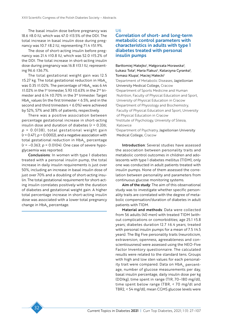The basal insulin dose before pregnancy was 18.6 ±8.0 IU, which was 47.0 ±13.5% of the DDI. The total increase in basal insulin dose during pregnancy was 10.7 ±8.2 IU, representing 71.4 ±51.9%.

The dose of short-acting insulin before pregnancy was 21.4 ±10.8 IU, which was 52.0 ±15.2% of the DDI. The total increase in short-acting insulin dose during pregnancy was 16.8 ±13.1 IU, representing 96.6 ±36.7%.

The total gestational weight gain was 12.5  $\pm$ 5.27 kg. The total gestational reduction in HbA<sub>1c</sub> was 0.35  $\pm$ 1.02%. The percentage of HbA<sub>1c</sub> was 6.44  $±1.02\%$  in the 1<sup>st</sup> trimester, 5.93  $±0.63\%$  in the 2<sup>nd</sup> trimester and 6.14 ±0.70% in the 3rd trimester. Target HbA<sub>1</sub> values (in the first trimester  $\leq$  6.5%, and in the second and third trimesters < 6.0%) were achieved by 52%, 57% and 38% of patients, respectively.

There was a positive association between percentage gestational increase in short-acting insulin dose and duration of diabetes (*r* = 0.336;  $p = 0.0138$ , total gestational weight gain (*r* = 0.471; *p* = 0.0002), and a negative association with total gestational reduction in HbA<sub>1c</sub> percentage (*r* = –0.363; *p* = 0.0104). One case of severe hypoglycaemia was reported.

Conclusions: In women with type 1 diabetes treated with a personal insulin pump, the total increase in daily insulin requirements is just over 50%, including an increase in basal insulin dose of just over 70% and a doubling of short-acting insulin. The total gestational requirement for short-acting insulin correlates positively with the duration of diabetes and gestational weight gain. A higher total percentage increase in short-acting insulin dose was associated with a lower total pregnancy change in  $HbA<sub>1c</sub>$  percentage.

U6

# Correlation of short- and long-term metabolic control parameters with characteristics in adults with type 1 diabetes treated with personal insulin pumps

Bartłomiej Matejko<sup>1</sup>, Małgorzata Morawska<sup>2</sup>, Łukasz Tota<sup>3</sup>, Maria Flakus<sup>4</sup>, Katarzyna Cyranka<sup>5</sup>, Tomasz Klupa<sup>i</sup>, Maciej Małecki<sup>i</sup>

1 Department of Metabolic Diseases, Jagiellonian University Medical College, Cracow 2 Department of Sports Medicine and Human Nutrition, Faculty of Physical Education and Sport, University of Physical Education in Cracow 3 Department of Physiology and Biochemistry, Faculty of Physical Education and Sport, University of Physical Education in Cracow

4 Institute of Psychology, University of Silesia, Katowice

5 Department of Psychiatry, Jagiellonian University Medical College, Cracow

Introduction: Several studies have assessed the association between personality traits and metabolic control outcomes in children and adolescents with type 1 diabetes mellitus (T1DM), only one was conducted in adult patients treated with insulin pumps. None of them assessed the correlation between personality and parameters from continuous glucose monitoring systems.

Aim of the study: The aim of this observational study was to investigate whether specific personality traits are correlated with the degree of metabolic compensation/duration of diabetes in adult patients with T1DM.

Material and methods: Data were collected from 56 adults (40 men) with treated T1DM (without complications or comorbidities; age 25.1 ±5.8 years; diabetes duration 12.7 ±6.4 years; treated with personal insulin pumps for a mean of 7.5 ±4.5 years). The Big Five personality traits (neuroticism, extraversion, openness, agreeableness and conscientiousness) were assessed using the NEO-Five Factor Inventory questionnaire. The calculated results were related to the standard tens. Groups with high and low sten values for each personality trait were compared. Data on HbA<sub>1c</sub> percentage, number of glucose measurements per day, basal insulin percentage, daily insulin dose per kg (DDIkg), time spent in range (TIR, 70–180 mg/dl), time spent below range (TBR, < 70 mg/dl and TBR2, < 54 mg/dl), mean CGMS glucose levels were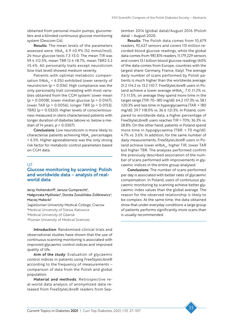obtained from personal insulin pumps, glucometers and a blinded continuous glucose monitoring system (Dexcom G4).

Results: The mean levels of the parameters assessed were:  $HbA<sub>1c</sub>$  6.9 ±0.9% (52 mmol/mol), 24-hour glucose tests 7.3 ±3.0. The mean TIR was 59.4 ±12.5%, mean TBR 12.4 ±8.7%, mean TBR2 5.2 ±5.4%. All personality traits except neuroticism (low trait level) showed medium severity.

Patients with optimal metabolic compensation (HbA<sub>1c</sub> < 6.5%) exhibited lower severity of neuroticism (*p* = 0.036). High compliance was the only personality trait correlating with most variables obtained from the CGM system: lower mean (*p* = 0.0008), lower median glucose (*p* = 0.0167), lower TAR (*p* = 0.0056), longer TBR (*p* = 0.0153), TBR2 (*p* = 0.0320). Higher levels of conscientiousness measured in stens characterised patients with longer duration of diabetes (above vs. below a median of 14 years; *p* = 0.0307).

Conclusions: Low neuroticism is more likely to characterise patients achieving  $HbA_{1c}$  percentages < 6.5%. Higher agreeableness was the only strong risk factor for metabolic control parameters based on CGM data.

#### U7

# Glucose monitoring by scanning: Polish and worldwide data – analysis of realworld data

Jerzy Hohendorff<sup>1</sup>, Janusz Gumprecht<sup>2</sup>,

Małgorzata Myśliwiec<sup>3</sup>, Dorota Zozulińska-Ziółkiewicz<sup>4</sup>, Maciei Małecki<sup>1</sup>

 Jagiellonian University Medical College, Cracow Medical University of Silesia, Katowice Medical University of Gdansk Poznan University of Medical Sciences

Introduction: Randomised clinical trials and observational studies have shown that the use of continuous scanning monitoring is associated with improved glycaemic control indices and improved quality of life.

Aim of the study: Evaluation of glycaemic control indices in patients using FreeStyleLibre® according to the frequency of measurements – comparison of data from the Polish and global population.

Material and methods: Retrospective real-world data analysis of anonymised data released from FreeStyleLibre® readers from September 2014 (global data)/August 2016 (Polish data) – August 2020.

Results: The Polish data comes from 10,679 readers, 92,627 sensors and covers 113 million recorded blood glucose readings, while the global data comes from 981,876 readers, 11,179,229 sensors and covers 13.1 billion blood glucose readings (60% of the data comes from Europe, countries with the largest share: Germany, France, Italy). The average daily number of scans performed by Polish patients is much higher than the worldwide average: 21.2 ±14.2 vs. 13.2 ±10.7. FreeStyleLibre® users in Poland achieve a lower average eHbA<sub>1c</sub>: 7.0  $\pm$ 1.2% vs. 7.5 ±1.5%, on average they spend more time in the target range (TIR: 70–180 mg/dl): 64.2 ±17.3% vs. 58.1 ±20.3% and less time in hyperglycaemia (TAR: > 180 mg/dl): 29.7 ±18.0% vs. 36.6 ±21.3%. In Poland, compared to worldwide data, a higher percentage of FreeStyleLibre® users reaches TIR > 70%: 36.3% vs. 28.8%. On the other hand, patients in Poland spend more time in hypoglycaemia (TBR: < 70 mg/dl): 4.7% vs. 3.6%. In addition, for the same number of daily measurements, FreeStyleLibre® users in Poland achieve lower eHbA $_{1c}$ , higher TIR, lower TAR but higher TBR. The analyses performed confirm the previously described association of the number of scans performed with improvements in glycaemic indices in the entire group analysed.

Conclusions: The number of scans performed per day is associated with better rates of glycaemic compensation. In Poland, users of continuous glycaemic monitoring by scanning achieve better glycaemic index values than the global average. The reason for the observed relationship is likely to be complex. At the same time, the data obtained show that under everyday conditions a large group of patients performs significantly more scans than is usually recommended.

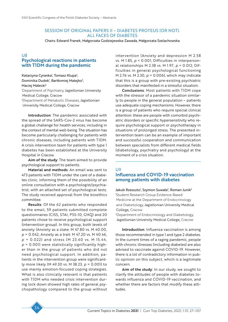### SESSION OF ORIGINAL PAPERS II – DIABETES PROTEUS (OR NOT). ALL FACES OF DIABETES

Chairs: Edward Franek, Małgorzata Godziejewska-Zawada, Małgorzata Szelachowska

### U8 Psychological reactions in patients with T1DM during the pandemic

Katarzyna Cyranka', Tomasz Klupa<sup>2</sup>, Dominika Dudek<sup>1</sup>, Bartłomiej Matejko<sup>2</sup>, Maciej Małecki2 1 Department of Psychiatry, Jagiellonian University Medical College, Cracow 2 Department of Metabolic Diseases, Jagiellonian

University Medical College, Cracow

Introduction: The pandemic associated with the spread of the SARS-Cov-2 virus has become a global challenge for health services, including in the context of mental well-being. The situation has become particularly challenging for patients with chronic diseases, including patients with T1DM. A crisis intervention team for patients with type 1 diabetes has been established at the University Hospital in Cracow.

Aim of the study: The team aimed to provide psychological support to patients.

Material and methods: An email was sent to 473 patients with T1DM under the care of a diabetes clinic, informing them of the possibility of an online consultation with a psychologist/psychiatrist, with an attached set of psychological tests. The study received approval from the bioethics committee.

Results: Of the 62 patients who responded to the email, 59 patients submitted complete questionnaires (CISS, STAI, PSS-10, GHQ) and 20 patients chose to receive psychological support (intervention group). In this group, both levels of anxiety (Anxiety as a state: M 47.80 vs. M 40.00, *p* = 0.042; Anxiety as a trait: M 47.20 vs. M 40.46, *p* = 0.022) and stress (M 23.60 vs. M 15.44, *p* = 0.001) were statistically significantly higher than in the group of patients who did not need psychological support. In addition, patients in the intervention group were significantly more likely (M 49.30 vs. M 38.23, *p* = 0.001) to use mainly emotion-focused coping strategies. What is also clinically relevant is that patients with T1DM who needed crisis intervention during lock down showed high rates of general psychopathology compared to the group without intervention (Anxiety and depression M 2.58 vs. M 1.85, *p* < 0.001; Difficulties in interpersonal relationships M 2.38 vs. M 1.97, *p* = 0.012; Difficulties in general psychological functioning M 2.76 vs. M 2.30, *p* = 0.006), which may indicate that this is a group with pre-existing psychiatric disorders that manifested in a stressful situation.

Conclusions: Most patients with T1DM cope with the stressor of a pandemic situation similarly to people in the general population – patients use adequate coping mechanisms. However, there is a group of patients who require special clinical attention: these are people with comorbid psychiatric disorders or specific hypersensitivity who require psychological support or psychotherapy in situations of prolonged stress. The presented intervention team can be an example of important and successful cooperation and communication between specialists from different medical fields (diabetology, psychiatry and psychology) at the moment of a crisis situation.

# **U9** Influenza and COVID-19 vaccination among patients with diabetes

Jakub Rzeszuto<sup>1</sup>, Szymon Suwała<sup>2</sup>, Roman Junik<sup>2</sup> 1 Student Research Group Evidence-Based Medicine at the Department of Endocrinology and Diabetology, Jagiellonian University Medical College, Cracow

2 Department of Endocrinology and Diabetology, Jagiellonian University Medical College, Cracow

Introduction: Influenza vaccination is among those recommended in type 1 and type 2 diabetes. In the current times of a raging pandemic, people with chronic illnesses (including diabetes) are also advised to vaccinate against COVID-19. However, there is a lot of contradictory information in public opinion on this subject, which is a legitimate concern.

Aim of the study: In our study, we sought to clarify the attitudes of people with diabetes towards influenza and COVID-19 vaccination, and whether there are factors that modify these attitudes.

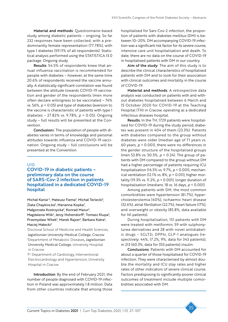Material and methods: Questionnaire-based study among diabetic patients – ongoing. So far 232 responses have been collected, with a predominantly female representation (77.78%), with type 1 diabetes (59.11% of all respondents). Statistical analysis performed using the STATISTICA 13.0 package. Ongoing study.

Results: 54.5% of respondents knew that annual influenza vaccination is recommended for people with diabetes – however, at the same time 20.6% of respondents received the vaccine annually. A statistically significant correlation was found between the attitude towards COVID-19 vaccination and gender of the respondents (men more often declare willingness to be vaccinated – 74% vs. 56%, *p* = 0.05) and type of diabetes (aversion to the vaccine is characteristic of patients with type 1 diabetes – 27.82% vs. 9.78%, *p* = 0.05). Ongoing study – full results will be presented at the Convention.

Conclusions: The population of people with diabetes varies in terms of knowledge and personal attitudes towards influenza and COVID-19 vaccination. Ongoing study – full conclusions will be presented at the Convention.

#### U10

COVID-19 in diabetic patients – preliminary data on the course of SARS-Cov-2 infection in patients hospitalized in a dedicated COVID-19 hospital

Michał Kania<sup>1,2</sup>, Mateusz Fiema<sup>2</sup>, Michał Terlecki<sup>3</sup>, Zlata Chaykivs.ka<sup>2</sup>, Marianna Kopka<sup>2</sup>, Małgorzata Kostrzycka<sup>2</sup>, Konrad Mazur<sup>2</sup>, Magdalena Wilk<sup>2</sup>, Jerzy Hohendorff<sup>2</sup>, Tomasz Klupa<sup>2</sup>, Przemysław Witek<sup>2</sup>, Marek Rajzer<sup>3</sup>, Barbara Katra<sup>2</sup>, Maciej Małecki2

1 Doctoral School of Medicine and Health Sciences, Jagiellonian University Medical College, Cracow 2 Department of Metabolic Diseases, Jagiellonian University Medical College, University Hospital in Cracow

<sup>3</sup><sup>1st</sup> Department of Cardiology, Interventional Electrocardiology and Hypertension, University Hospital in Cracow

Introduction: By the end of February 2021, the number of people diagnosed with COVID-19 infection in Poland was approximately 1.8 million. Data from other countries indicate that among those

hospitalised for Sars-Cov-2 infection, the proportion of patients with diabetes mellitus (DM) is between 10–20%. DM accompanying COVID-19 infection was a significant risk factor for its severe course, intensive care unit hospitalisation and death. To date, there are no data on the course of COVID-19 in hospitalised patients with DM in our country.

Aim of the study: The aim of this study is to describe the clinical characteristics of hospitalised patients with DM and to look for their association with clinical outcomes and mortality in the course of COVID-19.

Material and methods: A retrospective data analysis was conducted on patients with and without diabetes hospitalised between 6 March and 15 October 2020 for COVID-19 at the Teaching Hospital (TH) in Cracow, operating as a dedicated infectious diseases hospital.

Results: In the TH, 1729 patients were hospitalised for COVID-19 during the study period; diabetes was present in 404 of them (23.3%). Patients with diabetes compared to the group without diabetes were older (median age of 71 years vs. 60 years, *p* < 0.001), there were no differences in the gender structure of the hospitalised groups (men 53.8% vs. 50.5%, *p* = 0.24). The group of patients with DM compared to the group without DM had a higher percentage of patients requiring ICU hospitalisation (16.5% vs. 9.7%, *p* < 0.001), mechanical ventilation (12.1% vs. 8%, *p* = 0.011), higher mortality (19.3% vs. 11.2%, *p* < 0.001), longer duration of hospitalisation (medians: 18 vs. 16 days, *p* < 0.001).

Among patients with DM, the most common comorbidities were hypertension (81.7%), hypercholesterolemia (40%), ischaemic heart disease (32.6%), atrial fibrillation (22.7%), heart failure (17%), and overweight or obesity (85.8%, data available for 141 patients).

During hospitalisation, 151 patients with DM were treated with metformin, 59 with sulphonylurea derivatives and 28 with novel antidiabetic drugs – SGLT2i, DPP4i, GLP-1 analogues (respectively: 44%, 17.2%, 9%, data for 343 patients), in 213 (60.3%, data for 353 patients) insulin.

Conclusions: Patients with DM accounted for about a quarter of those hospitalised for COVID-19 infection. They were characterised by almost double the mortality and ICU stay rates and higher rates of other indicators of severe clinical course. Factors predisposing to significantly poorer clinical outcomes of treatment include multiple comorbidities associated with DM.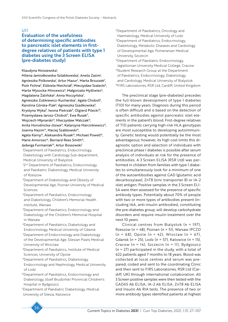### U11

# Evaluation of the usefulness of determining specific antibodies to pancreatic islet elements in firstdegree relatives of patients with type 1 diabetes using the 3 Screen ELISA (pre-diabetes study)

#### Klaudyna Noiszewska<sup>1</sup>,

Milena Jamiołkowska-Sztabkowska<sup>1</sup>, Aneta Zasim<sup>1</sup>, Agnieszka Polkowska<sup>i</sup>, Artur Mazur<sup>2</sup>, Marta Brzuszek<sup>2</sup>, Piotr Fichna<sup>3</sup>, Elżbieta Niechciał<sup>3</sup>, Mieczysław Szalecki<sup>4</sup>, Marta Wysocka-Mincewicz<sup>5</sup>, Małgorzata Myśliwiec<sup>6</sup>, Magdalena Żalińska<sup>6</sup>, Anna Noczyńska<sup>7</sup>, Agnieszka Zubkiewicz-Kucharska<sup>7</sup>, Agata Chobot<sup>8</sup>, Karolina Górska-Flak<sup>8</sup>, Agnieszka Szadkowska<sup>9</sup>, Krystyna Wyka<sup>9</sup>, Iwona Pietrzak<sup>9</sup>, Olgierd Pilecki<sup>10</sup>, Przemysława Jarosz-Chobot<sup>11</sup>, Ewa Rusak<sup>11</sup>, Wojciech Młynarski<sup>12</sup>, Mieczysław Walczak<sup>13</sup>,

Anita Horodnicka-Józwa<sup>13</sup>, Katarzyna Marcinkiewicz<sup>13</sup>, Joanna Nazim<sup>14</sup>, Maciej Szabłowski<sup>15</sup>,

Agata Karny<sup>15</sup>, Aleksandra Rusak<sup>15</sup>, Michael Powell<sup>16</sup>, Marie Amoroso<sup>16</sup>, Bernard Rees Smith<sup>16</sup>,

#### Jadwiga Furmaniak<sup>16</sup>, Artur Bossowski<sup>1</sup>

1 Department of Paediatrics, Endocrinology, Diabetology with Cardiology Sub-department, Medical University of Bialystok

- <sup>22nd</sup> Department of Paediatrics, Endocrinology and Paediatric Diabetology, Medical University of Rzeszow
- 3 Department of Diabetology and Obesity of Developmental Age, Poznan University of Medical Sciences
- 4 Department of Paediatrics, Endocrinology and Diabetology, Children's Memorial Health Institute, Warsaw
- 5 Department of Paediatrics, Endocrinology and Diabetology of the Children's Memorial Hospital in Warsaw
- 6Department of Paediatrics, Diabetology and Endocrinology, Medical University of Gdansk 7 Department of Endocrinology and Diabetology of the Developmental Age, Silesian Piasts Medical University of Wroclaw

8 Department of Paediatrics, Institute of Medical Sciences, University of Opole

9 Department of Paediatrics, Diabetology, Endocrinology and Nephrology, Medical University of Lodz

10Department of Paediatrics, Endocrinology and Diabetology, Józef Brudziński Provincial Children's Hospital in Bydgoszcz

11Department of Paediatric Diabetology, Medical University of Silesia, Katowice

- <sup>12</sup>Department of Paediatrics, Oncology and Haematology, Medical University of Lodz
- <sup>13</sup>Department of Paediatrics, Endocrinology, Diabetology, Metabolic Diseases and Cardiology of Developmental Age, Pomeranian Medical University, Szczecin
- <sup>14</sup>Department of Paediatric Endocrinology, Jagiellonian University Medical College, Cracow
- <sup>15</sup>Student Research Group at the Department of Paediatrics, Endocrinology, Diabetology and Cardiology, Medical University of Bialystok
- 16FIRS Laboratories, RSR Ltd, Cardiff, United Kingdom

The preclinical stage (pre-diabetes) precedes the full-blown development of type 1 diabetes (T1D) for many years. Diagnosis during this period is often difficult and is based on the detection of specific antibodies against pancreatic islet elements in the patient's blood. First-degree relatives of T1D patients carrying high-risk HLA genotypes are most susceptible to developing autoimmunity. Genetic testing would potentially be the most advantageous; however, its high cost limits this diagnostic option and selection of individuals with preclinical phase I diabetes is possible after serum analysis of individuals at risk for the presence of antibodies. A 3 Screen ELISA (RSR Ltd) was performed in children from families with type 1 diabetes to simultaneously look for a minimum of one of the autoantibodies against GAD (glutamic acid decarboxylase), ZnT8 (zinc transporter 8) or IA-2 islet antigen. Positive samples in the 3 Screen ELI-SA were then assessed for the presence of specific antibody types. Potentially about 70% of people with two or more types of antibodies present (including IAA, anti-insulin antibodies), constituting the pre-diabetes group, will develop carbohydrate disorders and require insulin treatment over the next 10 years.

Clinical centres from Bialystok (*n* = 197), Rzeszow (*n* = 48), Poznan (*n* = 51), Warsaw IPCZD (*n* = 68), Opole (*n* = 42), Wroclaw (*n* = 67), Gdansk (*n* = 25), Lodz (*n* = 57), Katowice (*n* = 15), Cracow (*n* = 14), Szczecin (*n* = 11), Bydgoszcz (*n* = 27) participated in the study, with a total of 622 patients aged 7 months to 18 years. Blood was collected at local centres and serum was prepared, coded and sent to the coordinating Clinic and then sent to FIRS Laboratories, RSR Ltd (Cardiff, UK) through international collaboration. All 3 Screen positive samples were then tested with the GAD65 Ab ELISA, IA-2 Ab ELISA, ZnT8 Ab ELISA and Insulin Ab RIA tests. The presence of two or more antibody types identified patients at highest

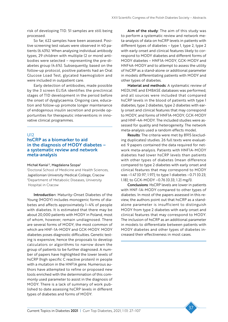risk of developing T1D. 51 samples are still being processed.

So far, 622 samples have been assessed. Positive screening test values were observed in 40 patients (6.43%). When analysing individual antibody types, 29 children with multiple (2 or more) antibodies were selected – representing the pre-diabetes group (4.6%). Subsequently, based on the follow-up protocol, positive patients had an Oral Glucose Load Test, glycated haemoglobin and were included in outpatient care.

Early detection of antibodies, made possible by the 3 screen ELISA identifies the preclinical stages of T1D development in the period before the onset of dysglycaemia. Ongoing care, education and follow-up promote longer maintenance of endogenous insulin secretion and provide opportunities for therapeutic interventions in innovative clinical programmes.

# $U12$

# hsCRP as a biomarker to aid in the diagnosis of MODY diabetes – a systematic review and network meta-analysis

#### Michał Kania<sup>1,2</sup>, Magdalena Szopa<sup>2</sup>

1 Doctoral School of Medicine and Health Sciences, Jagiellonian University Medical College, Cracow 2 Department of Metabolic Diseases, University Hospital in Cracow

Introduction: Maturity-Onset Diabetes of the Young (MODY) includes monogenic forms of diabetes and affects approximately 1–4% of people with diabetes. It is estimated that there may be about 20,000 patients with MODY in Poland, most of whom, however, remain undiagnosed. There are several forms of MODY, the most common of which are HNF-1A-MODY and GCK-MODY. MODY diabetes poses diagnostic difficulties. Genetic testing is expensive, hence the proposals to develop calculators or algorithms to narrow down the group of patients to be further diagnosed. A number of papers have highlighted the lower levels of hsCRP (high specific C reactive protein) in people with a mutation in the HNF1A gene. Numerous authors have attempted to refine or proposed new tools enriched with the determination of this commonly used parameter to assist in the diagnosis of MODY. There is a lack of summary of work published to date assessing hsCRP levels in different types of diabetes and forms of MODY.

Aim of the study: The aim of this study was to perform a systematic review and network meta-analysis of data on hsCRP levels in patients with different types of diabetes – type 1, type 2, type 2 with early onset and clinical features likely to correspond to MODY diabetes and different forms of MODY diabetes – HNF1A-MODY, GCK-MODY and HNF4A-MODY and to attempt to assess the utility of hsCRP as a stand-alone or additional parameter in models differentiating patients with MODY and other types of diabetes.

Material and methods: A systematic review of MEDLINE and EMBASE databases was performed, and all sources were included that compared hsCRP levels in the blood of patients with type 1 diabetes, type 2 diabetes, type 2 diabetes with early onset and clinical features that may correspond to MODY, and forms of HNF1A-MODY, GCK-MODY and HNF-4A-MODY. The included studies were assessed for quality and heterogeneity. The network meta-analysis used a random effects model.

Results: The criteria were met by 8915 (excluding duplicates) studies. 26 full texts were evaluated. 9 papers contained the data required for network meta-analysis. Patients with HNF1A-MODY diabetes had lower hsCRP levels than patients with other types of diabetes (mean difference compared to type 2 diabetes with early onset and clinical features that may correspond to MODY was –1.47 [0.97; 1.97]; to type 1 diabetes –0.71 [0.23; 1.18]; to GCK-MODY –0.76 [0.33; 1.2] mg/l).

Conclusions: HsCRP levels are lower in patients with HNF-1A-MODY compared to other types of diabetes. In most of the papers assessed in this review, the authors point out that hsCRP as a standalone parameter is insufficient to distinguish MODY from type 2 diabetes with early onset and clinical features that may correspond to MODY. The inclusion of hsCRP as an additional parameter in models to differentiate between patients with MODY diabetes and other types of diabetes increased their effectiveness in most cases.

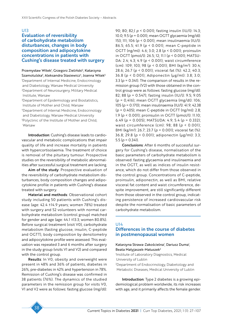# U13

# Evaluation of reversibility of carbohydrate metabolism disturbances, changes in body composition and adipocytokine concentrations in patients with Cushing's disease treated with surgery

Przemysław Witek<sup>i</sup>, Grzegorz Zieliński<sup>2</sup>, Katarzyna Szamotulska<sup>3</sup>, Aleksandra Stasiewicz<sup>4</sup>, Joanna Witek<sup>5</sup> 1 Department of Internal Medicine, Endocrinology and Diabetology, Warsaw Medical University

2 Department of Neurosurgery, Military Medical Institute, Warsaw

3 Department of Epidemiology and Biostatistics, Institute of Mother and Child, Warsaw 4 Department of Internal Medicine, Endocrinology and Diabetology, Warsaw Medical University 5 Polyclinic of the Institute of Mother and Child, Warsaw

Introduction: Cushing's disease leads to cardiovascular and metabolic complications that impair quality of life and increase mortality in patients with hypercortisolaemia. The treatment of choice is removal of the pituitary tumour. Prospective studies on the reversibility of metabolic abnormalities after successful surgical treatment are lacking.

Aim of the study: Prospective evaluation of the reversibility of carbohydrate metabolism disturbances, body composition changes and adipocytokine profile in patients with Cushing's disease treated with surgery.

Material and methods: Observational cohort study including 50 patients with Cushing's disease (age: 42.4 ±14.9 years; women 78%) treated with surgery and 52 volunteers with normal carbohydrate metabolism (control group) matched for gender and age (age:  $44.1 \pm 13.3$ ; women 80.8%). Before surgical treatment (visit V0), carbohydrate metabolism (fasting glucose, insulin, C-peptide and OGTT), body composition by densitometry and adipocytokine profile were assessed. This evaluation was repeated 3 and 6 months after surgery in the study group (visits V1 and V2) and compared with the control group.

Results: In V0, obesity and overweight were present in 48% and 36% of patients, diabetes in 26%, pre-diabetes in 42% and hypertension in 78%. Remission of Cushing's disease was confirmed in 38 patients (76%). The dynamics of the studied parameters in the remission group for visits V0, V1 and V2 were as follows: fasting glucose (mg/dl): 90; 80; 82;( *p* < 0.001); fasting insulin (IU/l): 14.3; 10.0; 9.5 (*p* = 0.001); mean OGTT glycaemia (mg/dl): 153; 111; 106 (*p* < 0.001); mean insulinaemia (IU/l): 86.5; 65.5; 41.9 (*p* < 0.001); mean C-peptide in OGTT (ng/ml): 4.6; 3.0; 2.8 (*p* < 0.001); proinsulin in OGTT (pmol/l): 26.5; 12; 11.1 (*p* < 0.001); MATSU-DA: 2.4; 4.3; 4.9 (*p* < 0.001); waist circumference (cm): 109; 103; 98 (*p* < 0.001); BMI (kg/m2 ): 30.4; 28.6; 26.7 (*p* < 0.001); visceral fat (%): 42.2; 40.3; 36.8 (*p* < 0.001); Adiponectin (µg/ml): 3.8; 3.0; 3.3 ( $p = 0.341$ ). The comparison of results in the remission group (V2) with those obtained in the control group were as follows: fasting glucose (mg/dl): 82; 88 (*p* = 0.547); fasting insulin (IU/l): 9.5; 9.05 (*p* = 0,416); mean OGTT glycaemia (mg/dl): 106; 105 (*p* = 0.170); mean insulinaemia (IU/l): 41.9; 42.38 (*p* = 0.405); mean C-peptide in OGTT (ng/ml): 2.8; 1.9 (*p* < 0.001); proinsulin in OGTT (pmol/l): 11.10; 6.49 (*p* = 0.005); MATSUDA: 4.9; 5.4 (*p* = 0.332); waist circumference (cm): 98; 88 (*p* < 0.001); BMI (kg/m2 ): 26.7; 23.7 (*p* = 0.001); visceral fat (%): 36.8; 29.8 (*p* < 0.001); adiponectin (µg/ml): 3.3; 5.5 (*p* = 0.341).

Conclusions: After 6 months of successful surgery for Cushing's disease, normalisation of the basic parameters of carbohydrate metabolism is observed: fasting glycaemia and insulinaemia and in the OGTT, as well as indices of insulin resistance, which do not differ from those observed in the control group. Concentrations of C-peptide, proinsulin, adiponectin, as well as BMI, relative visceral fat content and waist circumference, despite improvement, are still significantly different from those observed in the control group, indicating persistence of increased cardiovascular risk despite the normalisation of basic parameters of carbohydrate metabolism.

# U14 Differences in the course of diabetes in postmenopausal women

#### Katarzyna Strawa-Zakościelna<sup>1</sup>, Dariusz Duma<sup>1</sup>, Beata Matyjaszek-Matuszek2

1 Institute of Laboratory Diagnostics, Medical University of Lublin

2 Department of Endocrinology, Diabetology and Metabolic Diseases, Medical University of Lublin

Introduction: Type 2 diabetes is a growing epidemiological problem worldwide, its risk increases with age, and it primarily affects the female gender.

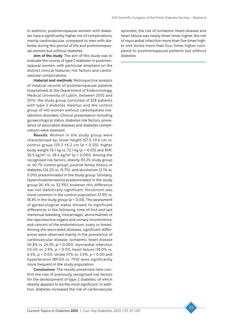In addition, postmenopausal women with diabetes have a significantly higher risk of complications, mainly cardiovascular, compared to men with diabetes during this period of life and postmenopausal women but without diabetes.

Aim of the study: The aim of this study was to evaluate the course of type 2 diabetes in postmenopausal women, with particular emphasis on the distinct clinical features, risk factors and cardiovascular complications.

Material and methods: Retrospective analysis of medical records of postmenopausal patients hospitalised at the Department of Endocrinology, Medical University of Lublin, between 2010 and 2014, the study group consisted of 328 patients with type 2 diabetes mellitus and the control group of 140 women without carbohydrate metabolism disorders. Clinical presentation including gynaecological status, diabetes risk factors, prevalence of associated diseases and diabetes complications were assessed.

Results: Women in the study group were characterised by: lower height 157.6 ±9.6 cm vs. control group 159.2 ±6.2 cm (*p* < 0.05), higher body weight 76.1 kg vs. 72.1 kg (*p* < 0.05) and BMI: 30.5 kg/m2 vs. 28.4 kg/m2 (*p* < 0.001). Among the recognised risk factors, obesity (51.2% study group vs. 40.7% control group), positive family history of diabetes (26.2% vs. 15.7%), and alcoholism (2.1% vs. 0.0%) predominated in the study group. Similarly, hypercholesterolemia predominated in the study group (61.6% vs. 52.9%); however, this difference was not statistically significant. Nicotinism was more common in the control population 27.9% vs. 18.3% in the study group (*p* < 0.05). The assessment of gynaecological status showed no significant differences in the following: time of first and last menstrual bleeding, miscarriages, abnormalities of the reproductive organs and urinary incontinence, and cancers of the endometrium, ovary or breast. Among the associated diseases, significant differences were observed mainly in the prevalence of cardiovascular disease. Ischaemic heart disease (41.8% vs. 24.3%, *p* < 0.001), myocardial infarction (13.4% vs. 2.9%, *p* < 0.01), heart failure (18.0% vs. 6.4%, *p* < 0.01), stroke (11% vs. 2.9%, *p* < 0.01) and hypertension (89.6% vs. 75%) were significantly more frequent in the study population.

Conclusions: The results presented here confirm the role of previously recognised risk factors for the development of type 2 diabetes, of which obesity appears to be the most significant. In addition, diabetes increased the risk of cardiovascular

episodes, the risk of ischaemic heart disease and heart failure was nearly three times higher, the risk of myocardial infarction more than five times higher and stroke more than four times higher compared to postmenopausal patients but without diabetes.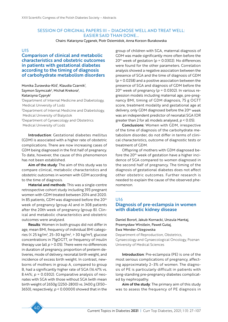### SESSION OF ORIGINAL PAPERS III – DIAGNOSE WELL AND TREAT WELL: EASIER SAID THAN DONE…

Chairs: Katarzyna Cyganek, Piotr Dziemidok, Anna Korzon-Burakowska

### U15

Comparison of clinical and metabolic characteristics and obstetric outcomes in patients with gestational diabetes according to the timing of diagnosis of carbohydrate metabolism disorders

Monika Zurawska-Kliś<sup>ı</sup>, Klaudia Czarnik<sup>ı</sup>, Szymon Szymczak<sup>2</sup>, Michał Krekora<sup>3</sup>, Katarzyna Cypryk<sup>1</sup> 1 Department of Internal Medicine and Diabetology, Medical University of Lodz

2 Department of Internal Medicine and Diabetology, Medical University of Bialystok

3 Department of Gynaecology and Obstetrics Medical University of Lodz

Introduction: Gestational diabetes mellitus (GDM) is associated with a higher rate of obstetric complications. There are now increasing cases of GDM being diagnosed in the first half of pregnancy. To date, however, the cause of this phenomenon has not been established.

Aim of the study: The aim of this study was to compare clinical, metabolic characteristics and obstetric outcomes in women with GDM according to the time of diagnosis.

Material and methods: This was a single-centre retrospective cohort study including 393 pregnant women with GDM treated between 2014 and 2020. In 85 patients, GDM was diagnosed before the 20<sup>th</sup> week of pregnancy (group A) and in 308 patients after the 20th week of pregnancy (group B). Clinical and metabolic characteristics and obstetric outcomes were analysed.

Results: Women in both groups did not differ in age, mean BMI, frequency of individual BMI categories (≤ 25 kg/m², 25–30 kg/m², > 30 kg/m²), glucose concentrations in 75gOGTT, or frequency of insulin therapy use (all *p* > 0.05). There were no differences in duration of pregnancy, proportion of preterm deliveries, mode of delivery, neonatal birth weight, and incidence of excess birth weight. In contrast, newborns of mothers in group A, compared to group B, had a significantly higher rate of SGA (16.47% vs. 8.44%; *p* = 0.0302). Comparative analysis of neonates with SGA with those without SGA (with mean birth weight of 2650g (2250-2800) vs. 3400 g (3150– 3650), respectively; *p* < 0.00001) showed that in the group of children with SGA, maternal diagnosis of GDM was made significantly more often before the  $20<sup>th</sup>$  week of gestation ( $p = 0.0302$ ). No differences were found for the other parameters. Correlation analysis showed a negative association between the presence of SGA and the time of diagnosis of GDM (*p* = 0.0258) and a positive association between the presence of SGA and diagnosis of GDM before the  $20<sup>th</sup>$  week of pregnancy ( $p = 0.0302$ ). In various regression models including maternal age, pre-pregnancy BMI, timing of GDM diagnosis, 75 g OGTT score, treatment modality and gestational age at delivery, only GDM diagnosed before the 20<sup>th</sup> week was an independent predictor of neonatal SGA (OR greater than 2 for all models analysed, *p* < 0.05).

Conclusions: Women with GDM, irrespective of the time of diagnosis of the carbohydrate metabolism disorder, do not differ in terms of clinical characteristics, outcome of diagnostic tests or treatment of GDM.

Offspring of mothers with GDM diagnosed before the  $20<sup>th</sup>$  week of gestation have a higher incidence of SGA compared to women diagnosed in the second half of pregnancy. The timing of the diagnosis of gestational diabetes does not affect other obstetric outcomes. Further research is needed to explain the cause of the observed phenomenon.

### U16

# Diagnosis of pre-eclampsia in women with diabetic kidney disease

Daniel Boroń, Jakub Kornacki, Urszula Mantaj, Przemysław Wirstlein, Paweł Gutaj, Ewa Wender-Ożegowska Department of Reproduction, Obstetrics,

Gynaecology and Gynaecological Oncology, Poznan University of Medical Sciences

Introduction: Pre-eclampsia (PE) is one of the most serious complications of pregnancy, affecting approximately 2–3% of women. The diagnosis of PE is particularly difficult in patients with long-standing pre-pregnancy diabetes complicated by nephropathy.

Aim of the study: The primary aim of this study was to assess the frequency of PE diagnosis in

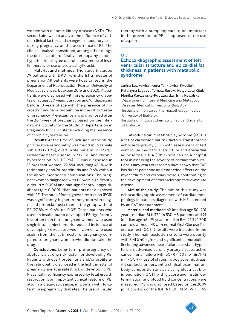women with diabetic kidney disease (DKD). The second aim was to analyse the influence of various clinical factors and changes in laboratory tests during pregnancy on the occurrence of PE. The clinical analysis considered, among other things, the presence of proliferative retinopathy, chronic hypertension, degree of proteinuria, mode of insulin therapy or use of acetylsalicylic acid.

Material and methods: The study included 79 patients with DKD from the 1st trimester of pregnancy. All patients were hospitalised in the Department of Reproduction, Poznan University of Medical Sciences, between 2016 and 2020. All patients were diagnosed with pre-pregnancy diabetes of at least 20 years' duration and/or diagnosed before 10 years of age with the presence of microalbuminuria or proteinuria in the 1st trimester of pregnancy. Pre-eclampsia was diagnosed after the 20th week of pregnancy based on the International Society for the Study of Hypertension in Pregnancy (ISSHP) criteria including the presence of chronic hypertension.

Results: At the time of inclusion in the study, proliferative retinopathy was found in 16 female subjects (20.2%), overt proteinuria in 10 (12.6%), ischaemic heart disease in 2 (2.5%) and chronic hypertension in 11 (13.9%). PE was diagnosed in 18 pregnant women (22.8%), including 48.1% with retinopathy and/or proteinuria and 9.6% without the above-mentioned complications. The pregnant women diagnosed with PE were significantly older (*p* = 0.004) and had significantly longer diabetes ( $p = 0.0001$ ) than patients not diagnosed with PE. The rate of foetal growth restriction (FGR) was significantly higher in the group with diagnosed pre-eclampsia than in the group without PE (27.8% vs. 0.6%, *p* < 0.05). Those patients who used an insulin pump developed PE significantly less often than those pregnant women who used single insulin injections. No reduced incidence of developing PE was observed in women who used aspirin from the 1st trimester of pregnancy compared to pregnant women who did not take the drug.

Conclusions: Long-term pre-pregnancy diabetes is a strong risk factor for developing PE. Patients with overt proteinuria and/or proliferative retinopathy diagnosed in the first trimester of pregnancy are at greatest risk of developing PE. Placental insufficiency expressed by fetal growth restriction is an important clinical feature of PE, also in a diagnostic sense, in women with longterm pre-pregnancy diabetes. The use of insulin

therapy with a pump appears to be important in the prevention of PE, as opposed to the use of aspirin.

### U17

# Echocardiographic assessment of left ventricular structure and epicardial fat thickness in patients with metabolic syndrome

Janina Lewkowicz<sup>i</sup>, Anna Tankiewicz-Kwedlo<sup>2</sup>, Katarzyna Łagoda<sup>,</sup> Tomasz Rusak<sup>3</sup>, Małgorzata Kiluk<sup>1</sup>, Monika Karczewska-Kupczewska<sup>1</sup>, Irina Kowalska<sup>1</sup> 1 Department of Internal Medicine and Metabolic Diseases, Medical University of Bialystok 2 Institute of Monitored Pharmacotherapy, Medical University of Bialystok

3 Institute of Physical Chemistry, Medical University of Bialystok

Introduction: Metabolic syndrome (MS) is a set of cardiovascular risk factors. Transthoracic echocardiography (TTE) with assessment of left ventricular myocardial structure and epicardial adipose tissue (EAT) thickness can be a helpful tool in assessing the severity of cardiac complications. Many years of research have shown that EAT has direct paracrine and endocrine effects on the myocardium and coronary vessels, contributing to the development of atherosclerotic cardiovascular disease.

Aim of the study: The aim of this study was echocardiographic assessment of cardiac morphology in patients diagnosed with MS extended by an EAT measurement.

Material and methods: 42 (median age 50 (20) years, median BMI 32.1 (6.53)) MS patients and 21 (median age 46 [19] years, median BMI 27.3 [4.70]) controls without MS with normal Oral Glucose Tolerance Test (OGTT) results were included in the study. The main exclusion criteria were obesity with BMI ≥ 40 kg/m<sup>2</sup> and significant comorbidities (including advanced heart failure, resistant hypertension, advanced coronary artery disease, active cancer, renal failure with eGFR < 60 ml/min/1.73 m<sup>2</sup>, POCHP), use of statins, hypoglycaemic drugs. All subjects underwent a clinical examination, body composition analysis using electrical bioimpednation, OGTT with glucose and insulin determination, and blood lipid concentrations were measured. MS was diagnosed based on the 2009 joint position of the IDF, NHLBI, AHA, WHF, IAS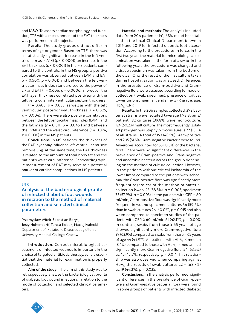and IASO. To assess cardiac morphology and function, TTE with a measurement of the EAT thickness was performed in all subjects.

Results: The study groups did not differ in terms of age or gender. Based on TTE, there was a statistically significant increase in the left ventricular mass (LVM) (*p* < 0.0001), an increase in the EAT thickness (*p* < 0.0001) in the MS patients compared to the controls. In the MS group, a positive correlation was observed between LVM and EAT (*r* = 0.500, *p* = 0.001) and between the left ventricular mass index standardised to the power of 2.7 and EAT (*r* = 0.606, *p* = 0.0006), moreover, the EAT layer thickness correlated positively with the left ventricular interventricular septum thickness

(*r* = 0.403, *p* = 0.033, as well as with the left ventricular posterior wall thickness (*r* = 0.525, *p* = 0.004). There were also positive correlations between the left ventricular mass index (LVMI) and the fat mass  $(r = 0.311, p = 0.045)$  and between the LVMI and the waist circumference (*r* = 0.324, *p* = 0.036) in the MS patients.

Conclusions: In MS patients, the thickness of the EAT layer may influence left ventricular muscle remodelling. At the same time, the EAT thickness is related to the amount of total body fat and the patient's waist circumference. Echocardiographic measurement of EAT may serve as a potential marker of cardiac complications in MS patients.

### U18

# Analysis of the bacteriological profile of infected diabetic foot wounds in relation to the method of material collection and selected clinical parameters

Przemysław Witek, Sebastian Borys,

Jerzy Hohendorff, Teresa Koblik, Maciej Małecki Department of Metabolic Diseases, Jagiellonian University Medical College, Cracow

Introduction: Correct microbiological assessment of infected wounds is important in the choice of targeted antibiotic therapy, so it is essential that the material for examination is properly collected.

Aim of the study: The aim of this study was to retrospectively analyse the bacteriological profile of diabetic foot wound infections in relation to the mode of collection and selected clinical parameters.

Material and methods: The analysis included data from 206 patients (141, 68% male) hospitalised in the local Clinical Department between 2016 and 2019 for infected diabetic foot ulceration. According to the procedures in force, in the first two years the material for microbiological examination was taken in the form of a swab, in the following years the procedure was changed and a tissue specimen was taken from the bottom of the ulcer. Only the result of the first culture taken during hospitalisation was analysed. Differences in the prevalence of Gram-positive and Gramnegative flora were assessed according to mode of collection ( swab, specimen), presence of critical lower limb ischaemia, gender, e-GFR grade, age,  $HbA_{1c}$ , CRP.

Results: In the 206 samples collected, 398 bacterial strains were isolated (average 1.93 strains/ patient). 82 cultures (39.8%) were monoculture, 124 (60.2%) multiculture. The most frequently isolated pathogen was Staphylococcus aureus 72 (18.1% of all strains). A total of 193 (48.5%) Gram-positive and 205 (51.5%) Gram-negative bacteria were found. Anaerobes accounted for 55 (13.8%) of the bacterial flora. There were no significant differences in the prevalence of Gram-positive and Gram-negative and anaerobic bacteria across the group depending on the method of culture collection. However, in the patients without critical ischaemia of the lower limbs compared to the patients with ischaemia, the Gram-positive flora was significantly more frequent regardless of the method of material collection (swab: 48 (58.5%), *p* = 0.005; specimen: 73 (57.9%), *p* = 0.003). In the patients with GFR < 60 ml/min, Gram-positive flora was significantly more frequent in wound specimen cultures 56 (59.6%) than in swab cultures 26 (40.0%),  $p = 0.015$  and also when compared to specimen studies of the patients with GFR ≥ 60 ml/min 61 (42.1%), *p* = 0.008. In contrast, swabs from those  $\geq$  65 years of age showed significantly more Gram-negative flora 39 (63.9%) compared to swabs from those < 65 years of age 44 (44.9%). All patients with  $HbA<sub>1c</sub>$  < median (8.4%) compared to those with  $HbA<sub>1c</sub>$  > median had significantly more Gram-negative flora, 54 (63.5%) vs. 45 (45.5%), respectively; *p* = 0.014. This relationship was also observed when comparing against HbA<sub>1c</sub> the results of swab cultures 22 – (68.7%) vs. 19 (44.2%); *p* = 0.035.

Conclusions: In the analysis performed, significant differences in the prevalence of Gram-positive and Gram-negative bacterial flora were found in some groups of patients with infected diabetic

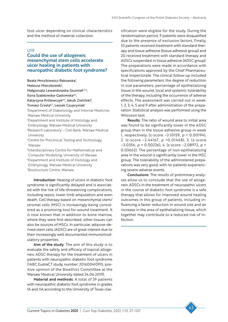foot ulcer depending on clinical characteristics and the method of material collection.

#### U19

# Could the use of allogeneic mesenchymal stem cells accelerate ulcer healing in patients with neuropathic diabetic foot syndrome?

Beata Mrozikiewicz-Rakowska<sup>1</sup>,

Mateusz Mieczkowski<sup>1</sup>,

Małgorzata Lewandowska-Szumieł<sup>2,3,4</sup>,

Ilona Szabłowska-Gadomska3,4,

Katarzyna Królewczyk<sup>3,4</sup>, Jakub Zieliński<sup>5</sup>,

Tomasz Grzela<sup>6,7</sup>, Leszek Czupryniak<sup>1</sup>

1 Department of Diabetology and Internal Medicine, Warsaw Medical University

2 Department and Institute of Histology and

Embryology, Warsaw Medical University

3 Research Laboratory – Cell Bank, Warsaw Medical University

- 4 Centre for Preclinical Testing and Technology, Warsaw
- 5 Interdisciplinary Centre for Mathematical and Computer Modelling, University of Warsaw

6Department and Institute of Histology and

Embryology, Warsaw Medical University

7 Biostructure Centre, Warsaw

Introduction: Healing of ulcers in diabetic foot syndrome is significantly delayed and is associated with the risk of life-threatening complications, including sepsis, lower limb amputation and even death. Cell therapy based on mesenchymal stem/ stromal cells (MSC) is increasingly being considered as a promising tool for wound treatment. It is now known that in addition to bone marrow, where they were first described, other tissues can also be sources of MSCs. In particular, adipose-derived stem cells (ADSC) are of great interest due to their increasingly well documented immunomodulatory properties.

Aim of the study: The aim of this study is to evaluate the safety and efficacy of topical allogeneic ADSC therapy for the treatment of ulcers in patients with neuropathic diabetic foot syndrome (1ABC EudraCT study, number: 201600410915, positive opinion of the Bioethics Committee at the Warsaw Medical University dated 24.06.2019).

Material and methods: A total of 39 patients with neuropathic diabetic foot syndrome in grades IA and IIA according to the University of Texas classification were eligible for the study. During the randomisation period, 9 patients were disqualified due to the presence of exclusion factors. Finally, 10 patients received treatment with standard therapy and tissue adhesive (tissue adhesive group) and 20 received treatment with standard therapy and ADSCs suspended in tissue adhesive (ADSC group). The preparations were made in accordance with specifications approved by the Chief Pharmaceutical Inspectorate. The clinical follow-up included the following parameters: the degree of reduction in size parameters, percentage of epithelializing tissue in the wound, local and systemic tolerability of the therapy, including the occurrence of adverse effects. The assessment was carried out in week: 1, 2, 3, 4, 5 and 9 after administration of the preparation. Statistical analysis was performed using the Wilcoxon test.

Results: The ratio of wound area to initial area was found to be significantly lower in the ADSC group than in the tissue adhesive group in week 1, respectively. (z-score –3.10159, *p* = 0.00194), 2. (z-score –2.44167, *p* =0.01468), 3. (z-score –3.0356, *p* = 0.00236), 4. (z-score –2.08972, *p* = 0.03662). The percentage of non-epithelializing area in the wound is significantly lower in the MSC group. The tolerability of the administered preparations was very good, with no patients experiencing severe adverse events.

Conclusions: The results of preliminary analyses allow us to conclude that the use of allogeneic ADSCs in the treatment of neuropathic ulcers in the course of diabetic foot syndrome is a safe therapy that allows for improved wound healing outcomes in this group of patients, including influencing a faster reduction in wound size and an increase in the area of epithelializing tissue, which together may contribute to a reduced risk of infection.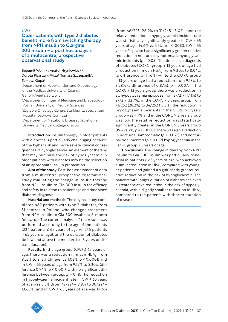### U20

# Older patients with type 2 diabetes benefit more from switching therapy from NPH insulin to Glargine 300 insulin – a post hoc analysis of a multicentre, prospective observational study

Bogumił Wolnik<sup>1</sup>, Anatol Hryniewiecki<sup>2</sup>, Dorota Pisarczyk-Wiza<sup>3</sup>, Tomasz Szczepanik<sup>4</sup>, Tomasz Klupa<sup>5</sup>

1 Department of Hypertension and Diabetology of the Medical University of Gdansk 2 Sanofi-Aventis Sp. z o. o.

3 Department of Internal Medicine and Diabetology, Poznan University of Medical Sciences 4 Zagłębie Oncology Centre, Starkiewicz Specialised

Hospital Dabrowa Gornicza

5 Department of Metabolic Diseases, Jagiellonian University Medical College, Cracow

Introduction: Insulin therapy in older patients with diabetes is particularly challenging because of the higher risk and more severe clinical consequences of hypoglycaemia. An element of therapy that may minimise the risk of hypoglycaemia in older patients with diabetes may be the selection of an appropriate insulin preparation.

Aim of the study: Post-hoc assessment of data from a multicentre, prospective observational study evaluating the change in insulin therapy from NPH insulin to Gla-300 insulin for efficacy and safety in relation to patient age and time since diabetes diagnosis.

Material and methods: The original study completed 469 patients with type 2 diabetes, from 51 centres in Poland, who changed treatment from NPH insulin to Gla-300 insulin at 6-month follow-up. The current analysis of the results was performed according to the age of the patients (224 patients ≤ 65 years of age vs. 245 patients > 65 years of age), and the duration of diabetes (below and above the median, i.e. 13 years of disease duration).

**Results**: In the age group (GW)  $\leq$  65 years of age, there was a reduction in mean  $HbA<sub>1c</sub>$  from 9.23% to 8.13% (difference 1.08%, *p* < 0.0001) and in GW > 65 years of age from 9.15% to 8.20% (difference 0.94%,  $p < 0.001$ ), with no significant difference between groups *p* = 0.18. The reduction in hypoglycaemia incident rate in GW ≤ 65 years of age was 5.5% (from 42/224–18.8% to 30/224– 13.65%) and in GW > 65 years of age was 14.6%

(from 66/245–26.9% to 31/245–13.0%), and the relative reduction in hypoglycaemia incident rate was statistically significantly greater in GW > 65 years of age (14.6% vs. 5.5%, *p* = 0.0013). GW > 65 years of age also had a significantly greater relative reduction in nocturnal symptomatic hypoglycaemic incidents (*p* < 0.05). The time since diagnosis of diabetes (CORC) group  $\leq$  13 years of age had a reduction in mean  $HbA<sub>1c</sub>$  from 9.20% to 8.04% (a difference of 1.16%) while the CORC group > 13 years of age had a reduction from 9.18% to 8.28% (a difference of 0.87%), *p* = 0.007. In the CORC ≤ 13 years group there was a reduction in all hypoglycaemia episodes from 37/217 (17.1%) to 27/217 (12.7%), in the CORC >13 years group from 71/252 (28.2%) to 34/252 (13.8%), the reduction in hypoglycaemia incidents in the CORC ≤13 years group was 4.7% and in the CORC >13 years group was 15%, the relative reduction was statistically significantly greater in the CORC >13 years group (15% vs. 7%, *p* = 0.0003). There was also a reduction in nocturnal symptomatic ( $p = 0.023$ ) and nocturnal documented (*p* = 0.019) hypoglycaemia in the CORC group >13 years of age.

Conclusions: The change in therapy from NPH insulin to Gla-300 insulin was particularly beneficial in patients > 65 years of age, who achieved a similar reduction in HbA<sub>1c</sub> compared with younger patients and gained a significantly greater relative reduction in the risk of hypoglycaemia. The patients with longer duration of diabetes achieved a greater relative reduction in the risk of hypoglycaemia, with a slightly smaller reduction in  $HbA<sub>1c</sub>$ compared to the patients with shorter duration of disease.

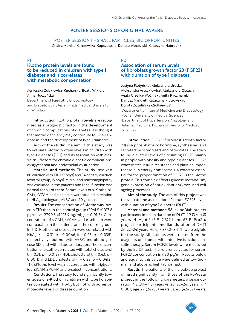# POSTER SESSIONS OF ORIGINAL PAPERS

### POSTER SESSION 1 – SMALL PARTICLES, BIG OPPORTUNITIES

Chairs: Monika Karczewska-Kupczewska, Dariusz Moczulski, Katarzyna Nabrdalik

#### P1

# Klotho protein levels are found to be reduced in children with type 1 diabetes and it correlates with metabolic compensation

### Agnieszka Zubkiewicz-Kucharska, Beata Wikiera, Anna Noczyńska

Department of Paediatric Endocrinology and Diabetology, Silesian Piasts Medical University of Wroclaw

Introduction: Klotho protein levels are recognised as a prognostic factor in the development of chronic complications of diabetes. It is thought that Klotho deficiency may contribute to β-cell apoptosis and the development of type 1 diabetes.

Aim of the study: The aim of this study was to evaluate Klotho protein levels in children with type 1 diabetes (T1D) and its association with classic risk factors for chronic diabetic complications: dysglycaemia and endothelial dysfunction.

Material and methods: The study involved 80 children with T1D (37 boys) and 34 healthy children (control group, 15 boys). Micro- and macroangiopathy was excluded in the patients and renal function was normal for all of them. Serum levels of s-Klotho, sI-CAM, sVCAM and e-selectin were studied in relation to HbA<sub>1c</sub>, lipidogram, AVBG and SD glucose.

Results: The concentration of Klotho was lower in T1D than in the control group (2041.9 ±1017.6 pg/ml vs. 2790.3 ±1423.9 pg/ml, *p* = 0.0113). Concentrations of sICAM, sVCAM and e-selectin were comparable in the patients and the control group. In T1D, Klotho and e-selectin were correlated with HbA1c (*r* = –0.31, *p* = 0.0066, ir = 0.25, *p* = 0.0351, respectively), but not with AVBG and blood glucose SD, and with diabetes duration. The concentration of sKlotho correlated with total cholesterol (*r* = 0.31, *p* = 0.0129), HDL cholesterol (*r* = 0.43, *p* = 0.0011) and LDL cholesterol (*r* = 0.28, *p* = 0.0412). The sKlotho level was not correlated with triglyceride, sICAM, sVCAM and e-selectin concentrations.

Conclusions: The study found significantly lower levels of s-Klotho in children with type 1 diabetes correlated with  $HbA_{1c}$ , but not with adhesion molecule levels or disease duration.

P2 Association of serum levels of fibroblast growth factor 23 (FGF23) with duration of type 1 diabetes

Justyna Flotyńska<sup>1</sup>, Aleksandra Uruska<sup>1</sup>, Aleksandra Araszkiewicz<sup>i</sup>, Aleksandra Cieluch<sup>i</sup>, Agata Grzelka-Woźniak<sup>1</sup>, Anita Kaczmarek<sup>1</sup>, Dariusz Naskręt<sup>1</sup>, Katarzyna Piotrowska<sup>2</sup>, Dorota Zozulińska-Ziółkiewicz<sup>1</sup> 1 Department of Internal Medicine and Diabetology, Poznan University of Medical Sciences 2 Department of Hypertension, Angiology and Internal Medicine, Poznan University of Medical Sciences

Introduction: FGF23 (fibroblast growth factor 23) is a phosphatoury hormone, synthesised and secreted by osteoblasts and osteocytes. The study found elevated levels of circulating FGF23 mainly in people with obesity and type 2 diabetes. FGF23 exacerbates insulin resistance and plays an important role in energy homeostasis. A cofactor essential for the proper function of FGF23 is the Klotho protein. This complex affects glucose metabolism, gene expression of antioxidant enzymes, and cell ageing processes.

Aim of the study: The aim of this project was to evaluate the association of serum FGF23 levels with duration of type 1 diabetes (DMT1).

Material and methods: 58 InLipoDiab project participants [median duration of DMT1 4.2 (3.4–4.8) years,  $HbA_1$ , 6.6 (5.9–7.3)%] and 67 PoProStu project participants [median duration of DMT1 23 (22–24) years, HbA<sub>1c</sub> 7.8 (7.2–8.4)%] were eligible for the study. All patients were treated from the diagnosis of diabetes with intensive functional insulin therapy. Serum FGF23 levels were measured by the ELISA test. The reference value for serum FGF23 concentration is ≤ 30 pg/ml. Results below and equal to this value were defined as low (normal) and above as high (abnormal).

Results: The patients of the InLipoDiab project differed significantly from those of the PoProStu project in the following parameters: disease duration 4.2 (3.4–4.8) years vs. 23 (22–24) years; *p* < 0.001, age 29 (24–33) years vs. 46 (42–52) years;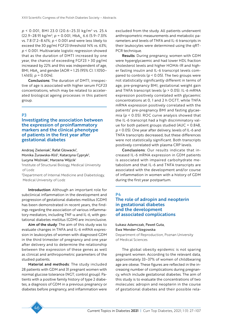*p* < 0.001, BMI 23.0 (20.6–25.3) kg/m2 vs. 25.4 (22.9–28.9) kg/m<sup>2</sup>; *p* = 0.001, HbA<sub>1c</sub> 6.6 (5.9–7.3)% vs. 7.8 (7.2–8.4)%; *p* < 0.001 and were less likely to exceed the 30 pg/ml FGF23 threshold 14% vs. 63%; *p* < 0.001. Multivariate logistic regression showed that as the duration of DMT1 increased by one year, the chance of exceeding FGF23 > 30 pg/ml increased by 22% and this was independent of age, BMI, HbA<sub>1c</sub> and gender [AOR = 1.25 (95% CI: 1.1050– 1.4165),  $p = 0.004$ .

Conclusions: The duration of DMT1, irrespective of age is associated with higher serum FGF23 concentrations, which may be related to accelerated biological ageing processes in this patient group.

### P3

Investigating the association between the expression of proinflammatory markers and the clinical phenotype of patients in the first year after gestational diabetes

Andrzej Zieleniak<sup>ı</sup>, Rafał Głowacki<sup>ı</sup>,

Monika Żurawska-Kliś<sup>2</sup>, Katarzyna Cypryk<sup>2</sup>, Lucyna Woźniak<sup>ı</sup>, Marzena Wójcik<sup>ı</sup>

1 Institute of Structural Biology, Medical University of Lodz

2 Department of Internal Medicine and Diabetology, Medical University of Lodz

Introduction: Although an important role for subclinical inflammation in the development and progression of gestational diabetes mellitus (GDM) has been demonstrated in recent years, the findings regarding the association of various inflammatory mediators, including TNF- $\alpha$  and IL-6, with gestational diabetes mellitus (GDM) are inconclusive.

Aim of the study: The aim of this study was to evaluate changes in TNFA and IL-6 mRNA expression in leukocytes of women with diagnosed GDM in the third trimester of pregnancy and one year after delivery and to determine the relationship between the expression of these genes as well as clinical and anthropometric parameters of the studied patients.

Material and methods: The study included 28 patients with GDM and 31 pregnant women with normal glucose tolerance (NGT; control group). Patients with a positive family history of type 2 diabetes, a diagnosis of GDM in a previous pregnancy or diabetes before pregnancy, and inflammation were

excluded from the study. All patients underwent anthropometric measurements and metabolic parameters and levels of TNFA and IL-6 transcripts in their leukocytes were determined using the qRT-PCR technique.

Results: During pregnancy, women with GDM were hyperglycaemic and had lower HDL fraction cholesterol levels and higher HOMA-IR and higher fasting insulin and IL-6 transcript levels compared to controls (*p* < 0.05). The two groups were not statistically significantly different in terms of age, pre-pregnancy BMI, gestational weight gain and TNFA transcript levels (*p* > 0.05). IL-6 mRNA expression positively correlated with glycaemic concentrations at 0, 1 and 2 h OGTT, while TNFA mRNA expression positively correlated with the patients' pre-pregnancy BMI and fasting glycaemia (*p* < 0.05). ROC curve analysis showed that the IL-6 transcript had a high discriminatory value for both patient groups studied (AUC = 0.848, *p* < 0.05). One year after delivery, levels of IL-6 and TNFA transcripts decreased, but these differences were not statistically significant. Both transcripts positively correlated with plasma CRP levels.

Conclusions: Our results indicate that increased IL-6 mRNA expression in GDM patients is associated with impaired carbohydrate metabolism and that IL-6 and TNFA transcripts are associated with the development and/or course of inflammation in women with a history of GDM during the first year postpartum.

### P4

# The role of adropin and neopterin in gestational diabetes and the development of associated complications

Łukasz Adamczak, Paweł Guta, Ewa Wender-Ożegowska Department of Reproduction, Poznan University of Medical Sciences

The global obesity epidemic is not sparing pregnant women. According to the relevant data, approximately 33–37% of women of childbearing age are obese. These figures are reflected in the increasing number of complications during pregnancy, which include gestational diabetes. The aim of this study is to evaluate the concentrations of two molecules: adropin and neopterin in the course of gestational diabetes and their possible rela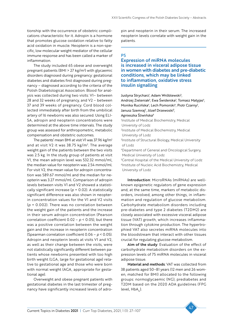tionship with the occurrence of obstetric complications characteristic for it. Adropin is a hormone that promotes glucose oxidation relative to fatty acid oxidation in muscle. Neopterin is a non-specific, low molecular weight mediator of the cellular immune response and has been called a marker of inflammation.

The study included 65 obese and overweight pregnant patients (BMI  $>$  27 kg/m<sup>2</sup>) with glycaemic disorders diagnosed during pregnancy: gestational diabetes and diabetes first diagnosed during pregnancy – diagnosed according to the criteria of the Polish Diabetological Association. Blood for analysis was collected during two visits: V1– between 28 and 32 weeks of pregnancy, and V2 – between 37 and 39 weeks of pregnancy. Cord blood collected immediately after birth from the umbilical artery of 16 newborns was also secured. Using ELI-SA, adropin and neopterin concentrations were determined at the above time intervals. The study group was assessed for anthropometric, metabolic compensation and obstetric outcomes.

The patients' mean BMI at visit VI was 37.96 kg/m<sup>2</sup> and at visit V2 it was 38.75 kg/m<sup>2</sup>. The average weight gain of the patients between the two visits was 2.5 kg. In the study group of patients at visit V1, the mean adropin level was 532.32 mmol/ml, the median value for neopterin was 2.54 mmol/ml. For visit V2, the mean value for adropin concentration was 589.67 mmol/ml and the median for neopterin was 3.27 mmol/ml. Comparison of adropin levels between visits V1 and V2 showed a statistically significant increase (*p* = 0.02). A statistically significant difference was also shown in neopterin concentration values for the V1 and V2 visits (*p* = 0.002). There was no correlation between the weight gain of the patients and the increase in their serum adropin concentration (Pearson correlation coefficient  $0.02 - p \le 0.05$ ), but there was a positive correlation between the weight gain and the increase in neopterin concentration (Spearman correlation coefficient 0.06 – *p* < 0.05). Adropin and neopterin levels at visits V1 and V2, as well as their change between the visits, were not statistically significantly different between patients whose newborns presented with too high birth weight (LGA, large for gestational age) relative to gestational age and those who were born with normal weight (AGA, appropriate for gestational age).

Overweight and obese pregnant patients with gestational diabetes in the last trimester of pregnancy have significantly increased levels of adropin and neopterin in their serum. The increased neopterin levels correlate with weight gain in the patients.

# P5

Expression of miRNA molecules is increased in visceral adipose tissue in women with diabetes and pre-diabetic conditions, which may be linked to inflammation, oxidative stress insulin signalling

Justyna Strycharz<sup>i</sup>, Adam Wróblewski<sup>2</sup>,

Andrzej Zieleniak<sup>3</sup>, Ewa Świderska<sup>2</sup>, Tomasz Matyjas<sup>4</sup>, Monika Rucińska<sup>4</sup>, Lech Pomorski<sup>4</sup>, Piotr Czarny<sup>2</sup>, Janusz Szemraj<sup>2</sup>, Józef Drzewoski<sup>5</sup>,

#### Agnieszka Śliwińska6

1 Institute of Medical Biochemistry, Medical University of Lodz

2 Institute of Medical Biochemistry, Medical University of Lodz

3 Institute of Structural Biology, Medical University of Lodz

4 Department of General and Oncological Surgery, Medical University of Lodz

5 Central Hospital of the Medical University of Lodz <sup>6</sup>Institute of Nucleic Acid Biochemistry, Medical University of Lodz

Introduction: MicroRNAs (miRNAs) are wellknown epigenetic regulators of gene expression and, at the same time, markers of metabolic disorders, involved, among other things, in inflammation and regulation of glucose metabolism. Carbohydrate metabolism disorders including pre-diabetes and type 2 diabetes (T2DM2) are closely associated with excessive visceral adipose tissue (VAT) growth, which increases inflammation through cytokine production. The hypertrophied VAT also secretes miRNA molecules into the bloodstream that interact with other tissues crucial for regulating glucose metabolism.

Aim of the study: Evaluation of the effect of carbohydrate metabolism disorders on the expression levels of 75 miRNA molecules in visceral adipose tissue.

Material and methods: VAT was collected from 38 patients aged 50–81 years (12 men and 26 women, matched for BMI) allocated to the following groups: normoglycaemic (NG), prediabetes and T2DM based on the 2020 ADA guidelines (FPG level, HbA<sub>1</sub>).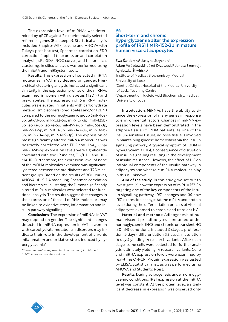The expression level of miRNAs was determined by qPCR against 2 experimentally selected reference genes (Bestkeeper). Statistical analysis included Shapiro-Wilk, Levene and ANOVA with Tukey's post-hoc test, Spearman correlation, FDR correction (applied to expression and correlation analysis), sPL-SDA, ROC curves, and hierarchical clustering. In silico analysis was performed using the miEAA and miRSystem tools.

Results: The expression of selected miRNA molecules in VAT may depend on gender. Hierarchical clustering analysis indicated a significant similarity in the expression profiles of the miRNAs examined in women with diabetes (T2DM) and pre-diabetes. The expression of 15 miRNA molecules was elevated in patients with carbohydrate metabolism disorders (prediabetes and/or T2DM) compared to the normoglycaemic group (miR-10a-5p, let-7d-5p, miR-532-5p, miR-127-3p, miR-125b-5p, let-7a-5p, let-7e-5p, miR-199a-3p, miR-365a-3p, miR-99a-5p, miR-100-5p, miR-342-3p, miR-146b-5p, miR-204-5p, miR-409-3p). The expression of most significantly altered miRNA molecules was positively correlated with FPG and HbA<sub>1c</sub>. Only miR-146b-5p expression levels were significantly correlated with two IR indices, TG/HDL and HO-MA-IR. Furthermore, the expression level of none of the miRNA molecules examined was significantly altered between the pre-diabetes and T2DM patient groups. Based on the results of ROC curves, ANOVA, sPLS-DA modelling, Spearman correlation and hierarchical clustering, the 11 most significantly altered miRNA molecules were selected for functional analysis. The results suggest that changes in the expression of these 11 miRNA molecules may be linked to oxidative stress, inflammation and insulin pathway signalling.

Conclusions: The expression of miRNAs in VAT may depend on gender. The significant changes detected in miRNA expression in VAT in women with carbohydrate metabolism disorders may indicate their role in the development of chronic inflammation and oxidative stress induced by hyperglycaemia\*.

*\*The entire results are presented in a manuscript published in 2021 in the Journal Antioxidants.*

#### P6

# Short-term and chronic hyperglycaemia alter the expression profile of IRS1 I MIR-152-3p in mature human visceral adipocytes

Ewa Świderska<sup>1</sup>, Justyna Strycharz<sup>1</sup>,

Adam Wróblewski<sup>1</sup>, Józef Drzewoski<sup>2</sup>, Janusz Szemraj<sup>1</sup>, Agnieszka Śliwińska3

1 Institute of Medical Biochemistry, Medical University of Lodz

2 Central Clinical Hospital of the Medical University of Lodz, Teaching Centre

3 Department of Nucleic Acid Biochemistry, Medical University of Lodz

Introduction: MiRNAs have the ability to silence the expression of many genes in response to environmental factors. Changes in miRNA expression levels have been demonstrated in the adipose tissue of T2DM patients. As one of the insulin-sensitive tissues, adipose tissue is involved in maintaining glucose homeostasis via the insulin signalling pathway. A typical symptom of T2DM is hyperglycaemia (HG), a consequence of disruption of insulin signalling resulting in the development of insulin resistance. However, the effect of HG on individual components of the insulin pathway in adipocytes and what role miRNA molecules play in this is unknown.

Aim of the study: In this study, we set out to investigate (a) how the expression of miRNA 152-3p targeting one of the key components of the insulin signalling pathway, IRS1, changes and (b) how IRS1 expression changes (at the mRNA and protein level) during the differentiation process of visceral adipocytes exposed to chronic and transient HG.

Material and methods: Adipogenesis of human visceral preadipocytes conducted under normoglycaemic (NG) and chronic or transient HG (30mM) conditions, included 3 stages: proliferation (5 days), differentiation (12 days), maturation (6 days) yielding 14 research variants. After each stage, some cells were collected for further analysis, ultimately yielding 14 research variants. Gene and miRNA expression levels were examined by real-time Q-PCR. Protein expression was tested by ELISA. Statistical analysis was performed using ANOVA and Student's *t*-test.

Results: During adipogenesis under normoglycaemic conditions, IRS1 expression at the mRNA level was constant. At the protein level, a significant decrease in expression was observed only

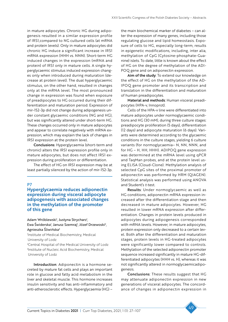in mature adipocytes. Chronic HG during adipogenesis resulted in a similar expression profile of IRS1,compared to NG cultured cells (at mRNA and protein levels). Only in mature adipocytes did chronic HG induce a significant increase in IRS1 mRNA expression (HHH vs. NNN). Short-term HG induced changes in the expression (mRNA and protein) of IRS1 only in mature cells. A single hyperglycaemic stimulus induced expression changes only when introduced during maturation (decrease at protein level). The dual hyperglycaemic stimulus, on the other hand, resulted in changes only at the mRNA level. The most pronounced change in expression was found when exposure of preadipocytes to HG occurred during their differentiation and maturation period. Expression of mir-152-3p did not change during adipogenesis under constant glycaemic conditions (NG and HG), but was significantly altered under short-term HG. These changes occurred only in mature adipocytes and appear to correlate negatively with mRNA expression, which may explain the lack of changes in IRS1 expression at the protein level.

Conclusions: Hyperglycaemia (short-term and chronic) alters the IRS1 expression profile only in mature adipocytes, but does not affect IRS1 expression during proliferation or differentiation.

The effect of HG on IRS1 expression may be at least partially silenced by the action of mir-152-3p.

### **P7**

### Hyperglycaemia reduces adiponectin expression during visceral adipocyte adipogenesis with associated changes in the methylation of the promoter of this gene

Adam Wróblewski<sup>1</sup>, Justyna Strycharz<sup>1</sup>, Ewa Świderska<sup>†</sup>, Janusz Szemraj<sup>†</sup>, Józef Drzewoski<sup>2</sup>,

Agnieszka Śliwińska3

1 Institute of Medical Biochemistry, Medical University of Lodz

2 Central Hospital of the Medical University of Lodz 3 Institute of Nucleic Acid Biochemistry, Medical University of Lodz

Introduction: Adiponectin is a hormone secreted by mature fat cells and plays an important role in glucose and fatty acid metabolism in the liver and skeletal muscle. This hormone increases insulin sensitivity and has anti-inflammatory and anti-atherosclerotic effects. Hyperglycaemia (HG) –

the main biochemical marker of diabetes – can alter the expression of many genes, including those regulating glucose and lipid homeostasis. Exposure of cells to HG, especially long-term, results in epigenetic modifications, including, inter alia, methylation of CpG (Cytosine-phosphate-Guanine) islets. To date, little is known about the effect of HG on the degree of methylation of the ADI-POQ gene and on adiponectin expression.

Aim of the study: To extend our knowledge on the effect of HG on the methylation of the AD-IPOQ gene promoter and its transcription and translation in the differentiation and maturation of human preadipocytes.

Material and methods: Human visceral preadipocytes (HPA-v, Innoprot).

Cells of the HPA-v line were differentiated into mature adipocytes under normoglycaemic conditions and HG (30 mM), during three culture stages: preadipocyte proliferation (5 days), differentiation (12 days) and adipocyte maturation (6 days). Variants were determined according to the glycaemic conditions in the culture stages, yielding 6 culture variants (for normoglycaemia– N, NN, NNN, and for HG – H, HH, HHH). ADIPOQ gene expression was determined at the mRNA level using qPCR and TaqMan probes, and at the protein level using ELISA (Cloud-Clone). Methylation analysis of selected CpG sites of the proximal promoter of adiponectin was performed by HRM (QIAGEN). Statistical analysis was performed using ANOVA and Student's *t*-test.

Results: Under normoglycaemic as well as HG conditions, adiponectin mRNA expression increased after the differentiation stage and then decreased in mature adipocytes. However, HG resulted in lower mRNA expression after differentiation. Changes in protein levels produced in adipocytes during adipogenesis corresponded with mRNA levels. However, in mature adipocytes, protein expression only decreased to a certain level. Both after the differentiation and maturation stages, protein levels in HG-treated adipocytes were significantly lower compared to controls. Methylation of the selected adiponectin promoter sequence increased significantly in mature HG-differentiated adipocytes (HHH vs. H), whereas it was not significantly altered in normoglycaemicadipogenesis.

Conclusions: These results suggest that HG may attenuate adiponectin expression in new generations of visceral adipocytes. The concordance of changes in adiponectin expression in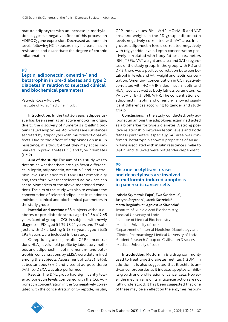mature adipocytes with an increase in methylation suggests a negative effect of this process on ADIPOQ gene expression. Decreased adiponectin levels following HG exposure may increase insulin resistance and exacerbate the degree of chronic inflammation.

### P8

# Leptin, adiponectin, omentin-1 and betatrophin in pre-diabetes and type 2 diabetes in relation to selected clinical and biochemical parameters

#### Patrycja Kozak-Nurczyk

Institute of Rural Medicine in Lublin

Introduction: In the last 30 years, adipose tissue has been seen as an active endocrine organ, due to the discovery of numerous signalling proteins called adipokines. Adipokines are substances secreted by adipocytes with multidirectional effects. Due to the effect of adipokines on insulin resistance, it is thought that they may act as biomarkers in pre-diabetes (PD) and type 2 diabetes (DM2).

Aim of the study: The aim of this study was to determine whether there are significant differences in leptin, adiponectin, omentin-1 and betatrophin levels in relation to PD and DM2 comorbidity and, therefore, whether selected adipokines can act as biomarkers of the above-mentioned conditions. The aim of the study was also to evaluate the concentration of selected adipokines in relation to individual clinical and biochemical parameters in the study groups.

Material and methods: 35 subjects without diabetes or pre-diabetic status aged 44.86 ±12.45 years (control group – CG), 14 subjects with newly diagnosed PD aged 54.29 ±8.24 years and 27 subjects with DM2 lasting 5 ±3.85 years aged 56.35 ±9.34 years were included in the study.

C-peptide, glucose, insulin, CRP concentrations, HbA<sub>1c</sub> levels, lipid profile by laboratory methods and adiponectin, leptin, omentin-1 and betatrophin concentrations by ELISA were determined among the subjects. Assessment of total (TBF%), subcutaneous (SAT) and visceral adipose tissue (VAT) by DEXA was also performed.

Results: The DM2 group had significantly lower adiponectin levels compared with the CG. Adiponectin concentration in the CG negatively correlated with the concentration of C-peptide, insulin, CRP, index values: BMI, WHR, HOMA IR and VAT area and weight. In the PD group, adiponectin levels negatively correlated with VAT area. In all groups, adiponectin levels correlated negatively with triglyceride levels. Leptin concentration positively correlated with body fatness parameters (BMI, TBF%, VAT weight and area and SAT), regardless of the study group. In the group with PD and DM2, there was a positive correlation between betatrophin levels and VAT weight and leptin concentration. Omentin-1 concentration in CG negatively correlated with HOMA IR index, insulin, leptin and HbA<sub>1c</sub> levels, as well as body fatness parameters i.e.: VAT, SAT, TBF%, BMI, WHR. The concentrations of adiponectin, leptin and omentin-1 showed significant differences according to gender and study group.

Conclusions: In the study conducted, only adiponectin among the adipokines examined acted as a biomarker for type 2 diabetes. A strong positive relationship between leptin levels and body fatness parameters, especially SAT area, was confirmed. Betatrophin showed properties of an adipokine associated with insulin resistance similar to leptin, and its levels were not gender-dependent.

#### P9

# Histone acetyltransferases and deacetylases are involved in metformin-induced apoptosis in pancreatic cancer cells

Izabela Szymczak-Pajor<sup>1</sup>, Ewa Świderska<sup>2</sup>, Justyna Strycharz<sup>2</sup>, Jacek Kasznicki<sup>3</sup>, Marta Bogdańska<sup>4</sup>, Agnieszka Śliwińska<sup>1</sup> 1 Institute of Nucleic Acid Biochemistry, Medical University of Lodz 2 Institute of Medical Biochemistry, Medical University of Lodz 3 Department of Internal Medicine, Diabetology and Clinical Pharmacology, Medical University of Lodz 4 Student Research Group on Civilisation Diseases, Medical University of Lodz

Introduction: Metformin is a drug commonly used to treat type 2 diabetes mellitus (T2DM). In addition, it is also suggested that it exhibits anti-cancer properties as it induces apoptosis, inhibits growth and proliferation of cancer cells. However, the mechanisms of its anticancer action are not fully understood. It has been suggested that one of these may be an effect on the enzymes respon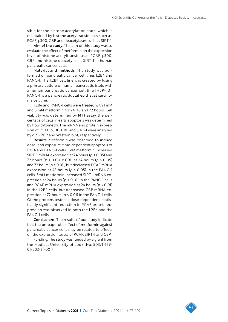sible for the histone acetylation state, which is maintained by histone acetyltransferases such as: PCAF, p300, CBP and deacetylases such as SIRT-1.

Aim of the study: The aim of this study was to evaluate the effect of metformin on the expression level of histone acetyltransferases: PCAF, p300, CBP and histone deacetylases: SIRT-1 in human pancreatic cancer cells.

Material and methods: The study was performed on pancreatic cancer cell lines 1.2B4 and PANC-1. The 1.2B4 cell line was created by fusing a primary culture of human pancreatic islets with a human pancreatic cancer cell line [HuP-T3]. PANC-1 is a pancreatic ductal epithelial carcinoma cell line.

1.2B4 and PANC-1 cells were treated with 1 mM and 5 mM metformin for 24, 48 and 72 hours. Cell viability was determined by MTT assay, the percentage of cells in early apoptosis was determined by flow cytometry. The mRNA and protein expression of PCAF, p300, CBP and SIRT-1 were analysed by qRT-PCR and Western blot, respectively.

Results: Metformin was observed to induce dose- and exposure-time-dependent apoptosis of 1.2B4 and PANC-1 cells. 1mM metformin increased SIRT-1 mRNA expression at 24 hours (*p* < 0.05) and 72 hours (*p* < 0.001); CBP at 24 hours (*p* < 0.05) and 72 hours (*p* < 0.01), but decreased PCAF mRNA expression at 48 hours (*p* < 0.05) in the PANC-1 cells. 5mM metformin increased SIRT-1 mRNA expression at 24 hours (*p* < 0.01) in the PANC-1 cells and PCAF mRNA expression at 24 hours (*p* < 0.01) in the 1.2B4 cells, but decreased CBP mRNA expression at 72 hours (*p* < 0.01) in the PANC-1 cells. Of the proteins tested, a dose-dependent, statistically significant reduction in PCAF protein expression was observed in both the 1.2B4 and the PANC-1 cells.

Conclusions: The results of our study indicate that the propapototic effect of metformin against pancreatic cancer cells may be related to effects on the expression levels of PCAF, SIRT-1 and CBP.

Funding: The study was funded by a grant from the Medical University of Lodz (No. 503/1-159- 01/503-21-001).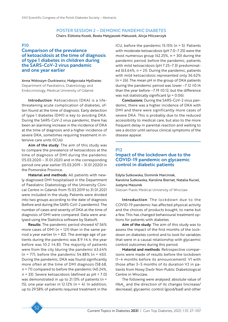# POSTER SESSION 2 – DEMONIC PANDEMIC DIABETES

Chairs: Elżbieta Kozek, Beata Matyjaszek-Matuszek, Alicja Milczarczyk

### P10

Comparison of the prevalence of ketoacidosis at the time of diagnosis of type 1 diabetes in children during the SARS-CoV-2 virus pandemic and one year earlier

Anna Wołoszyn-Durkiewicz, Małgorzata Myśliwiec Department of Paediatrics, Diabetology and Endocrinology, Medical University of Gdansk

Introduction: Ketoacidosis (DKA) is a lifethreatening acute complication of diabetes, often found at the time of diagnosis. Early detection of type 1 diabetes (DM1) is key to avoiding DKA. During the SARS-CoV-2 virus pandemic, there has been an alarming increase in the incidence of DKA at the time of diagnosis and a higher incidence of severe DKA, sometimes requiring treatment in intensive care units (ICUs).

Aim of the study: The aim of this study was to compare the prevalence of ketoacidosis at the time of diagnosis of DM1 during the pandemic (15.03.2020 – 31.01.2021) and in the corresponding period one year earlier (15.03.2019 – 31.01.2020) in the Pomorskie Province.

Material and methods: All patients with newly diagnosed DM1 hospitalised in the Department of Paediatric Diabetology of the University Clinical Centre in Gdansk from 15.03.2019 to 31.01.2021 were included in the study. Patients were divided into two groups according to the date of diagnosis (before and during the SARS-CoV-2 pandemic). The number of cases and severity of DKA at the time of diagnosis of DM1 were compared. Data were analysed using the Statistica software by Statsoft.

Results: The pandemic period showed 47.56% more cases of DM1 (*n* = 121) than in the same period a year earlier ( $n = 82$ ). The average age of patients during the pandemic was 8.9 ±4.4, the year before was 10.2 ±4.83. The majority of patients were from the city (during the pandemic 63.64% (*n* = 77), before the pandemic 54.88% (*n* = 45)). During the pandemic, DKA was found significantly more often at the time of DM1 diagnosis (58.68, *n* = 71) compared to before the pandemic (40.24%, *n* = 33). Severe ketoacidosis (defined as pH < 7.0) was demonstrated in up to 21.13% of patients (*n* = 15), one year earlier in 12.12% (*n* = 4). In addition, up to 29.58% of patients required treatment in the ICU, before the pandemic 15.15% (*n* = 5). Patients with moderate ketoacidosis (pH 7.0–7.25) were the most numerous group (42.25%, *n* = 30) during the pandemic period; before the pandemic, patients with mild ketoacidosis (pH 7.25–7.3) predominated (63.64%, *n* = 21). During the pandemic, patients with mild ketoacidosis represented only 36.62% (*n* = 26). The mean pH in the group of DKA patients during the pandemic period was lower –7.12 ±0.14 than the year before  $-7.19 \pm 0.12$ , but the difference was not statistically significant (*p* = 0.06).

Conclusions: During the SARS-CoV-2 virus pandemic, there was a higher incidence of DKA with DM1 and there were significantly more cases of severe DKA. This is probably due to the reduced accessibility to medical care, but also to the more frequent delay in parental reaction and waiting to see a doctor until serious clinical symptoms of the disease appear.

# P12

# Impact of the lockdown due to the COVID-19 pandemic on glycaemic control in diabetic patients

Edyta Sutkowska, Dominik Marciniak, Karolina Sutkowska, Karolina Biernat, Natalia Kuciel, Justyna Mazurek

Silesian Piasts Medical University of Wroclaw

Introduction: The lockdown due to the COVID-19 pandemic has affected physical activity and the choices of products bought, to name but a few. This has changed behavioural treatment options for patients with diabetes.

Aim of the study: The aim of this study was to assess the impact of the first months of the lockdown on diabetes control and to look for variables that were in a causal relationship with glycaemic control outcomes during this period.

Material and methods: Retrospective comparisons were made of results before the lockdown (1–4 months before its announcement): V1 with those after 3–5 months of its duration V2 in patients from Nowy Dwór Non-Public Diabetological Centre in Wroclaw.

The following were analysed: absolute value of  $HbA<sub>1c</sub>$  and the direction of its changes (increase/ decrease); glycaemic control (good/bad) and other

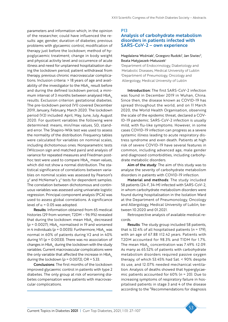parameters and information which, in the opinion of the researcher, could have influenced the results: age; gender; duration of diabetes; previous problems with glycaemic control; modification of therapy just before the lockdown; method of hypoglycaemic treatment; change in body weight and physical activity level and occurrence of acute illness and need for unplanned hospitalisation during the lockdown period; patient withdrawal from therapy, previous chronic macrovascular complications. Inclusion criteria: > 18 years of age and availability of the investigator to the  $HbA<sub>1c</sub>$  result before and during the defined lockdown period, a minimum interval of 3 months between analysed  $HbA_{1c}$ results. Exclusion criterion: gestational diabetes. The pre-lockdown period (V1) covered December 2019, January, February, March 2020. The lockdown period (V2) included: April, May, June, July, August 2020. For quotient variables the following were determined: means, min/max values, SD, standard error. The Shapiro-Wilk test was used to assess the normality of the distribution. Frequency tables were calculated for variables on nominal scales, including dichotomous ones. Nonparametric tests (Wilcoxon sign and matched pairs) and analysis of variance for repeated measures and Friedman posthoc test were used to compare HbA<sub>1c</sub> mean values, which did not show a normal distribution. The statistical significance of correlations between variables on nominal scales was assessed by Pearson's  $\chi^2$  and McNemar's  $\chi^2$  tests for dependent samples. The correlation between dichotomous and continuous variables was assessed using univariate logistic regression. Principal component analysis (PCA) was used to assess global correlations. A significance level of  $\alpha$  = 0.05 was adopted.

Results: Information obtained from 65 medical histories (29 from women; T2DM – 96.9%) revealed that during the lockdown: mean HbA<sub>1c</sub> decreased ( $p = 0.0027$ ); HbA<sub>1c</sub> normalised in 19 and worsened in 4 individuals ( $p = 0.0035$ ). Furthermore, HbA<sub>1c</sub> was normal in 60% of patients during V2 and in 40% during V1 (*p* = 0.0033). There was no association of changes in  $HbA_{1c}$  during the lockdown with the study variables. Current macrovascular complications were the only variable that affected the increase in  $HbA_{1c}$ during the lockdown (*p* = 0.0072), OR = 5.33.

Conclusions: The first months of the lockdown improved glycaemic control in patients with type 2 diabetes. The only group at risk of worsening diabetes compensation were patients with macrovascular complications.

#### P13

# Analysis of carbohydrate metabolism disorders in patients infected with SARS-CoV-2 – own experience

#### Magdalena Woźniak<sup>i</sup>, Grzegorz Rudzki<sup>i</sup>, Jan Siwiec<sup>2</sup>, Beata Matyjaszek-Matuszek1

1 Department of Endocrinology, Diabetology and Metabolic Diseases, Medical University of Lublin 2 Department of Pneumology, Oncology and Allergology, Medical University of Lublin

Introduction: The first SARS-CoV-2 infection was found in December 2019 in Wuhan, China. Since then, the disease known as COVID-19 has spread throughout the world, and on 11 March 2020, the World Health Organisation, observing the scale of the epidemic threat, declared a COV-ID-19 pandemic. SARS-CoV-2 infection is usually mild, with flu-like symptoms. However, in some cases COVID-19 infection can progress as a severe systemic illness leading to acute respiratory distress syndrome and even death. Patients at high risk of severe COVID-19 have several features in common, including advanced age, male gender and diagnosed comorbidities, including carbohydrate metabolic disorders.

Aim of the study: The aim of this study was to analyse the severity of carbohydrate metabolism disorders in patients with COVID-19 infection.

Material and methods: The study included 58 patients (24-F, 34-M) infected with SARS-CoV-2, in whom carbohydrate metabolism disorders were found during hospitalisation in the Isolation Ward at the Department of Pneumonology, Oncology and Allergology, Medical University of Lublin, between 10.2020 and 01.2021.

Retrospective analysis of available medical records.

Results: The study group included 58 patients, that is 32.4% of all hospitalised patients ( $n = 179$ ), with an age of 67.88 ±12.42 years. Patients with T2DM accounted for 98.3% and T1DM for 1.7%. The mean  $HbA_{1c}$  concentration was 7.49%  $\pm$ 2.09. As many as 65.52% of patients with carbohydrate metabolism disorders required passive oxygen therapy, of which 53.45% had Sat. < 90% despite its use, and 12.07% needed mechanical ventilation. Analysis of deaths showed that hyperglycaemic patients accounted for 60% (*n* = 20). Due to increasing symptoms of respiratory failure in hospitalised patients in stage 3 and 4 of the disease according to the "Recommendations for diagnosis

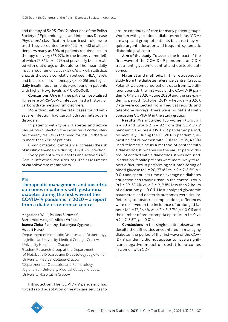and therapy of SARS-CoV-2 infections of the Polish Society of Epidemiologists and Infectious Disease Physicians" classification, iv corticosteroids were used. They accounted for 60.42% (*n* = 48) of all patients. As many as 50% of patients required insulin therapy delivery (68.97% in the intensive model), of which 75.86% (*n* = 29) had previously been treated with oral drugs or diet alone. The mean daily insulin requirement was 37.59 u/d ±17.01. Statistical analysis showed a correlation between HbA<sub>1c</sub> levels and the use of insulin therapy (*p* < 0.05) and higher daily insulin requirements were found in patients with higher HbA<sub>1c</sub> levels ( $p < 0.000001$ ).

Conclusions: One in three patients hospitalised for severe SARS-CoV-2 infection had a history of carbohydrate metabolism disorders.

More than half of the fatal cases found with severe infection had carbohydrate metabolism disorders.

In patients with type 2 diabetes and active SARS-CoV-2 infection, the inclusion of corticosteroid therapy results in the need for insulin therapy in more than 75% of patients.

Chronic metabolic imbalance increases the risk of insulin dependence during COVID-19 infection.

Every patient with diabetes and active SARS-CoV-2 infection requires regular assessment of carbohydrate metabolism.

#### P14

Therapeutic management and obstetric outcomes in patients with gestational diabetes during the first wave of the COVID-19 pandemic in 2020 – a report from a diabetes reference centre

Magdalena Wilk<sup>i</sup>, Paulina Surowiec<sup>i</sup>, Bartłomiej Matejko<sup>i</sup>, Albert Wróbel<sup>2</sup>, Joanna Zięba-Parkitny<sup>ı</sup>, Katarzyna Cyganek<sup>ı</sup>, Hubert Huras<sup>3</sup>

1 Department of Metabolic Diseases and Diabetology, Jagiellonian University Medical College, Cracow, University Hospital in Cracow 2 Student Research Group at the Department of Metabolic Diseases and Diabetology, Jagiellonian University Medical College, Cracow <sup>3</sup>Department of Obstetrics and Perinatology, Jagiellonian University Medical College, Cracow, University Hospital in Cracow

Introduction: The COVID-19 pandemic has forced rapid adaptation of healthcare services to

ensure continuity of care for many patient groups. Women with gestational diabetes mellitus (GDM) are a special group of patients because they require urgent education and frequent, systematic diabetological control.

Aim of the study: To assess the impact of the first wave of the COVID-19 pandemic on GDM treatment, glycaemic control and obstetric outcomes.

Material and methods: In this retrospective study from the diabetes reference centre (Cracow, Poland), we compared patient data from two different periods: the first wave of the COVID-19 pandemic (March 2020 – June 2020) and the pre-pandemic period (October 2019 – February 2020). Data were collected from medical records and telephone surveys. There were no patients with coexisting COVID-19 in the study groups.

Results: We included 155 women (Group 1 *n* = 73 and Group 2 *n* = 82 from the COVID-19 pandemic and pre-COVID-19 pandemic period, respectively). During the COVID-19 pandemic, almost half of all women with GDM (*n* 1 = 36, 49.3%) used telemedicine as a method of contact with a diabetologist, whereas in the earlier period this tool of contact with a diabetologist was not used. In addition, female patients were more likely to report difficulties in performing self-monitoring of blood glucose (*n* 1 = 20, 27.4% vs. *n* 2 = 7, 8.5% *p* ≤ 0.01) and spent less time on average on diabetes education and training than in the control group (*n* 1 = 39, 53.4% vs. *n* 2 = 9, 9.8% less than 2 hours of education; *p* ≤ 0.01). Most analysed glycaemic parameters and obstetric outcomes were similar. Referring to obstetric complications, differences were observed in the incidence of prolonged labour (*n* 1 = 12, 16.4% vs. *n* 2 = 3, 3.7% *p* ≤ 0.01) and the number of pre-eclampsia episodes (*n* 1 = 0 vs. *n* 2 = 7, 8.5%, *p* = 0.01) .

Conclusions: In this single-centre observation, despite the difficulties encountered in managing diabetes, the period of the first wave of the COV-ID-19 pandemic did not appear to have a significant negative impact on obstetric outcomes in women with GDM.

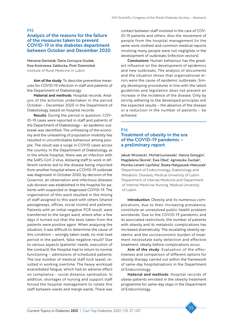P15

### Analysis of the reasons for the failure of the measures taken to prevent COVID-19 in the diabetes department between October and December 2020

Marzena Danielak, Daria Gorczyca-Siudak, Ewa Kostrzewa-Zabłocka, Piotr Dziemidok Institute of Rural Medicine in Lublin

Aim of the study: To describe preventive measures for COVID-19 infection in staff and patients of the Department of Diabetology.

Material and methods: Hospital records. Analysis of the activities undertaken in the period October – December 2020 in the Department of Diabetology, based on hospital records.

Results: During the period in question, COV-ID-19 cases were reported in staff and patients of the Department of Diabetology – an epidemic outbreak was identified. The unfreezing of the economy and the unleashing of population mobility has resulted in uncontrollable behaviour among people. The result was a surge in COVID cases across the country. In the Department of Diabetology, as in the whole hospital, there was an infection with the SARS-CoV-2 virus. Allowing staff to work in different centres led to the disease being imported from another hospital where a COVID-19 outbreak was diagnosed. In October 2020, by decision of the Governor, an observation and infectious diseases sub-division was established in the hospital for patients with suspected or diagnosed COVID-19. The organisation of this ward resulted in the mixing of staff assigned to this ward with others (shared passageways, offices, social rooms) and patients. Patients with an initial negative PCR result, were transferred to the target ward, where after a few days it turned out that the tests taken from the patients were positive again. When analysing the situation, it was difficult to determine the cause of this condition – wrongly taken swab, no viral load period in the patient, false negative result? Due to various aspects (patients' needs, execution of the contract), the Hospital had to return to normal functioning – admissions of scheduled patients. The low number of medical staff (sick leave), resulted in working overtime. The heavy workload exacerbated fatigue, which had an adverse effect on compliance – social distance, sanitisation. In addition, shortages of nursing and support staff forced the hospital management to rotate this staff between wards and merge wards. There was

contact between staff involved in the care of COV-ID-19 patients and others. Also the movement of people from the hospital management (in the same work clothes) and common medical reports involving many people were not negligible in the development of outbreaks (infection vectors).

Conclusions: Human behaviour has the greatest influence on the development of epidemics and new outbreaks. The analysis of documents and the situation shows that organisational errors were the cause of epidemic outbreaks. Simply developing procedures in line with the latest guidelines and legislation does not prevent an increase in the incidence of the disease. Only by strictly adhering to the developed principles will the expected results – the absence of the disease or a reduction in the number of patients – be achieved.

### P16 Treatment of obesity in the era of the COVID-19 pandemic – a preliminary report

Jakub Wronecki<sup>1</sup>, Michał Łuniewski<sup>1</sup>, Hanna Szmygin<sup>1</sup>, Magdalena Skorek<sup>1</sup>, Ewa Obel<sup>1</sup>, Agnieszka Zwolak<sup>2</sup>, Monika Lenart-Lipińska<sup>1</sup>, Beata Matyjaszek-Matuszek<sup>1</sup> 1 Department of Endocrinology, Diabetology and Metabolic Diseases, Medical University of Lublin 2 Department of Internal Medicine and Department of Internal Medicine Nursing, Medical University of Lublin

Introduction: Obesity and its numerous complications, due to their increasing prevalence, constitute an unresolved public health problem worldwide. Due to the COVID-19 pandemic and its associated restrictions, the number of patients with obesity and its metabolic complications has increased dramatically. The escalating obesity epidemic and the socioeconomic burden of treatment necessitate early detection and effective treatment, ideally before complications occur.

Aim of the study: Evaluation of the effectiveness and comparison of different options for obesity therapy carried out within the framework of same-day hospitalisations in the Department of Endocrinology.

Material and methods: Hospital records of obese patients enrolled in the obesity treatment programme for same-day stays in the Department of Endocrinology.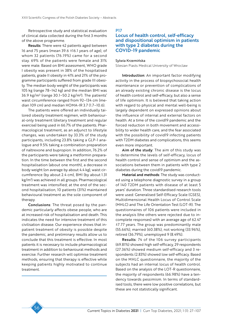Retrospective study and statistical evaluation of clinical data collected during the first 3 months of the above programme.

Results: There were 42 patients aged between 16 and 75 years (mean 39.6 ±16.1 years of age), of whom 32 patients (76.19%) came for a second stay. 69% of the patients were female and 31% were male. Based on BMI assessment, WHO grade I obesity was present in 38% of the hospitalised patients, grade II obesity in 41% and 21% of the programme participants suffered from grade III obesity. The median body weight of the participants was 105 kg (range 78–142 kg) and the median BMI was 36.9 kg/m² (range 30.1–50.2 kg/m²). The patients' waist circumference ranged from 92–134 cm (median 109 cm) and median HOMA-IR 3.7 (1.7–10.6).

The patients were offered an individually tailored obesity treatment regimen, with behavioural-only treatment (dietary treatment and regular exercise) being used in 66.7% of the patients. Pharmacological treatment, as an adjunct to lifestyle changes, was undertaken by 33.3% of the study participants, including 23.8% taking a GLP-1 analogue and 9.5% taking a combination preparation of naltrexone and bupropion. In addition, 76.2% of the participants were taking a metformin preparation. In the time between the first and the second hospitalisation (about one month), a decrease in body weight (on average by about 4.4 kg), waist circumference (by about 2.4 cm), BMI (by about 1.31 kg/m2 ) was achieved in all groups. Pharmacological treatment was intensified; at the end of the second hospitalisation, 10 patients (31%) maintained behavioural treatment as the sole component of therapy.

Conclusions: The threat posed by the pandemic particularly affects obese people, who are at increased risk of hospitalisation and death. This indicates the need for intensive treatment of this civilisation disease. Our experience shows that inpatient treatment of obesity is possible despite the pandemic, and preliminary results allow us to conclude that this treatment is effective. In most patients it is necessary to include pharmacological treatment in addition to behavioural methods and exercise. Further research will optimise treatment methods, ensuring that therapy is effective while keeping patients highly motivated to continue treatment.

#### P17

# Locus of health control, self-efficacy and dispositional optimism in patients with type 2 diabetes during the COVID-19 pandemic

#### Sylwia Krzemińska

Silesian Piasts Medical University of Wroclaw

Introduction: An important factor modifying activity in the process of biopsychosocial health maintenance or prevention of complications of an already existing chronic disease is the locus of health control and self-efficacy, but also a sense of life optimism. It is believed that taking action with regard to physical and mental well-being is largely dependent on expressed opinions about the influence of internal and external factors on health. At a time of the covid19 pandemic and the forced reduction in both movement and accessibility to wider health care, and the fear associated with the possibility of covid19 infecting patients with T2DM diabetes and complications, this seems even more important.

Aim of the study: The aim of this study was to determine the levels of self-efficacy, locus of health control and sense of optimism and the associations between them in patients with type 2 diabetes during the covid19 pandemic.

Material and methods: The study was conducted using a telephone diagnostic survey in a group of 140 T2DM patients with disease of at least 5 years' duration. Three standardised research tools were used: Generalised Self-Efficacy Scale (GSES), Multidimensional Health Locus of Control Scale (MHLC) and The Life Orientation Test (LOT-R). The questionnaires of 106 patients were included in the analysis (the others were rejected due to incomplete responses) with an average age of 62.47 ±7.77 years. The group was predominantly male (55.66%), married (60.38%), not working (33.96%), retired (36.79%), unemployed 9 (8.49%).

Results: 74 of the 106 survey participants (69.81%) showed high self-efficacy, 29 respondents (27.36%) showed medium self-efficacy and 3 respondents (2.83%) showed low self-efficacy. Based on the MHLC questionnaire, the majority of the subjects had an internal locus of health control. Based on the analysis of the LOT-R questionnaire, the majority of respondents (66.98%) have a tendency towards pessimism. In terms of standardised tools, there were low positive correlations, but these are not statistically significant.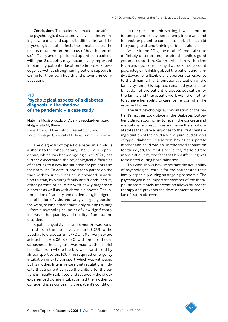Conclusions: The patient's somatic state affects the psychological state and vice versa determining how to deal and cope with difficulties, and the psychological state affects the somatic state. The results obtained on the locus of health control, self-efficacy and dispositional optimism in patients with type 2 diabetes may become very important in planning patient education to improve knowledge, as well as strengthening patient support in caring for their own health and preventing complications.

### P18

### Psychological aspects of a diabetes diagnosis in the shadow of the pandemic – a case study

### Malwina Musiał-Paździor, Ada Przygocka-Pieniążek, Małgorzata Myśliwiec

Department of Paediatrics, Diabetology and Endocrinology, University Medical Centre in Gdansk

The diagnosis of type 1 diabetes in a child is a shock to the whole family. The COVID19 pandemic, which has been ongoing since 2020, has further exacerbated the psychological difficulties of adapting to a new life situation for patients and their families. To date, support for a parent on the ward with their child has been provided, in addition to staff, by visiting family and friends, and by other parents of children with newly diagnosed diabetes as well as with chronic diabetes. The introduction of sanitary and epidemiological rigours – prohibition of visits and caregivers going outside the ward, seeing other adults only during training – from a psychological point of view significantly increases the quantity and quality of adaptation disorders.

A patient aged 2 years and 6 months was transferred from the intensive care unit (ICU) to the paediatric diabetes unit (PDU) after very severe acidosis – pH 6.86, BE –30, with impaired consciousness. The diagnosis was made at the district hospital, from where the boy was transferred by air transport to the ICU – he required emergency intubation prior to transport, which was witnessed by his mother. Intensive care unit regulations indicate that a parent can see the child after the patient is initially stabilised and secured – the shock experienced during intubation led the mother to consider this as concealing the patient's condition.

In the pre-pandemic setting, it was common for one parent to stay permanently in the Unit and for another parent to come in to look after a child too young to attend training or be left alone.

While in the PDU, the mother's mental state definitely deteriorated, despite the child's good general condition. Communication within the team and decision-making that took into account psychological thinking about the patient and family allowed for a flexible and appropriate response to the dynamic, highly emotional situation of the family system. This approach enabled gradual stabilisation of the patient, diabetes education for the family and therapeutic work with the mother to achieve her ability to care for her son when he returned home.

The first psychological consultation of the patient's mother took place in the Diabetes Outpatient Clinic, allowing her to regain the concrete and mental space to recognise and name the emotional states that were a response to the life-threatening situation of the child and the parallel diagnosis of type 1 diabetes. In addition, having to separate mother and child was an unrehearsed separation for this dyad, the first since birth, made all the more difficult by the fact that breastfeeding was terminated during hospitalisation.

This case shows how important the availability of psychological care is for the patient and their family, especially during an ongoing pandemic. The psychologist is an important member of the therapeutic team; timely intervention allows for proper therapy and prevents the development of sequelae of traumatic events.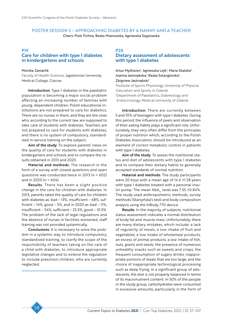### POSTER SESSION 3 – APPROACHING DIABETES BY A NANNY AND A TEACHER Chairs: Piotr Fichna, Beata Mianowska, Agnieszka Szypowska

# P19 Care for children with type 1 diabetes in kindergartens and schools

#### Monika Zamarlik

Faculty of Health Sciences, Jagiellonian University Medical College, Cracow

Introduction: Type 1 diabetes in the paediatric population is becoming a major social problem affecting an increasing number of families with young, dependent children. Polish educational institutions are not prepared to care for diabetics. There are no nurses in them, and they are the ones who, according to the current law, are supposed to take care of students with diabetes. Teachers are not prepared to care for students with diabetes, and there is no system of compulsory, standardised in-service training on the subject.

Aim of the study: To explore parents' views on the quality of care for students with diabetes in kindergartens and schools and to compare the results obtained in 2013 and 2020.

Material and methods: The research in the form of a survey with closed questions and open questions was conducted twice in 2013 (*n* = 602) and in 2020 (*n* = 604).

Results: There has been a slight positive change in the care for children with diabetes. In 2013, parents rated the quality of care for children with diabetes as: bad – 13%, insufficient – 68%, sufficient –  $14\%$ , good – 5%, and in 2020 as: bad –  $11\%$ , insufficient – 54%, sufficient – 25.5%, good – 10.5%. The problem of the lack of legal regulations and the absence of nurses in facilities worsened, staff training was not provided systemically.

Conclusions: It is necessary to solve the problem in a systemic way, to introduce compulsory, standardised training, to clarify the scope of the responsibility of teachers taking on the care of a child with diabetes, to introduce appropriate legislative changes and to extend the regulation to include preschool children, who are currently neglected.

#### P20

# Dietary assessment of adolescents with type 1 diabetes

Artur Myśliwiec<sup>i</sup>, Agnieszka Lejk<sup>2</sup>, Maria Skalska<sup>2</sup>, Joanna Jastrzębska<sup>1</sup>, Beata Sztangierska<sup>2</sup>, Zbigniew Jastrzębski<sup>1</sup>

1 Institute of Sports Physiology, University of Physical Education and Sports in Gdansk 2 Department of Paediatrics, Diabetology and Endocrinology, Medical University of Gdansk

Introduction: There are currently between 5 and 10% of teenagers with type 1 diabetes. During this period, the influence of peers and observation of their eating habits plays a significant role. Unfortunately, they very often differ from the principles of proper nutrition which, according to the Polish Diabetes Association, should be introduced as an element of correct metabolic control in patients with type 1 diabetes.

Aim of the study: To assess the nutritional status and diet of adolescents with type 1 diabetes and to compare their dietary habits to generally accepted standards of normal nutrition.

Material and methods: The study participants were 20 boys with a mean age of 14.6 ±1.58 years with type 1 diabetes treated with a personal insulin pump. The mean  $HbA_{1c}$  level was 7.55 ±0.84%. The study used anthropometric methods, survey methods (Starzyńska's test) and body composition analysis using the InBody 770 device.

Results: In the majority of subjects, nutritional status assessment indicates a normal distribution of body fat and muscle mass. Unfortunately, there are many dietary mistakes, which include: a lack of regularity of meals; a low intake of fruit and vegetables; a low intake of wholemeal products; an excess of animal products; a low intake of fish, nuts, grains and seeds; the presence of numerous unhealthy snacks such as sweets and crisps; the frequent consumption of sugary drinks; inappropriate portions of meals that are too large; and the choice of inappropriate technological processing such as deep frying. In a significant group of adolescents, the diet is not properly balanced in terms of its macronutrient content. In 50% of the people in the study group, carbohydrates were consumed in excessive amounts, particularly in the form of

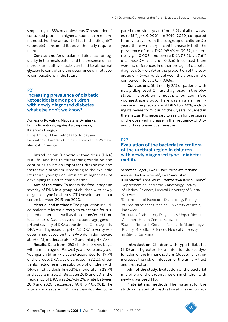simple sugars. 35% of adolescents (7 respondents) consumed protein in higher amounts than recommended. For the amount of fat in the diet, 45% (9 people) consumed it above the daily requirement.

Conclusions: An unbalanced diet, lack of regularity in the meals eaten and the presence of numerous unhealthy snacks can lead to abnormal glycaemic control and the occurrence of metabolic complications in the future.

### P21

# Increasing prevalence of diabetic ketoacidosis among children with newly diagnosed diabetes – what else don't we know?

### Agnieszka Kowalska, Magdalena Dymińska, Emilia Kowalczyk, Agnieszka Szypowska, Katarzyna Dżygało

Department of Paediatric Diabetology and Paediatrics, University Clinical Centre of the Warsaw Medical University

Introduction: Diabetic ketoacidosis (DKA) is a life- and health-threatening condition and continues to be an important diagnostic and therapeutic problem. According to the available literature, younger children are at higher risk of developing this acute complication.

Aim of the study: To assess the frequency and severity of DKA in a group of children with newly diagnosed type 1 diabetes (CT1) hospitalised at our centre between 2015 and 2020.

Material and methods: The population included patients referred directly to our centre for suspected diabetes, as well as those transferred from local centres. Data analysed included: age, gender, pH and severity of DKA at the time of CT1 diagnosis. DKA was diagnosed at pH < 7.3. DKA severity was determined based on the ISPAD definition (severe at pH < 7.1, moderate pH < 7.2 and mild pH < 7.3).

Results: Data from 1058 children (54.4% boys) with a mean age of 9.3 ±4.3 years were analysed. Younger children (≤ 5 years) accounted for 19.7% of the group. DKA was diagnosed in 32.2% of patients, including in the subgroup of children with DKA: mild acidosis in 40.8%, moderate in 28.7% and severe in 30.5%. Between 2015 and 2018, the frequency of DKA was 24.7–34.2%, while between 2019 and 2020 it exceeded 40% (*p* < 0.0001). The incidence of severe DKA more than doubled compared to previous years (from 6.9% of all new cases to 15%, *p* < 0.0001). In 2019–2020, compared to previous years, in the subgroup of children  $\leq 5$ years, there was a significant increase in both the prevalence of total DKA (49.4% vs. 30.5%, respectively, *p* = 0.008) and severe DKA (18.2% vs. 7.6% of all new DM1 cases,  $p = 0.026$ ). In contrast, there were no differences in either the age of diabetes diagnosis (*p* = 0.595) or the proportion of the subgroup of ≤ 5-year-olds between the groups in the compared intervals (*p* = 0.936).

Conclusions: Still nearly 2/3 of patients with newly diagnosed CT1 are diagnosed in the DKA state. This problem is most pronounced in the youngest age group. There was an alarming increase in the prevalence of DKA to > 40%, including its severe form, during the 6 years included in the analysis. It is necessary to search for the causes of the observed increase in the frequency of DKA and to take preventive measures.

### P22

# Evaluation of the bacterial microflora of the urethral region in children with newly diagnosed type 1 diabetes mellitus

Sebastian Seget<sup>1</sup>, Ewa Rusak<sup>2</sup>, Mirosław Partyka<sup>3</sup>, Aleksandra Mroskowiak<sup>4</sup>, Ewa Samulska<sup>3</sup>, Julia Strózik<sup>4</sup>, Anna Wilk<sup>4</sup>, Przemysława Jarosz-Chobot<sup>1</sup> 1 Department of Paediatric Diabetology Faculty of Medical Sciences, Medical University of Silesia, Katowice

2 Department of Paediatric Diabetology Faculty of Medical Sciences, Medical University of Silesia, Katowice

3 Institute of Laboratory Diagnostics, Upper Silesian Children's Health Centre, Katowice

4 Student Research Group in Paediatric Diabetology, Faculty of Medical Sciences, Medical University of Silesia, Katowice

Introduction: Children with type 1 diabetes (T1D) are at greater risk of infection due to dysfunction of the immune system. Glucosuria further increases the risk of infection of the urinary tract and urethral area.

Aim of the study: Evaluation of the bacterial microflora of the urethral region in children with newly diagnosed T1D.

Material and methods: The material for the study consisted of urethral swabs taken on ad-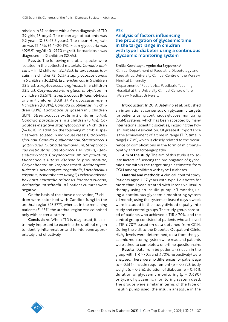mission in 37 patients with a fresh diagnosis of T1D (19 girls, 18 boys). The mean age of patients was 9.2 years (0.58–17.5 years). The mean  $HbA<sub>1c</sub>$  value was 12.44% (6.4–20.1%). Mean glycosuria was 4929.91 mg/dl (0–9770 mg/dl). Ketoacidosis was diagnosed in 12 children (32.4%).

Results: The following microbial species were isolated in the collected materials: *Candida albicans* – in 12 children (32.43%), *Enterococcus faecalis* in 8 children (21.62%), *Staphylococcus aureus*  in 6 children (16.22%), *Escherichia coli* in 5 children (13.51%), *Streptococcus anginosus* in 5 children (13.51%), *Corynebacterium glucuronolyticum* in 5 children (13.51%), *Streptococcus* β*-haemolyticus* gr B in 4 children (10.81%), *Aerococcusurinae* in 4 children (10.81%), *Candida dubliniensis* in 3 children (8.1%), *Lactobacillus gasseri* in 3 children (8.1%), *Streptococcus oralis* in 2 children (5.4%), *Candida parapsilosis* in 2 children (5.4%), *Coagulase-negative staphylococci* in 24 children (64.86%). In addition, the following microbial species were isolated in individual cases: *Citrobacterfreundii*, *Candida guilliermondii*, *Streptococcus gallolyticus*, *Cutibacteriumavidum*, *Streptococcus vestibularis*, *Streptococcus salivarius*, *Klebsiellaoxytoca*, *Corynebacterium amycolatum*, *Micrococcus luteus*, *Klebsiella pneumoniae*, *Corynebacterium kroppenstedtii*, *Actinomycesturicensis*, *Actinomycesurogenitalis*, *Lactobacillus crispatus*, *Acinetobacter ursingii*, *Leclerciaadecarboxylata*, *Moraxella osloensis*, *Pantoea eucrina*, *Actinotignum schaalii*. In 1 patient cultures were negative.

On the basis of the above observation, 17 children were colonised with Candida fungi in the urethral region (48.57%), whereas in the remaining patients (51.43%) the urethral region was colonised only with bacterial strains.

Conclusions: When T1D is diagnosed, it is extremely important to examine the urethral region to identify inflammation and to intervene appropriately and effectively.

P23

# Analysis of factors influencing the prolongation of glycaemic time in the target range in children with type 1 diabetes using a continuous glycaemic monitoring system

#### Emilia Kowalczyk<sup>1</sup>, Agnieszka Szypowska<sup>2</sup>

1 Clinical Department of Paediatric Diabetology and Paediatrics, University Clinical Centre of the Warsaw Medical University

2 Department of Paediatrics, Paediatric Teaching Hospital at the University Clinical Centre of the Warsaw Medical University

Introduction: In 2019, Batellino et al. published an international consensus on glycaemic targets for patients using continuous glucose monitoring (CGM) systems, which has been accepted by many international scientific societies, including the Polish Diabetes Association. Of greatest importance is the achievement of a time in range (TIR, time in range) > 70%, which is closely related to the occurrence of complications in the form of microangiopathy and macroangiopathy.

Aim of the study: The aim of this study is to isolate factors influencing the prolongation of glycaemic time within the target range estimated from CGM among children with type 1 diabetes.

Material and methods: A clinical-control study. Patients aged 1–17 years with type 1 diabetes for more than 1 year, treated with intensive insulin therapy using an insulin pump  $\geq 3$  months, using a continuous glycaemic monitoring system ≥ 1 month, using the system at least 6 days a week were included in the study divided equally into study and control groups. The study group consisted of patients who achieved a TIR > 70%, and the control group consisted of patients who achieved a TIR ≤ 70% based on data obtained from CGM. During the visit to the Diabetes Outpatient Clinic,  $HbA<sub>1c</sub>$  levels were determined, data from the glycaemic monitoring system were read and patients were asked to complete a one-time questionnaire.

Results: Data from 66 patients (33 each in the group with TIR > 70% and  $\leq$  70%, respectively) were analysed. There were no differences for patient age (*p* = 0.514), insulin requirement (*p* = 0.772), body weight (*p* = 0.216), duration of diabetes (*p* = 0.461), duration of glycaemic monitoring (*p* = 0.690) or type of glycaemic monitoring system used. The groups were similar in terms of the type of insulin pump used, the insulin analogue in the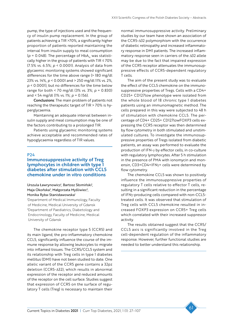pump, the type of injections used and the frequency of insulin pump replacement. In the group of patients achieving a TIR >70%, a significantly higher proportion of patients reported maintaining the interval from insulin supply to meal consumption ( $p = 0.048$ ). The percentage of HbA<sub>1c</sub> was statistically higher in the group of patients with TIR ≤ 70% (7.5% vs. 6.5%; *p* < 0.0001). Analysis of data from glycaemic monitoring systems showed significant differences for the time above range (> 180 mg/dl 23% vs. 14%, *p* < 0.0001 and > 250 mg/dl 11% vs. 2%, *p* < 0.0001), but no differences for the time below range for both < 70 mg/dl (3% vs. 3%; *p* = 0.830) and < 54 mg/dl (1% vs. 1%; *p* = 0.156).

Conclusions: The main problem of patients not reaching the therapeutic target of TIR > 70% is hyperglycaemia.

Maintaining an adequate interval between insulin supply and meal consumption may be one of the factors contributing to a prolonged TIR.

Patients using glycaemic monitoring systems achieve acceptable and recommended rates of hypoglycaemia regardless of TIR values.

#### P24

### Immunosuppressive activity of Treg lymphocytes in children with type 1 diabetes after stimulation with CCL5 chemokine under in vitro conditions

Urszula Ławrynowicz<sup>i</sup>, Bartosz Słomiński<sup>i</sup>, Maja Okońska<sup>2</sup>, Małgorzata Myśliwiec<sup>2</sup>, Monika Ryba-Stanisławowska1

1 Department of Medical Immunology, Faculty of Medicine, Medical University of Gdansk 2 Department of Paediatrics, Diabetology and Endocrinology, Faculty of Medicine, Medical University of Gdansk

The chemokine receptor type 5 (CCR5) and its main ligand, the pro-inflammatory chemokine CCL5, significantly influence the course of the immune response by allowing leukocytes to migrate into inflamed tissues. The CCR5/CCL5 system and its relationship with Treg cells in type 1 diabetes mellitus (DM1) have not been studied to date. One allelic variant of the CCR5 gene contains a 32pz deletion (CCR5-Δ32), which results in abnormal expression of the receptor and reduced amounts of the receptor on the cell surface. Studies suggest that expression of CCR5 on the surface of regulatory T cells (Treg) is necessary to maintain their

normal immunosuppressive activity. Preliminary studies by our team have shown an association of the CCR5-Δ32 polymorphism with the occurrence of diabetic retinopathy and increased inflammatory response in DM1 patients. The increased inflammatory response seen in carriers of the Δ32 allele may be due to the fact that impaired expression of the CCR5 receptor attenuates the immunosuppressive effects of CCR5-dependent regulatory T cells.

The aim of the present study was to evaluate the effect of the CCL5 chemokine on the immunosuppressive properties of Tregs. Cells with a CD4+ CD25+ CD127low phenotype were isolated from the whole blood of 18 chronic type 1 diabetes patients using an immunomagnetic method. The cells prepared in this way were subjected to 48 h of stimulation with chemokine CCL5. The percentage of CD4+ CD25+ CD127lowFOXP3 cells expressing the CCR5 receptor was then determined by flow cytometry in both stimulated and unstimulated cultures. To investigate the immunosuppressive properties of Tregs isolated from diabetic patients, an assay was performed to evaluate the production of IFN-γ by effector cells, in co-culture with regulatory lymphocytes. After 5 h stimulation in the presence of PMA with ionomycin and monensin, CD3+CD4+IFNγ+ cells were determined by flow cytometry.

The chemokine CCL5 was shown to positively influence the immunosuppressive properties of regulatory T cells relative to effector T cells, resulting in a significant reduction in the percentage of IFNγ-producing cells compared with non-CCL5 treated cells. It was observed that stimulation of Treg cells with CCL5 chemokine resulted in increased FOXP3 expression on CCR5+ Treg cells which correlated with their increased suppressor activity.

The results obtained suggest that the CCR5/ CCL5 axis is significantly involved in the Treg cell-dependent regulation of the inflammatory response. However, further functional studies are needed to better understand this relationship.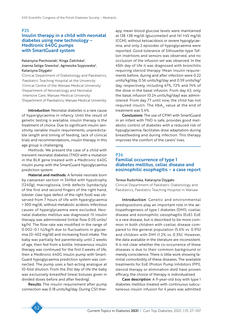#### P25

# Insulin therapy in a child with neonatal diabetes using new technology – Medtronic 640G pumps with SmartGuard system

### Katarzyna Piechowiak<sup>ı</sup>, Kinga Zielińska<sup>2</sup>, Joanna Seliga-Siwecka<sup>2</sup>, Agnieszka Szypowska<sup>3</sup>, Katarzyna Dżygało<sup>1</sup>

1 Clinical Department of Diabetology and Paediatrics, Paediatric Teaching Hospital at the University Clinical Centre of the Warsaw Medical University 2 Department of Neonatology and Neonatal Intensive Care, Warsaw Medical University 3 Department of Paediatrics, Warsaw Medical University

Introduction: Neonatal diabetes is a rare cause of hyperglycaemia in infancy. Until the result of genetic testing is available, insulin therapy is the treatment of choice. Due to significant insulin sensitivity, variable insulin requirements, unpredictable length and timing of feeding, lack of clinical trials and recommendations, insulin therapy in this age group is challenging.

Methods: We present the case of a child with transient neonatal diabetes (TND) with a mutation in the BLK gene treated with a Medtronic 640G insulin pump with the SmartGuard hypoglycaemia prediction system.

Material and methods: A female neonate born by caesarean section in 34Hbd with hypotrophy (1240g), macroglossia, limb defects (syndactyly of the first and second fingers of the right hand, lobster claw type defect of the right foot) was observed from 7 hours of life with hyperglycaemia > 300 mg/dl, without metabolic acidosis. Infectious causes of hyperglycaemia were excluded. Neonatal diabetes mellitus was diagnosed. IV insulin therapy was administered (initial flow 0.05 units/ kg/h). The flow rate was modified in the range of 0.002–0.1 IU/kg/h due to fluctuations in glycaemia 23–402 mg/dl) and increasing food intake. The baby was partially fed parenterally until 2 weeks of age, then fed from a bottle. Intravenous insulin therapy was continued for the first 3 weeks of life, then a Medtronic 640G insulin pump with Smart-Guard hypoglycaemia prediction system was connected. The pump uses a fast-acting analogue at 10-fold dilution. From the 31st day of life the baby was exclusively breastfed (meal boluses given in divided doses before and after feeding).

Results: The insulin requirement after pump connection was 0.18 units/kg/day. During CSII therapy, mean blood glucose levels were maintained at 138 ±38 mg/dl (glucometer) and 141 ±45 mg/dl (CGM), without ketoacidosis or severe hypoglycaemia, and only 2 episodes of hypoglycaemia were reported. Good tolerance of Silhouette-type Teflon insertions and sensors was observed, and no occlusion of the infusion set was observed. In the 45th day of life it was diagnosed with bronchitis requiring steroid therapy. Mean insulin requirements before, during and after infection were 0.22 units/kg/day, 0.56 units/kg/day and 0.59 units/kg/ day, respectively, including 47%, 72% and 74% of the dose in the basal infusion. From day 63, only the basal infusion (0.24 units/kg/day) was administered. From day 77 until now, the child has not required insulin. The  $HbA_{1c}$  value at the end of treatment was 5.4%.

Conclusions: The use of CPWI with SmartGuard in an infant with TND is safe, provides good metabolic control of diabetes with a reduced risk of hypoglycaemia, facilitates dose adaptation during breastfeeding and during infection. This therapy improves the comfort of the carers' lives.

# P26 Familial occurrence of type 1 diabetes mellitus, celiac disease and eosinophilic esophagitis – a case report

#### Teresa Rudzińska, Katarzyna Dżygało

Clinical Department of Paediatric Diabetology and Paediatrics, Paediatric Teaching Hospital in Warsaw

Introduction: Genetic and environmental predispositions play an important role in the aetiopathogenesis of type 1 diabetes (DM1), coeliac disease and eosinophilic oesophagitis (EoE). EoE is a rare disease, but is described to be more common in both children with coeliac disease compared to the general population (5.6% vs. 0.9%) and children with DM1 (1.2% vs. 0.3%). However, the data available in the literature are inconsistent. It is not clear whether the co-occurrence of these diseases is due to their common background or merely coincidence. There is little work showing familial comorbidity of these diseases. The available treatments for EoE (Proton Pump Inhibitors (PPI), steroid therapy or elimination diet) have proven efficacy, the choice of therapy is individualised.

Case description: A 9-year-old boy with type 1 diabetes mellitus treated with continuous subcutaneous insulin infusion for 4 years was admitted

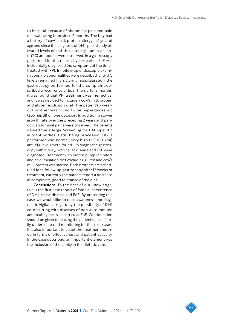to hospital because of abdominal pain and pain on swallowing food since 2 months. The boy had a history of cow's milk protein allergy at 1 year of age and since the diagnosis of DM1, persistently elevated levels of anti-tissue transglutaminase (anti-tTG) antibodies were observed. In a gastroscopy performed for this reason 2 years earlier, EoE was incidentally diagnosed (no symptoms at the time), treated with PPI. In follow-up endoscopic examinations, no abnormalities were described, anti-tTG levels remained high. During hospitalisation, the gastroscopy performed for the complaint described a recurrence of EoE. Then, after 3 months, it was found that PPI treatment was ineffective, and it was decided to include a cow's milk protein and gluten exclusion diet. The patient's 7-yearold brother was found to be hyperglycaemic (205 mg/dl) on one occasion. In addition, a slower growth rate over the preceding 2 years and periodic abdominal pains were observed. The parents denied the allergy. Screening for DM1-specific autoantibodies is still being processed, OGTT performed was normal, very high (> 300 U/ml) anti-tTg levels were found. On diagnostic gastroscopy with biopsy, both celiac disease and EoE were diagnosed. Treatment with proton pump inhibitors and an elimination diet excluding gluten and cow's milk protein was started. Both brothers are scheduled for a follow-up gastroscopy after 12 weeks of treatment, currently the parents report a decrease in complaints, good tolerance of the diet.

Conclusions: To the best of our knowledge, this is the first case report of familial coexistence of DM1, celiac disease and EoE. By presenting this case, we would like to raise awareness and diagnostic vigilance regarding the possibility of DM1 co-occurring with diseases of non-autoimmune aetiopathogenesis, in particular EoE. Consideration should be given to placing the patient's close family under increased monitoring for these diseases. It is also important to adapt the treatment method in terms of effectiveness and patient capacity. In the case described, an important element was the inclusion of the family in the dietetic care.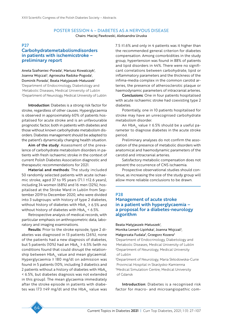# POSTER SESSION 4 – DIABETES AS A NERVOUS DISEASE

Chairs: Maciej Pawłowski, Aleksandra Uruska

#### P27

# Carbohydratemetabolismdisorders in patients with ischemicstroke – preliminary report

Aneta Szafraniec-Porada<sup>ı</sup>, Mariusz Kowalczyk<sup>ı</sup>, Joanna Wojczal<sup>2</sup>, Agnieszka Radzka-Pogoda<sup>1</sup>, Dominik Porada<sup>1</sup>, Beata Matyjaszek-Matuszek<sup>1</sup> 1 Department of Endocrinology, Diabetology and Metabolic Diseases, Medical University of Lublin 2 Department of Neurology, Medical University of Lublin

Introduction: Diabetes is a strong risk factor for stroke, regardless of other causes. Hyperglycaemia is observed in approximately 60% of patients hospitalised for acute stroke and is an unfavourable prognostic factor, both in patients with diabetes and those without known carbohydrate metabolism disorders. Diabetes management should be adapted to the patient's dynamically changing health situation.

Aim of the study: Assessment of the prevalence of carbohydrate metabolism disorders in patients with fresh ischaemic stroke in the context of current Polish Diabetes Association diagnostic and therapeutic recommendations for 2021.

Material and methods: The study included 50 randomly selected patients with acute ischaemic stroke, aged 37 to 95 years (71.1 ±12.6 years), including 34 women (68%) and 16 men (32%), hospitalised at the Stroke Ward in Lublin from September 2019 to December 2020, who were divided into 3 subgroups: with history of type 2 diabetes, without history of diabetes with  $HbA<sub>1c</sub> \ge 6.5%$  and without history of diabetes with  $HbA<sub>1c</sub> < 6.5%$ .

Retrospective analysis of medical records, with particular emphasis on anthropometric data, laboratory and imaging examinations.

Results: Prior to the stroke episode, type 2 diabetes was diagnosed in 13 patients (26%), none of the patients had a new diagnosis of diabetes, but 5 patients (10%) had an  $HbA_1 \ge 6.5\%$  (with no conditions found that could disrupt the relationship between  $HbA<sub>1c</sub>$  value and mean glycaemia). Hyperglycaemia ≥ 180 mg/dl on admission was found in 5 patients (10%, including 3 diabetics and 2 patients without a history of diabetes with  $HbA<sub>1c</sub>$ < 6.5%, but diabetes diagnosis was not extended in this group). The mean glycaemia immediately after the stroke episode in patients with diabetes was 173  $\pm$ 49 mg/dl and the HbA<sub>1c</sub> value was

7.5 ±1.6% and only in 4 patients was it higher than the recommended general criterion for diabetes compensation. Among comorbidities in the study group, hypertension was found in 88% of patients and lipid disorders in 44%. There were no significant correlations between carbohydrate, lipid or inflammatory parameters and the thickness of the infima-media complex in the common carotid arteries, the presence of atherosclerotic plaque or haemodynamic parameters of intracranial arteries.

Conclusions: One in four patients hospitalised with acute ischaemic stroke had coexisting type 2 diabetes.

Potentially, one in 10 patients hospitalised for stroke may have an unrecognised carbohydrate metabolism disorder.

An HbA<sub>1</sub> value  $\geq 6.5\%$  should be a useful parameter to diagnose diabetes in the acute stroke period.

Preliminary analyses do not confirm the association of the presence of metabolic disorders with anatomical and haemodynamic parameters of the carotid and intracranial arteries.

Satisfactory metabolic compensation does not prevent the occurrence of CNS ischaemia.

Prospective observational studies should continue, as increasing the size of the study group will allow more reliable conclusions to be drawn.

#### P28

# Management of acute stroke in a patient with hyperglycaemia – a proposal for a diabetes-neurology algorithm

Beata Matyjaszek-Matuszek<sup>1</sup>,

Monika Lenart-Lipińska<sup>,</sup> Joanna Wojczal<sup>2</sup>, Małgorzata Fudala<sup>3</sup>, Grzegorz Kozera<sup>4</sup>

1 Department of Endocrinology, Diabetology and Metabolic Diseases, Medical University of Lublin 2 Department of Neurology, Medical University of Lublin

3 Department of Neurology, Maria Skłodowska-Curie Provincial Hospital in Skarżysko-Kamienna 4 Medical Simulation Centre, Medical University of Gdansk

Introduction: Diabetes is a recognised risk factor for macro- and microangiopathic com-

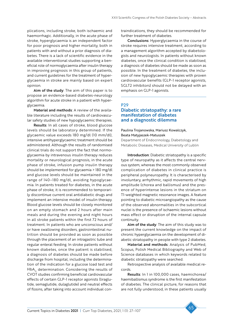plications, including stroke, both ischaemic and haemorrhagic. Additionally, in the acute phase of stroke, hyperglycaemia is an independent factor for poor prognosis and higher mortality, both in patients with and without a prior diagnosis of diabetes. There is a lack of scientific evidence in the available interventional studies supporting a beneficial role of normoglycaemia after insulin therapy in improving prognosis in this group of patients, and current guidelines for the treatment of hyperglycaemia in stroke are mainly based on expert opinion.

Aim of the study: The aim of this paper is to propose an evidence-based diabetes-neurology algorithm for acute stroke in a patient with hyperglycaemia.

Material and methods: A review of the available literature including the results of cardiovascular safety studies of new hypoglycaemic therapies.

Results: In all cases of stroke, blood glucose levels should be laboratory determined. If the glycaemic value exceeds 180 mg/dl (10 mm/dl), intensive antihyperglycaemic treatment should be administered. Although the results of randomised clinical trials do not support the fact that normoglycaemia by intravenous insulin therapy reduces mortality or neurological prognosis, in the acute phase of stroke, infusion pump insulin therapy should be implemented for glycaemia > 180 mg/dl and glucose levels should be maintained in the range of 140–180 mg/dl, avoiding hypoglycaemia. In patients treated for diabetes, in the acute phase of stroke, it is recommended to temporarily discontinue current oral antidiabetic drugs and implement an intensive model of insulin therapy. Blood glucose levels should be closely monitored on an empty stomach and 2 hours after main meals and during the evening and night hours in all stroke patients within the first 72 hours of treatment. In patients who are unconscious and/ or have swallowing disorders, gastrointestinal nutrition should be provided as soon as possible through the placement of an intragastric tube and regular enteral feeding. In stroke patients without known diabetes, once the patient is stabilised, a diagnosis of diabetes should be made before discharge from hospital, including the determination of the indication for a glucose load test and  $HbA<sub>1c</sub>$  determination. Considering the results of CVOT studies confirming beneficial cardiovascular effects of certain GLP-1 receptor agonists (liraglutide, semaglutide, dulaglutide) and neutral effects of flosins, after taking into account individual contraindications, they should be recommended for further treatment of diabetes.

Conclusions: Hyperglycaemia in the course of stroke requires intensive treatment, according to a management algorithm accepted by diabetologists and neurologists. In patients without known diabetes, once the clinical condition is stabilised, a diagnosis of diabetes should be made as soon as possible. In the treatment of diabetes, the inclusion of new hypoglycaemic therapies with proven cardiovascular benefits (GLP-1 receptor agonists, SGLT2 inhibitors) should not be delayed with an emphasis on GLP-1 agonists.

### P29 Diabetic striatopathy: a rare manifestation of diabetes and a diagnostic dilemma

Paulina Trojanowska, Mariusz Kowalczyk, Beata Matyjaszek-Matuszek Department of Endocrinology, Diabetology and Metabolic Diseases, Medical University of Lublin

Introduction: Diabetic striatopathy is a specific type of neuropathy as it affects the central nervous system, whereas the most commonly observed complication of diabetes in clinical practice is peripheral polyneuropathy. It is characterised by involuntary, arrhythmic, rapid movements of high amplitude (chorea and ballismus) and the presence of hyperintense lesions in the striatum on T1-weighted magnetic resonance images. A feature pointing to diabetic microangiopathy as the cause of the observed abnormalities in the subcortical nuclei is the presence of ischaemic lesions without mass effect or disruption of the internal capsule continuity.

Aim of the study: The aim of this study was to present the current knowledge on the impact of chronic hyperglycaemia on the development of diabetic striatopathy in people with type 2 diabetes.

Material and methods: Analysis of PubMed, Scopus, Polish Medical Bibliography and Web of Science databases in which keywords related to diabetic striatopathy were searched.

Retrospective analysis of available medical records.

Results: In 1 in 100,000 cases, haemichorea/ haemiballismus syndrome is the first manifestation of diabetes. The clinical picture, for reasons that are not fully understood, in these patients usually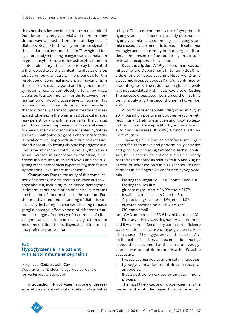does not show ketone bodies in the urine or blood (non-ketotic hyperglycaemia) and therefore they do not have acidosis at the time of diagnosis of diabetes. Brain MRI shows hyperintense signal of the caudate nucleus and shell in T1-weighted images, probably reflecting manganese accumulation in gemistocytes (protein-rich astrocytes found in acute brain injury). These lesions may be located either opposite to the clinical manifestations or, less commonly, bilaterally. The prognosis for the resolution of abnormal involuntary movements in these cases is usually good and in general most symptoms resolve completely after a few days, weeks or, less commonly, months following normalisation of blood glucose levels. However, it is not uncommon for symptoms to be so persistent that additional pharmacological treatment is required. Changes in the brain in radiological images may persist for a long time, even after the clinical symptoms have disappeared, from several weeks to 6 years. The most commonly accepted hypothesis for the pathophysiology of diabetic striatopathy is local cerebral hypoperfusion due to excessive blood viscosity following chronic hyperglycaemia. This ischaemia in the central nervous system leads to an increase in anaerobic metabolism, a decrease in γ-aminobutyric acid levels and the triggering of thalamocortical hyperactivity, manifested by abnormal involuntary movements.

Conclusions: Due to the rarity of this complication of diabetes, to date there is insufficient knowledge about it, including its incidence, demographic determinants, correlation of clinical symptoms and location of abnormalities in the striatum. Further multifaceted understanding of diabetic striatopathy, including mechanisms leading to basal ganglia damage, effectiveness of different treatment strategies, frequency of recurrence of clinical symptoms, seems to be necessary to formulate recommendations for its diagnosis and treatment, and preferably prevention.

### P30 Hypoglycaemia in a patient with autoimmune encephalitis

#### Małgorzata Godziejewska-Zawada

Department of Endocrinology Medical Centre for Postgraduate Education

Introduction: Hypoglycaemia is one of the reasons why a patient without diabetes visits a diabetologist. The most common cause of symptomatic hypoglycaemia is functional, usually postprandial hypoglycaemia. Less commonly, it is hypoglycaemia caused by a pancreatic tumour – insulinoma. Hypoglycaemia caused by immunological disorders – the presence of antibodies against insulin or insulin receptors – is even rarer.

Case description: A 59-year-old man was admitted to the Department in January 2020 for a diagnosis of hypoglycaemia. History of 2-time glycaemic drops to about 30 mg/dl confirmed by laboratory tests. The reduction in glucose levels was not associated with meals, exercise or fasting. The glucose drops occurred 2 times, the first time being in July and the second time in November 2019.

Autoimmune encephalitis diagnosed in August 2019, based on positive antibodies reacting with recombinant tretinoin antigen and focal epilepsy in the course of encephalitis. Hypothyroidism in autoimmune disease (10.2019.). Bronchial asthma. Deaf-mutism.

July/August 2019 muscle stiffness making it very difficult to move and perform daily activities and gradually increasing symptoms such as confusion, hallucinations, epileptic seizures. He currently has retrograde amnesia relating to July and August, as well as increased pain in his right shoulder and stiffness in his fingers. 2× confirmed hypoglycaemia.

Fasting trial negative – insulinoma ruled out. Fasting trial results:

- glucose mg/dl start =  $86.99$ ; end =  $71.79$ ;
- insulin  $\mu$ IU/ml start = 6.2; end = 3.4;
- C-peptide ng/ml start =  $1.94$ ; end =  $1.06$ ;
- glycated haemoglobin (HbA<sub>1c</sub>) = 4.9% (30 mmol/mol).

Anti-GAD antibodies = 150.6 IU/ml (normal < 10).

Pituitary-adrenal axis diagnosis was performed and it was normal. Secondary adrenal insufficiency was excluded as a cause of hypoglycaemia. Possible causes of hypoglycaemia in the patient Given the patient's history and examination findings, it should be assumed that the cause of hypoglycaemia was an autoimmune disorder. Possible causes are:

- hypoglycaemia due to anti-insulin antibodies;
- hypoglycaemia due to anti-insulin receptor antibodies;
- $\beta$ -cell destruction caused by an autoimmune process.

The most likely cause of hypoglycaemia is the presence of antibodies against insulin receptors.

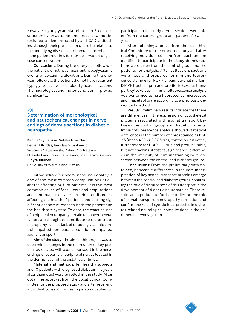However, hypoglycaemia related to β-cell destruction by an autoimmune process cannot be excluded, as demonstrated by anti-GAD antibodies, although their presence may also be related to the underlying disease (autoimmune encephalitis) – the patient requires further observation of glucose concentrations.

Conclusions: During the one-year follow-up, the patient did not have recurrent hypoglycaemic events or glycaemic elevations. During the oneyear follow-up, the patient did not have recurrent hypoglycaemic events or blood glucose elevations. The neurological and motor condition improved significantly.

#### P31

### Determination of morphological and neurochemical changes in nerve endings of dermis sections in diabetic neuropathy

Kamila Szymańska, Natalia Nowicka, Bernard Kordas, Jarosław Szuszkiewicz, Wojciech Matuszewski, Robert Modzelewski, Elżbieta Bandurska-Stankiewicz, Joanna Wojtkiewicz, Judyta Juranek

University of Warmia and Mazury

Introduction: Peripheral nerve neuropathy is one of the most common complications of diabetes affecting 60% of patients. It is the most common cause of foot ulcers and amputations and contributes to severe sensorimotor disorders, affecting the health of patients and causing significant economic losses to both the patient and the healthcare system. To date, the exact causes of peripheral neuropathy remain unknown; several factors are thought to contribute to the onset of neuropathy such as lack of or poor glycaemic control, impaired perineural circulation or impaired axonal transport.

Aim of the study: The aim of this project was to determine changes in the expression of key proteins associated with axonal transport in the nerve endings of superficial peripheral nerves located in the dermis layer of the distal lower limbs.

Material and methods: Ten healthy subjects and 10 patients with diagnosed diabetes (> 5 years after diagnosis) were enrolled in the study. After obtaining approval from the Local Ethical Committee for the proposed study and after receiving individual consent from each person qualified to

participate in the study, dermis sections were taken from the control group and patients for analysis.

After obtaining approval from the Local Ethical Committee for the proposed study and after receiving individual consent from each person qualified to participate in the study, dermis sections were taken from the control group and the patients for analysis. After collection, sections were fixed and prepared for immunofluorescence staining for PGP 9.5 (panneuronal marker), DIAPH1, actin, liprin and proliferin (axonal transport, cytoskeleton). Immunofluorescence analysis was performed using a fluorescence microscope and ImageJ software according to a previously developed method.

Results: Preliminary results indicate that there are differences in the expression of cytoskeletal proteins associated with axonal transport between the control group and diabetic patients. Immunofluorescence analysis showed statistical differences in the number of fibres stained as PGP 9.5 (mean 4.35 vs. 3.07 fibres, control vs. diabetes), furthermore for DIAPH1, liprin and profilin visible, but not reaching statistical significance, differences in the intensity of immunostaining were observed between the control and diabetes groups.

Conclusions: From the preliminary data obtained, noticeable differences in the immunoexpression of key axonal transport proteins emerge between the control and diabetic groups, confirming the role of disturbances of this transport in the development of diabetic neuropathies. These results are a prelude to further studies on the role of axonal transport in neuropathy formation and confirm the role of cytoskeletal proteins in diabetes-related neurological complications in the peripheral nervous system.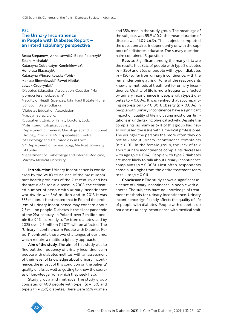### P32

### The Urinary Incontinence in People with Diabetes Report – an interdisciplinary perspective

Beata Stepanow<sup>i</sup>, Anna Ławnik2, Beata Polarczyk<sup>3</sup>, Estera Michalak<sup>4</sup>, Katarzyna Dobersztyn-Kominkiewicz<sup>4</sup>, Honorata Błaszczyk5 , Katarzyna Wieczorkowska-Tobis<sup>6</sup>, Mariusz Blewniewski<sup>7</sup>, Paweł Miotła<sup>8</sup>, Leszek Czupryniak<sup>9</sup> 1 Diabetes Education Association, Coalition "Na pomocniesamodzielnym" 2 Faculty of Health Sciences, John Paul II State Higher School in BiałaPodlaska 3 Diabetes Education Association 4 Happymed sp. z o. o. 5 Outpatient Clinic of Family Doctors, Lodz 6Polish Gerontological Society 7 Department of General, Oncological and Functional Urology, Provincial Multispecialised Centre of Oncology and Traumatology in Lodz <sup>82nd</sup> Department of Gynaecology, Medical University of Lublin 9 Department of Diabetology and Internal Medicine, Warsaw Medical University

Introduction: Urinary incontinence is considered by the WHO to be one of the most important health problems of the 21st century and has the status of a social disease. In 2008, the estimated number of people with urinary incontinence worldwide was 346 million and in 2013 it was 383 million. It is estimated that in Poland the problem of urinary incontinence may concern about 2.5 million people. Diabetes is the silent pandemic of the 21st century. In Poland, over 2 million people (i.e. 9.1%) currently suffer from diabetes, and by 2025 over 2.7 million (11.0%) will be affected. The "Urinary Incontinence in People with Diabetes Report" confronts these two challenges of our time, which require a multidisciplinary approach.

Aim of the study: The aim of this study was to find out the frequency of urinary incontinence in people with diabetes mellitus, with an assessment of their level of knowledge about urinary incontinence, the impact of this condition on the patients' quality of life, as well as getting to know the sources of knowledge from which they seek help.

Study group and methods: The study group consisted of 400 people with type 1 (*n* = 150) and type 2 (*n* = 250) diabetes. There were 65% women

and 35% men in the study group. The mean age of the subjects was 55.9 ±10.2, the mean duration of disease was 11.09 ±6.34. The subjects completed the questionnaires independently or with the support of a diabetes educator. The survey questionnaire contained 15 questions.

Results: Significant among the many data are the results that 82% of people with type 2 diabetes (*n* = 250) and 26% of people with type 1 diabetes (*n* = 150) suffer from urinary incontinence, with the remainder being at risk. None of the respondents knew any methods of treatment for urinary incontinence. Quality of life is more frequently affected by urinary incontinence in people with type 2 diabetes ( $p = 0.004$ ). It was verified that accompanying depression (*p* < 0.001), obesity (*p* = 0.004) in people with urinary incontinence have a significant impact on quality of life indicating most often limitations in undertaking physical activity. Despite the complaints, as many as 67% of this group had never discussed the issue with a medical professional. The younger the persons the more often they do not talk about urinary incontinence complaints (*p* = 0.01). In the female group, the lack of talk about urinary incontinence complaints decreases with age  $(p = 0.004)$ . People with type 2 diabetes are more likely to talk about urinary incontinence complaints (*p* = 0.008). Most often, respondents chose a urologist from the entire treatment team to talk to  $(p = 0.01)$ .

Conclusions: The study shows a significant incidence of urinary incontinence in people with diabetes. The subjects have no knowledge of treatment methods for urinary incontinence. Urinary incontinence significantly affects the quality of life of people with diabetes. People with diabetes do not discuss urinary incontinence with medical staff.

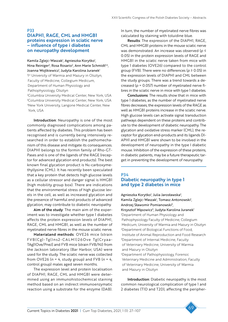#### P33

### DIAPH1, RAGE, CML and HMGB1 proteins expression in sciatic nerve – influence of type i diabetes on neuropathy development

Kamila Zglejc-Waszak<sup>1</sup>, Agnieszka Korytko<sup>1</sup>, Nina Reiniger<sup>2</sup>, Rosa Rosario<sup>2</sup>, Ann Marie Schmidt<sup>3,4</sup>, Joanna Wojtkiewicz<sup>i</sup>, Judyta Karolina Juranek<sup>i</sup> <sup>1</sup>I<sup>st</sup> University of Warmia and Mazury in Olsztyn, Faculty of Medicine, Collegium Medicum, Department of Human Physiology and Pathophysiology, Olsztyn

 Columbia University Medical Center, New York, USA Columbia University Medical Center, New York, USA New York University, Langone Medical Center, New York, USA

Introduction: Neuropathy is one of the most commonly diagnosed complications among patients affected by diabetes. This problem has been recognised and is currently being intensively researched in order to establish the pathomechanism of this disease and mitigate its consequences. DIAPH1 belongs to the formin family of Rho-GT-Pases and is one of the ligands of the RAGE (receptor for advanced glycation end products). The best known final glycation product is Nε-carboxymethyllysine (CML). It has recently been speculated that a key protein that detects high glucose levels as a cellular stressor and danger signal is HMGB1 (high mobility group box). There are indications that the environmental stress of high glucose levels in the cell, as well as increased glycation and the presence of harmful end products of advanced glycation, may contribute to diabetic neuropathy.

Aim of the study: The main aim of the experiment was to investigate whether type 1 diabetes affects the protein expression levels of DIAPH1, RAGE, CML and HMGB1, as well as the number of myelinated nerve fibres in the mouse sciatic nerve.

Materialand methods: OVE26 mice (strain FVB(Cg)-Tg(Ins2-CALM1)26Ove Tg(Cryaa-TAg)1Ove/PneJ] and FVB mice (strain FVB/NJ) from the Jackson laboratory (Bar Harbor, USA) were used for the study. The sciatic nerve was collected from OVE26 (*n* = 4, study group) and FVB (*n* = 4, control group) males aged seven months.

The expression level and protein localisation of DIAPH1, RAGE, CML and HMGB1 were determined using an immunohistochemical staining method based on an indirect immunoenzymatic reaction using a substrate for the enzyme (DAB).

In turn, the number of myelinated nerve fibres was calculated by staining with toluidine blue.

Results: The expression of the DIAPH1, RAGE, CML and HMGB1 proteins in the mouse sciatic nerve was demonstrated. An increase was observed (*p* ≤ 0.05) in the protein expression levels of RAGE and HMGB1 in the sciatic nerve taken from mice with type 1 diabetes (OVE26) compared to the control group (FVB). There were no differences (*p* ≥ 0.05) in the expression levels of DIAPH1 and CML between the study groups. There was a trend towards a decreased (*p* = 0.057) number of myelinated nerve fibres in the sciatic nerve in mice with type 1 diabetes.

Conclusions: The results show that in mice with type 1 diabetes, as the number of myelinated nerve fibres decreases, the expression levels of the RAGE as well as HMGB1 proteins increase in the sciatic nerve. High glucose levels can activate signal transduction pathways dependent on these proteins and contribute to the development of diabetic neuropathy. The glycation and oxidative stress marker (CML), the receptor for glycation end-products and its ligands DI-APH1 and HMGB1 were shown to be involved in the development of neuropathy in the type I diabetic mouse. Inhibition of the expression of these proteins, in diabetic patients, may be a future therapeutic target in preventing the development of neuropathy.

### P34 Diabetic neuropathy in type 1 and type 2 diabetes in mice

Agnieszka Korytko<sup>,</sup> Julia Jarosławska<sup>2</sup>, Kamila Zglejc-Waszak<sup>i</sup>, Tomasz Antonowski<sup>i</sup>, Andrzej Sławomir Pomianowski<sup>3</sup>, Krzysztof Wąsowicz<sup>4</sup>, Judyta Karolina Juranek<sup>1</sup> 1 Department of Human Physiology and Pathophysiology Faculty of Medicine, Collegium Medicum, University of Warmia and Mazury in Olsztyn 2 Department of Biological Functions of Food, Institute of Animal Reproduction and Food Research 3 Department of Internal Medicine, Faculty of Veterinary Medicine, University of Warmia and Mazury in Olsztyn 4 Department of Pathophysiology, Forensic Veterinary Medicine and Administration, Faculty of Veterinary Medicine, University of Warmia and Mazury in Olsztyn

Introduction: Diabetic neuropathy is the most common neurological complication of type 1 and 2 diabetes (T1D and T2D), affecting the peripher-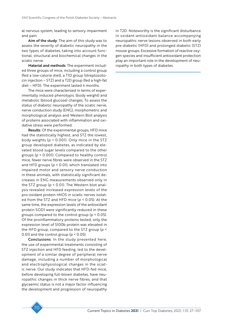al nervous system, leading to sensory impairment and pain.

Aim of the study: The aim of this study was to assess the severity of diabetic neuropathy in the two types of diabetes, taking into account functional, structural and biochemical changes in the sciatic nerve.

Material and methods: The experiment included three groups of mice, including a control group (fed a low-calorie diet), a T1D group (streptozotocin injection – STZ) and a T2D group (fed a high-fat diet – HFD). The experiment lasted 4 months.

The mice were characterised in terms of experimentally induced phenotypic (body weight) and metabolic (blood glucose) changes. To assess the status of diabetic neuropathy of the sciatic nerve, nerve conduction study (ENG), morphometric and morphological analysis and Western Blot analysis of proteins associated with inflammation and oxidative stress were performed.

Results: Of the experimental groups, HFD mice had the statistically highest, and STZ the lowest, body weights (*p* < 0.001). Only mice in the STZ group developed diabetes, as indicated by elevated blood sugar levels compared to the other groups (*p* < 0.001). Compared to healthy control mice, fewer nerve fibres were observed in the STZ and HFD groups (*p* < 0.01), which translated into impaired motor and sensory nerve conduction in these animals, with statistically significant decreases in ENG measurements observed only in the STZ group (*p* < 0.01). The Western blot analysis revealed increased expression levels of the pro-oxidant protein nNOS in sciatic nerves isolated from the STZ and HFD mice (*p* < 0.05). At the same time, the expression levels of the antioxidant protein SOD1 were significantly reduced in these groups compared to the control group (*p* < 0.05). Of the proinflammatory proteins tested, only the expression level of S100b protein was elevated in the HFD group, compared to the STZ group (*p* < 0.01) and the control group (*p* < 0.05).

Conclusions: In the study presented here, the use of experimental treatments consisting of STZ injection and HFD feeding, led to the development of a similar degree of peripheral nerve damage, including a number of morphological and electrophysiological changes in the sciatic nerve. Our study indicates that HFD-fed mice, before developing full-blown diabetes, have neuropathic changes in thick nerve fibres, and that glycaemic status is not a major factor influencing the development and progression of neuropathy in T2D. Noteworthy is the significant disturbance in oxidant-antioxidant balance accompanying neuropathic nerve lesions observed in both early pre-diabetic (HFD) and prolonged diabetic (STZ) mouse groups. Excessive formation of reactive oxygen species and insufficient antioxidant protection play an important role in the development of neuropathy in both types of diabetes.

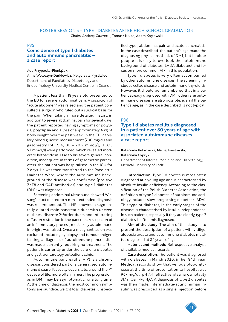# POSTER SESSION 5 – TYPE 1 DIABETES AFTER HIGH SCHOOL GRADUATION

Chairs: Andrzej Gawrecki, Tomasz Klupa, Adam Krętowski

#### P35

# Coincidence of type 1 diabetes and autoimmune pancreatitis – a case report

Ada Przygocka-Pieniążek, Anna Wołoszyn-Durkiewicz, Małgorzata Myśliwiec Department of Paediatrics, Diabetology and Endocrinology, University Medical Centre in Gdansk

A patient less than 18 years old presented to the ED for severe abdominal pain. A suspicion of "acute abdomen" was raised and the patient consulted a surgeon who ruled out a surgical basis for the pain. When taking a more detailed history, in addition to severe abdominal pain for several days, the patient reported having symptoms of polyuria, polydipsia and a loss of approximately 4 kg of body weight over the past week. In the ED, capillary blood glucose measurement (700 mg/dl) and gasometry (pH 7.16, BE – 20.9 mmol/l, HCO3 9.1 mmol/l) were performed, which revealed moderate ketoacidosis. Due to his severe general condition, inadequate in terms of gasometric parameters, the patient was hospitalised in the ICU for 2 days. He was then transferred to the Paediatric Diabetes Ward, where the autoimmune background of the disease was confirmed (positive ZnT8 and GAD antibodies) and type 1 diabetes (DM1) was diagnosed.

Screening abdominal ultrasound showed Wirsung's duct dilated to 4 mm – extended diagnosis was recommended. The MRI showed a segmentally dilated main pancreatic duct with uneven outlines, discrete 2<sup>nd</sup>order ducts and infiltrating diffusion restriction in the pancreas. A suspicion of an inflammatory process, most likely autoimmune in origin, was raised. Once a malignant lesion was excluded, including by biopsy and tumour antigen testing, a diagnosis of autoimmune pancreatitis was made, currently requiring no treatment. The patient is currently under the care of a diabetes and gastroenterology outpatient clinic.

Autoimmune pancreatitis (AIP) is a chronic disease, considered part of a generalised autoimmune disease. It usually occurs late, around the 7th decade of life, more often in men. The progression, as in DM1, may be asymptomatic for a long time. At the time of diagnosis, the most common symptoms are jaundice, weight loss, diabetes (unspecified type), abdominal pain and acute pancreatitis. In the case described, the patient's age made the diagnosing physicians think of DM1, but in older people it is easy to overlook the autoimmune background of diabetes (LADA diabetes), and focus on more common AIP in this population.

Type 1 diabetes is very often accompanied by other autoimmune diseases. The screening includes celiac disease and autoimmune thyroiditis. However, it should be remembered that in a patient already diagnosed with DM1, other rarer autoimmune diseases are also possible, even if the patient's age, as in the case described, is not typical.

#### P36

Type 1 diabetes mellitus diagnosed in a patient over 80 years of age with associated autoimmune diseases – a case report

### Katarzyna Rutkowska, Maciej Pawłowski, Katarzyna Cypryk

Department of Internal Medicine and Diabetology, Medical University of Lodz

Introduction: Type 1 diabetes is most often diagnosed at a young age and is characterised by absolute insulin deficiency. According to the classification of the Polish Diabetes Association, the definition of type 1 diabetes of autoimmune aetiology includes slow-progressing diabetes (LADA). This type of diabetes, in the early stages of the disease, is characterised by insulin independence. In such patients, especially if they are elderly, type 2 diabetes is often misdiagnosed.

Aim of the study: The aim of this study is to present the description of a patient with vitiligo, alopecia areata and autoimmune diabetes mellitus diagnosed at 84 years of age.

Material and methods: Retrospective analysis of available medical records.

Case description: The patient was diagnosed with diabetes in March 2020, in her 84th year. Medical records show that venous blood glucose at the time of presentation to hospital was 967 mg/dl, pH 7.4, effective plasma osmolality 317 mOsm/kg  $\rm H_2O$ . A diagnosis of type 2 diabetes was then made. Intermediate-acting human insulin was prescribed as a single injection before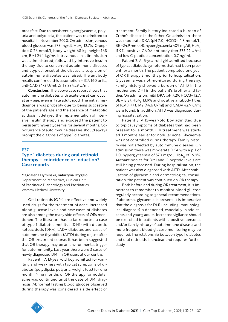breakfast. Due to persistent hyperglycaemia, polyuria and polydipsia, the patient was readmitted to hospital in November 2020. On admission, venous blood glucose was 578 mg/dl,  $HbA<sub>1c</sub>$  12.7%, C-peptide 0.26 nmol/l, body weight 68 kg, height 168 cm, BMI 24.1 kg/m<sup>2</sup>. Intravenous insulin infusion was administered, followed by intensive insulin therapy. Due to concurrent autoimmune diseases and atypical onset of the disease, a suspicion of autoimmune diabetes was raised. The antibody results confirmed this assumption – ICA 160 units, anti-GAD 3473 U/ml, ZnT8 884.29 U/ml.

Conclusions: The above case report shows that autoimmune diabetes with acute onset can occur at any age, even in late adulthood. The initial misdiagnosis was probably due to being suggestive of the patient's age and the absence of metabolic acidosis. It delayed the implementation of intensive insulin therapy and exposed the patient to persistent hyperglycaemia for several months. Cooccurrence of autoimmune diseases should always prompt the diagnosis of type 1 diabetes.

#### P37

# Type 1 diabetes during oral retinoid therapy – coincidence or induction? Case reports

Magdalena Dymińska, Katarzyna Dżygało Department of Paediatrics, Clinical Unit of Paediatric Diabetology and Paediatrics, Warsaw Medical University

Oral retinoids (ORs) are effective and widely used drugs for the treatment of acne. Increased blood glucose levels and new cases of diabetes are also among the many side effects of ORs mentioned. The literature has so far reported a case of type 1 diabetes mellitus (DM1) with diabetic ketoacidosis (DKA), LADA diabetes and cases of autoimmune thyroiditis (AITD) during or just after the OR treatment course. It has been suggested that OR therapy may be an environmental trigger for autoimmunity. Last year there were 3 cases of newly diagnosed DM1 in OR users at our centre.

Patient 1: A 13-year-old boy admitted for vomiting and weakness with typical symptoms of diabetes (polydipsia, polyuria, weight loss) for one month. Nine months of OR therapy for nodular acne was continued until the date of DM1 diagnosis. Abnormal fasting blood glucose observed during therapy was considered a side effect of treatment. Family history indicated a burden of Crohn's disease in the father. On admission, there was moderate DKA (pH 7.0; HCO3– 4.8 mmol/L; BE  $-24.9$  mmol/l), hyperglycaemia 409 mg/dl, HbA<sub>1c</sub> 11.9%, positive GADA antibody titer 375.22 U/ml and low C-peptide concentration 0.7 ng/ml.

Patient 2: A 15-year-old girl admitted because of typical diabetic symptoms that had been present for a month. The patient completed one year of OR therapy 2 months prior to hospitalisation. Glycaemia was not monitored during therapy. Family history showed a burden of AITD in the mother and DM1 in the patient's brother and father. On admission, mild DKA (pH 7.29; HCO3– 12.7; BE  $-13.8$ ), HbA<sub>1c</sub> 13.9% and positive antibody titres of ICA(+++), IA2 (44.6 U/ml) and GADA 42.9 u/ml were found. In addition, AITD was diagnosed during hospitalisation.

Patient 3: A 15-year-old boy admitted due to typical symptoms of diabetes that had been present for a month. OR treatment was started 3 months earlier for nodular acne. Glycaemia was not controlled during therapy. Family history was not affected by autoimmune diseases. On admission there was moderate DKA with a pH of 7.0, hyperglycaemia of 570 mg/dl,  $HbA<sub>1c</sub>$  of 16.9%. Autoantibodies for DM1 and C-peptide levels are still being processed. During hospitalisation, the patient was also diagnosed with AITD. After stabilisation of glycaemia and dermatological consultation, the patient was continued on OR therapy.

Both before and during OR treatment, it is important to remember to monitor blood glucose regularly according to general recommendations. If abnormal glycaemia is present, it is imperative that the diagnosis for DM1 (including immunological diagnosis) is deepened, especially in adolescents and young adults. Increased vigilance should be exercised in patients with a positive personal and/or family history of autoimmune disease, and more frequent blood glucose monitoring may be required. The relationship between type 1 diabetes and oral retinoids is unclear and requires further study.

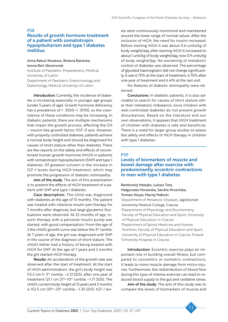#### P38

### Results of growth hormone treatment of a patient with somatotropin hypopituitarism and type 1 diabetes mellitus

### Anna Rakuś-Kwiatosz, Bożena Banecka, Iwona Beń-Skowronek

Institute of Paediatric Propedeutics, Medical University of Lublin Department of Paediatric Endocrinology and Diabetology, Medical University of Lublin

Introduction: Currently, the incidence of diabetes is increasing especially in younger age groups (under 5 years of age). Growth hormone deficiency has a prevalence of 1:3500-1:8700, so the coexistence of these conditions may be increasing. In diabetic patients, there are multiple mechanisms that impair the growth process, affecting the GH – insulin-like growth factor (IGF-1) axis. However, with properly controlled diabetes, patients achieve a normal body height and should be diagnosed for causes of short stature other than diabetes. There are few reports on the safety and effects of recombinant human growth hormone (rhGH) in patients with somatotropin hypopituitarism (SNP) and type 1 diabetes. Of greatest concern is the increase in IGF-1 levels during rhGH treatment, which may promote the progression of diabetic retinopathy.

Aim of the study: The aim of this presentation is to present the effects of rhGH treatment of a patient with SNP and type 1 diabetes.

Case description: The child was diagnosed with diabetes at the age of 15 months. The patient was treated with intensive insulin pen therapy for 7 months after diagnosis, but large glycaemic fluctuations were observed. At 22 months of age, insulin therapy with a personal insulin pump was started, with good compensation. From the age of 2 the child's growth curve was below the  $3<sup>rd</sup>$  centile. At 7 years of age, the girl was diagnosed with SNP in the course of the diagnosis of short stature. The child's father had a history of being treated with rhGH for SNP. At the age of 7 years and 2 months the girl started rhGH therapy.

Results: An acceleration of the growth rate was observed after the start of treatment. At the start of rhGH administration, the girl's body height was 113.2 cm (< 3rd centile, -2.13 SDS), after one year of treatment 121.1 cm  $(3<sup>rd</sup>-10<sup>th</sup>$  centile,  $-1.71$  SDS). The child's current body height at 13 years and 3 months is 152.5 cm (10th–25th centile; –1.35 SDS). IGF-1 levels were continuously monitored and maintained around the lower range of normal values. After the inclusion of rhGH, the need for insulin increased. Before starting rhGH it was about 0.6 units/kg of body weight/day, after starting rhGH it increased to about 1 unit/kg of body weight/day, now 0.9 units/kg of body weight/day. No worsening of metabolic control of diabetes was observed. The percentage of glycated haemoglobin did not change significantly. It was 6.70% at the start of treatment, 6.70% after one year of treatment and 6.41% at the last visit.

No features of diabetic retinopathy were observed.

Conclusions: In diabetic patients, it is also advisable to search for causes of short stature other than metabolic imbalance, since children with well-controlled diabetes do not present growth disturbances. Based on the literature and our own observations, it appears that rhGH treatment of children with diabetes is safe and beneficial. There is a need for larger group studies to assess the safety and effects of rhGH therapy in children with type 1 diabetes.

#### P39

### Levels of biomarkers of muscle and bowel damage after exercise with predominantly eccentric contractions in men with type 1 diabetes

Bartłomiej Matejko, Łukasz Tota, Małgorzata Morawska, Sandra Mrozińska, Tomasz Klupa, Maciej Małecki 1 Department of Metabolic Diseases, Jagiellonian University Medical College, Cracow 2 Department of Physiology and Biochemistry, Faculty of Physical Education and Sport, University of Physical Education in Cracow 3 Department of Sports Medicine and Human Nutrition, Faculty of Physical Education and Sport, University of Physical Education in Cracow, Poland 4 University Hospital in Cracow

Introduction: Eccentric exercise plays an important role in building overall fitness, but compared to concentric or isometric contractions, it leads to more muscle damage from micro-injuries. Furthermore, the redistribution of blood flow during this type of intense exercise can lead to reduced blood supply to the gut and oxidative stress.

Aim of the study: The aim of this study was to compare the levels of biomarkers of muscle and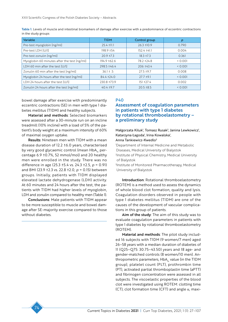| Variable                                    | <b>TIDM</b>      | Control group    | p     |
|---------------------------------------------|------------------|------------------|-------|
| Pre-test myoglobin [ng/ml]                  | $25.4 \pm 11.1$  | $26.3 \pm 10.9$  | 0.790 |
| Pre-test LDH [U/l]                          | 198.9 ±54        | $152.4 \pm 41.1$ | 0.004 |
| Pre-test zonulin [ng/ml]                    | $20.9 \pm 7.3$   | $18.3 \pm 7.3$   | 0.361 |
| Myoglobin 60 minutes after the test [ng/ml] | 194.9 ±62.6      | 78.2 ± 24.8      | 0.001 |
| LDH 60 min after the test [U/l]             | $298.5 \pm 46.4$ | $206 \pm 43.4$   | 0.001 |
| Zonulin 60 min after the test [ng/ml]       | $36.1 \pm .5$    | $27.5 \pm 9.7$   | 0.008 |
| Myoglobin 24 hours after the test [ng/ml]   | 84.4 ± 24.0      | $27.7 \pm 9.1$   | 0.001 |
| LDH 24 hours after the test [U/l]           | 230.8 ±73.9      | $151 + 27.4$     | 0.002 |
| Zonulin 24 hours after the test [ng/ml]     | $40.4 \pm 9.7$   | $20.5 \pm 8.5$   | 0.001 |

Table 1. Levels of muscle and intestinal biomarkers of damage after exercise with a predominance of eccentric contractions in the study groups

bowel damage after exercise with predominantly eccentric contractions (SE) in men with type 1 diabetes mellitus (T1DM) and healthy subjects.

Material and methods: Selected biomarkers were assessed after a 30-minute run on an incline treadmill (10% incline) with a load of 5% of the patient's body weight at a maximum intensity of 60% of maximal oxygen uptake.

Results: Nineteen men with T1DM with a mean disease duration of 12.2 ±6.0 years, characterised by very good glycaemic control (mean HbA<sub>1c</sub> percentage 6.9 ±0.7%, 52 mmol/mol) and 20 healthy men were enrolled in the study. There was no difference in age (25.3 ±5.4 vs. 24.3 ±2.5, *p* = 0.91) and BMI (23.9 ±2.3 vs. 22.8 ±2.0, *p* = 0.15) between groups. Initially, patients with T1DM displayed elevated lactate dehydrogenase (LDH) activity. At 60 minutes and 24 hours after the test, the patients with T1DM had higher levels of myoglobin, LDH and zonulin compared to healthy men (Table 1).

Conclusions: Male patients with T1DM appear to be more susceptible to muscle and bowel damage after SE-majority exercise compared to those without diabetes.

#### P40

### Assessment of coagulation parameters in patients with type 1 diabetes by rotational thromboelastometry – a preliminary study

Małgorzata Kiluk<sup>1</sup>, Tomasz Rusak<sup>2</sup>, Janina Lewkowicz<sup>1</sup>, Katarzyna Łagoda<sup>1</sup>, Irina Kowalska<sup>1</sup>,

#### Anna Tankiewicz-Kwedlo<sup>3</sup>

1 Department of Internal Medicine and Metabolic Diseases, Medical University of Bialystok 2 Institute of Physical Chemistry, Medical University of Bialystok

3 Institute of Monitored Pharmacotherapy, Medical University of Bialystok

Introduction: Rotational thromboelastometry (ROTEM) is a method used to assess the dynamics of whole blood clot formation, quality and lysis. Coagulation disorders observed in people with type 1 diabetes mellitus (T1DM) are one of the causes of the development of vascular complications in this group of patients.

Aim of the study: The aim of this study was to evaluate coagulation parameters in patients with type 1 diabetes by rotational thromboelastometry (ROTEM).

Material and methods: The pilot study included 16 subjects with T1DM (9 women/7 men) aged 26–58 years with a median duration of diabetes of 11 (Q25–Q75: 30.75–43.50) years and 18 age- and gender-matched controls (8 women/10 men). Anthropometric parameters,  $HbA_{1c}$  value (in the T1DM group), platelet count (PLT), prothrombin time (PT), activated partial thromboplastin time (aPTT) and fibrinogen concentration were assessed in all subjects. The viscoelastic properties of the blood clot were investigated using ROTEM: clotting time (CT), clot formation time (CFT) and angle  $\alpha$ , maxi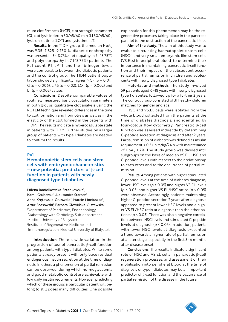mum clot firmness (MCF), clot strength parameter (G), clot lysis index in 30/45/60 min (LI 30/45/60), lysis onset time (LOT) and lysis time (LT).

**Results:** In the T1DM group, the median  $HbA<sub>1c</sub>$ was 9.35 (7.825–9.750)%, diabetic nephropathy was present in 3 (18.75%), retinopathy in 7 (43.75%) and polyneuropathy in 7 (43.75%) patients. The PLT count, PT, aPTT, and the fibrinogen levels were comparable between the diabetic patients and the control group. The T1DM patient population showed significantly higher MCF (*p* = 0.01), G (*p* = 0.006), LI45 (*p* = 0.02), LOT (*p* = 0.002) and LT (*p* = 0.002) values.

Conclusions: Despite comparable values of routinely measured basic coagulation parameters in both groups, qualitative clot analysis using the ROTEM technique revealed differences in the time to clot formation and fibrinolysis as well as in the elasticity of the clot formed in the patients with T1DM. The results indicate a hypercoagulable state in patients with T1DM. Further studies on a larger group of patients with type 1 diabetes are needed to confirm the results.

### P41

Hematopoietic stem cells and stem cells with embryonic characteristics – new potential predictors of β-cell function in patients with newly diagnosed type 1 diabetes

Milena Jamiołkowska-Sztabkowska<sup>1</sup>, Kamil Grubczak<sup>2</sup>, Aleksandra Starosz<sup>2</sup>, Anna Krętowska-Grunwald<sup>2</sup>, Marcin Moniuszko<sup>2</sup>, Artur Bossowski<sup>1</sup>, Barbara Głowińska-Olszewska<sup>1</sup> 1 Department of Paediatrics, Endocrinology, Diabetology with Cardiology Sub-department, Medical University of Bialystok 2 Institute of Regenerative Medicine and Immunoregulation, Medical University of Bialystok

Introduction: There is wide variation in the progression of loss of pancreatic β-cell function among patients with type 1 diabetes. While some patients already present with only trace residual endogenous insulin secretion at the time of diagnosis, in others a phenomenon of partial remission can be observed, during which normoglycaemia and good metabolic control are achievable with low daily insulin requirements. However, predicting which of these groups a particular patient will belong to still poses many difficulties. One possible

explanation for this phenomenon may be the regenerative processes taking place in the pancreas parallel to the destruction of the pancreatic islets.

Aim of the study: The aim of this study was to evaluate circulating haematopoietic stem cells (HSCs) and very-small embryonic like stem cells (VS.ELs) in peripheral blood, to determine their importance in maintaining pancreatic β-cell function and their impact on the subsequent occurrence of partial remission in children and adolescents with newly diagnosed type 1 diabetes.

Material and methods: The study involved 59 patients aged 6–18 years with newly diagnosed type 1 diabetes, followed up for a further 2 years. The control group consisted of 31 healthy children matched for gender and age.

HSC and VS.EL cells were isolated from the whole blood collected from the patients at the time of diabetes diagnosis, and identified by four-colour flow cytometry. Pancreatic β-cell function was assessed indirectly by determining C-peptide secretion at diagnosis and after 2 years. Partial remission of diabetes was defined as insulin requirement < 0.5 units/kg/24 h with maintenance of  $HbA<sub>1c</sub>$  < 7%. The study group was divided into subgroups on the basis of median VS.EL, HSC and C-peptide levels with respect to their relationship to each other and to the occurrence of partial remission.

Results: Among patients with higher stimulated C-peptide levels at the time of diabetes diagnosis, lower HSC levels (*p* < 0.05) and higher VS.EL levels (*p* < 0.05) and higher VS.EL/HSC ratios (*p* < 0.05) were observed. Accordingly, patients maintaining higher C-peptide secretion 2 years after diagnosis appeared to present lower HSC levels and a higher VS.EL/HSC ratio at diagnosis than the other patients (*p* < 0.05). There was also a negative correlation between HSC levels and stimulated C-peptide levels at diagnosis (*p* < 0.05). In addition, patients with lower HSC levels at diagnosis presented a trend towards a higher rate of partial remission at a later stage, especially in the first 3–6 months after disease onset.

Conclusions: The results indicate a significant role of HSC and VS.EL cells in pancreatic β-cell regeneration processes, and assessment of their mobilisation into peripheral blood at the time of diagnosis of type 1 diabetes may be an important predictor of β-cell function and the occurrence of partial remission of the disease in the future.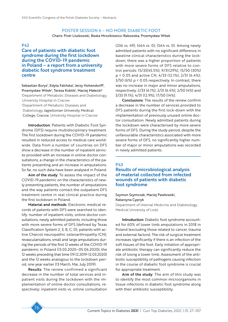# POSTER SESSION 6 – NO MORE DIABETIC FOOT

Chairs: Piotr Liszkowski, Beata Mrozikiewicz-Rakowska, Przemysław Witek

### P42

Care of patients with diabetic foot syndrome during the first lockdown during the COVID-19 pandemic in Poland – a report from a university diabetic foot syndrome treatment centre

Sebastian Borys<sup>ı</sup>, Edyta Falińska<sup>ı</sup>, Jerzy Hohendorff<sup>2</sup>, Przemysław Witek<sup>2</sup>, Teresa Koblik<sup>1</sup>, Maciej Małecki<sup>2</sup> 1 Department of Metabolic Diseases and Diabetology, University Hospital in Cracow 2 Department of Metabolic Diseases and Diabetology, Jagiellonian University Medical College, Cracow, University Hospital in Cracow

Introduction: Patients with Diabetic Foot Syndrome (DFS) require multidisciplinary treatment. The first lockdown during the COVID-19 pandemic resulted in reduced access to medical care worldwide. Data from a number of countries on DFS show a decrease in the number of inpatient services provided with an increase in online doctor consultations, a change in the characteristics of the patients presenting and an increase in amputations. So far, no such data have been analysed in Poland.

Aim of the study: To assess the impact of the COVID-19 pandemic on the characteristics of newly presenting patients, the number of amputations and the way patients contact the outpatient DFS treatment centre in real clinical practice during the first lockdown in Poland.

Material and methods: Electronic medical records of patients with DFS were searched to identify: number of inpatient visits, online doctor consultations, newly admitted patients, including those with more severe forms of DFS (defined by Texas Classification System 2; 3; B; C; D), patients with active Charcot neuropathic osteoarthropathy (CN), revascularisations, small and large amputations during the periods of the first 12 weeks of the COVID-19 pandemic in Poland (13.03.2020–05.06.2020), the 12 weeks preceding that time (19.12.2019-12.03.2020) and the 12 weeks analogous to the lockdown period, one year earlier (13 March, Mai, July 2019).

Results: The review confirmed a significant decrease in the number of total services and inpatient visits during the lockdown with the implementation of online doctor consultations, respectively: inpatient visits vs. online consultation (236 vs. 49); (464 vs. 0); (564 vs. 0). Among newly admitted patients with no significant difference in baseline clinical characteristics during the lockdown, there was a higher proportion of patients with more severe forms of DFS relative to control periods: 15/33(45.5%); 9/31(29%); 15/50 (30%) *p* < 0.05 and active CN, 4/33 (12.1%); 2/31 (6.4%); 3/50 (6%) *p* < 0.05 respectively. In contrast, there was no increase in major and minor amputations, respectively: 2/33 (6.1%); 2/31 (6.4%); 2/50 (4%) and 3/33 (9.1%), 4/31 (12.9%), 17/50 (14%).

Conclusions: The results of the review confirm a decrease in the number of services provided to DFS patients during the first lock-down with the implementation of previously unused online doctor consultation. Newly admitted patients during the lockdown were characterised by more severe forms of DFS. During the study period, despite the unfavourable characteristics associated with more severe forms of DFS, no significantly higher number of major or minor amputations was recorded in newly admitted patients.

#### P43

### Results of microbiological analysis of material collected from infected wounds of patients with diabetic foot syndrome

### Szymon Szymczak, Maciej Pawłowski, Katarzyna Cypryk

Department of Internal Medicine and Diabetology, Medical University of Lodz

Introduction: Diabetic foot syndrome accounted for 60% of lower limb amputations in 2018 in Poland (excluding those related to cancer, trauma and external factors). The risk of surgical treatment increases significantly if there is an infection of the soft tissues of the foot. Early initiation of appropriate antibiotic therapy can significantly reduce the risk of losing a lower limb. Assessment of the antibiotic susceptibility of pathogens causing infection in the course of diabetic foot syndrome is crucial for appropriate treatment.

Aim of the study: The aim of this study was to identify the most common microorganisms in tissue infections in diabetic foot syndrome along with their antibiotic susceptibility.

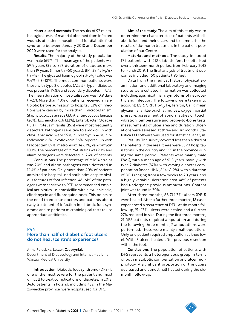Material and methods: The results of 92 microbiological tests of material obtained from infected wounds of patients hospitalised for diabetic foot syndrome between January 2018 and December 2020 were used for the analysis.

Results: The majority of the study population was male (69%). The mean age of the patients was 59.9 years (35 to 87), duration of diabetes more than 19 years (1 month  $-50$  years), BMI 29.45 kg/m<sup>2</sup> (19–43). The glycated haemoglobin (HbA<sub>1c</sub>) value was 9.4% (5.3–18%). The most common patients were those with type 2 diabetes (72.5%). Type 1 diabetes was present in 19.8% and secondary diabetes in 7.7%. The mean duration of hospitalisation was 10.9 days (1–27). More than 40% of patients received an antibiotic before admission to hospital, 53% of infections were caused by more than 1 microorganism. Staphylococcus aureus (33%), Enterococcus faecalis (26%), Escherichia coli (22%), Enterobacter Cloacae (18%), Proteus mirabilis (15%) were most frequently detected. Pathogens sensitive to amoxicillin with clavulanic acid were 59%, clindamycin 46%, ciprofloxacin 61%, levofloxacin 56%, piperacillin with tazobactam 89%, metronidazole 67%, vancomycin 100%. The percentage of MRSA strains was 20% and alarm pathogens were detected in 12.4% of patients.

Conclusions: The percentage of MRSA strains was 20% and alarm pathogens were detected in 12.4% of patients. Only more than 40% of patients admitted to hospital used antibiotics despite obvious features of foot infection. 46–61% of the pathogens were sensitive to PTD-recommended empirical antibiotics, i.e. amoxicillin with clavulanic acid, clindamycin and fluoroquinolones. This points to the need to educate doctors and patients about early treatment of infection in diabetic foot syndrome and to perform microbiological tests to use appropriate antibiotics.

# $\overline{P}4$

# More than half of diabetic foot ulcers do not heal (centre's experience)

#### Anna Poradzka, Leszek Czupryniak

Department of Diabetology and Internal Medicine, Warsaw Medical University

Introduction: Diabetic foot syndrome (DFS) is one of the most severe for the patient and most difficult to treat complications of diabetes. In 2018, 3436 patients in Poland, including 482 in the Mazowieckie province, were hospitalised for DFS.

Aim of the study: The aim of this study was to determine the characteristics of patients with diabetic foot and their ulcers and to summarise the results of six-month treatment in the patient population of our Centre.

Material and methods: The study included 174 patients with 212 diabetic feet hospitalised over a thirteen-month period: from February 2018 to March 2019. The final analysis of treatment outcomes included 160 patients (195 feet).

Data from the medical history, physical examination, and additional laboratory and imaging studies were collated. Information was collected including: age, nicotinism, symptoms of neuropathy and infection. The following were taken into account: ESR, CRP, HbA $_{1c}$ , Fe, ferritin, Ca, P, mean glycaemia, ankle-brachial indices, oxygen partial pressure, assessment of abnormalities of touch, vibration, temperature and probe-to-bone tests, measurements of ulcer area and duration. Ulcerations were assessed at three and six months. Statistica 13.1 software was used for statistical analysis.

Results: The survey covered less than a third of the patients in the area (there were 3890 hospitalisations in the country and 555 in the province during the same period). Patients were mainly male (74%), with a mean age of 61.8 years, mainly with type 2 diabetes (87%), with varying diabetes compensation (mean  $HbA<sub>1c</sub> 8.14+/–2%)$ , with a duration of DFU ranging from a few weeks to 20 years, and a highly variable ulceration area. 48% of patients had undergone previous amputations. Charcot joint was found in 30%.

After three months, 68 (34.7%) ulcers (DFU) were healed. After a further three months, 18 cases experienced a recurrence of DFU. At six-month follow-up, 91 (47%) ulcers were healed and a further 27% reduced in size. During the first three months, 21 DFS patients required amputation and during the following three months, 7 amputations were performed. These were mainly small operations. Only one patient required amputation at knee level. With 13 ulcers healed after previous resection within the foot.

Conclusions: The population of patients with DFS represents a heterogeneous group in terms of both metabolic compensation and ulcer morphology. A significant proportion of the ulcers decreased and almost half healed during the sixmonth follow-up.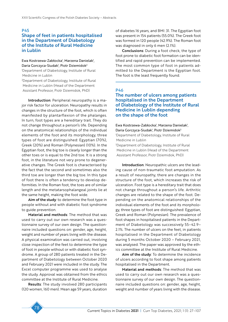#### P45

### Shape of feet in patients hospitalised in the Department of Diabetology of the Institute of Rural Medicine in Lublin

#### Ewa Kostrzewa-Zabłocka<sup>,</sup> Marzena Danielak<sup>1</sup>, Daria Gorczyca-Siudak<sup>1</sup>, Piotr Dziemidok<sup>2</sup>

1 Department of Diabetology, Institute of Rural Medicine in Lublin

2 Department of Diabetology, Institute of Rural Medicine in Lublin (Head of the Department Assistant Professor, Piotr Dziemidok, PhD)

Introduction: Peripheral neuropathy is a major risk factor for ulceration. Neuropathy results in changes in the structure of the foot, which is often manifested by plantarflexion of the phalanges. In turn, foot types are a hereditary trait. They do not change throughout a person's life. Depending on the anatomical relationships of the individual elements of the foot and its morphology, three types of foot are distinguished: Egyptian (70%), Greek (20%) and Roman (Polynesian) (10%). In the Egyptian foot, the big toe is clearly longer than the other toes or is equal to the 2nd toe. It is a strong foot, in the literature not very prone to degenerative changes. The Greek foot is characterised by the fact that the second and sometimes also the third toe are longer than the big toe. In this type of foot there is often a tendency to develop deformities. In the Roman foot, the toes are of similar length and the metatarsophalangeal joints lie at the same height, making the foot wide.

Aim of the study: to determine the foot type in people without and with diabetic foot syndrome to guide prevention.

Material and methods: The method that was used to carry out our own research was a questionnaire survey of our own design. The questionnaire included questions on: gender, age, height, weight and number of years living with the disease. A physical examination was carried out, involving close inspection of the feet to determine the type of foot in people without or with diabetic foot syndrome. A group of 280 patients treated in the Department of Diabetology between October 2020 and February 2021 were included in the study. The Excel computer programme was used to analyse the study. Approval was obtained from the ethics committee at the Institute of Rural Medicine.

Results: The study involved 280 participants (120 women, 160 men). Mean age 59 years, duration of diabetes 16 years, and BMI: 31. The Egyptian foot was present in 154 patients (55.0%). The Greek foot was formed in 120 people (42.9%). The Roman foot was diagnosed in only 6 men (2.1%).

Conclusions: During a foot check, the type of foot prone to diabetic foot formation can be identified and rapid prevention can be implemented. The most common type of foot in patients admitted to the Department is the Egyptian foot. The foot is the least frequently found.

# P46

### The number of ulcers among patients hospitalised in the Department of Diabetology of the Institute of Rural Medicine in Lublin depending on the shape of the foot

Ewa Kostrzewa-Zabłocka<sup>1</sup>, Marzena Danielak<sup>1</sup>, Daria Gorczyca-Siudak<sup>1</sup>, Piotr Dziemidok<sup>2</sup> 1 Department of Diabetology, Institute of Rural Medicine in Lublin

2 Department of Diabetology, Institute of Rural Medicine in Lublin (Head of the Department Assistant Professor, Piotr Dziemidok, PhD)

Introduction: Neuropathic ulcers are the leading cause of non-traumatic foot amputation. As a result of neuropathy, there are changes in the structure of the foot, which increases the risk of ulceration. Foot type is a hereditary trait that does not change throughout a person's life. Arthritic changes are related to the shape of the foot. Depending on the anatomical relationships of the individual elements of the foot and its morphology, three types of foot are distinguished: Egyptian, Greek and Roman (Polynesian). The prevalence of foot shapes in hospitalised patients in the Department of Diabetology was successively 55–42.9– 2.1%. The number of ulcers on the feet, in patients hospitalised in the Department of Diabetology during 5 months October 2020 – February 2021, was analysed. The paper was approved by the ethics committee at the Institute of Rural Medicine.

Aim of the study: To determine the incidence of ulcers according to foot shape among patients hospitalised in the Department.

Material and methods: The method that was used to carry out our own research was a questionnaire survey of our own design. The questionnaire included questions on: gender, age, height, weight and number of years living with the disease.

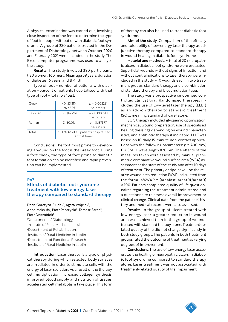A physical examination was carried out, involving close inspection of the feet to determine the type of foot in people without or with diabetic foot syndrome. A group of 280 patients treated in the Department of Diabetology between October 2020 and February 2021 were included in the study. The Excel computer programme was used to analyse the study.

Results: The study involved 280 participants (120 women, 160 men). Mean age 59 years, duration of diabetes 16 years, and BMI: 31.

Type of foot – number of patients with ulceration –percent of patients hospitalised with that type of foot – total  $p \chi^2$  test:

| Greek    | 40 (33.31%)<br>2042.9%                                   | $p = 0.002231$<br>vs. others |  |
|----------|----------------------------------------------------------|------------------------------|--|
| Egyptian | 25 (16.2%)                                               | $p = 0.000513$<br>vs. others |  |
| Roman    | $3(50.0\%)$                                              | $p = 0.137577$<br>vs. others |  |
| Total    | 68 (24.3% of all patients hospitalised<br>at that time). |                              |  |

Conclusions: The foot most prone to developing a wound on the foot is the Greek foot. During a foot check, the type of foot prone to diabetic foot formation can be identified and rapid prevention can be implemented.

#### **P47**

### Effects of diabetic foot syndrome treatment with low energy laser therapy compared to standard therapy

Daria Gorczyca-Siudak<sup>1</sup>, Agata Wójciak<sup>2</sup>, Anna Meksuła<sup>1</sup>, Piotr Paprzycki<sup>3</sup>, Tomasz Saran<sup>2</sup>, Piotr Dziemidok<sup>1</sup>

1 Department of Diabetology, Institute of Rural Medicine in Lublin 2 Department of Rehabilitation, Institute of Rural Medicine in Lublin 3 Department of Functional Research, Institute of Rural Medicine in Lublin

Introduction: Laser therapy is a type of physical therapy during which selected body surfaces are irradiated in order to stimulate cells with the energy of laser radiation. As a result of the therapy, cell multiplication, increased collagen synthesis, improved blood supply and nutrition of tissues, accelerated cell metabolism take place. This form

of therapy can also be used to treat diabetic foot syndrome.

Aim of the study: Comparison of the efficacy and tolerability of low-energy laser therapy as adjunctive therapy compared to standard therapy in wound healing in diabetic foot syndrome.

Material and methods: A total of 20 neuropathic ulcers in diabetic foot syndrome were evaluated. Superficial wounds without signs of infection and without contraindications to laser therapy were included in the study – 10 wounds each in two treatment groups: standard therapy and a combination of standard therapy and biostimulation laser.

The study was a prospective randomised controlled clinical trial. Randomised therapies included the use of low-level laser therapy (LLLT) as an add-on therapy to standard treatment (SOC, meaning standard of care) alone.

SOC therapy included glycaemic optimisation, mechanical wound preparation, use of specialised healing dressings depending on wound characteristics, and antibiotic therapy if indicated. LLLT was based on 10 daily 15-minute non-contact applications with the following parameters: *p* = 400 mW, E = 360 J, wavelength 820 nm. The effects of the measures taken were assessed by manual planimetric comparative wound surface area (WSA) assessment at the start of the study and after 10 days of treatment. The primary endpoint will be the relative wound area reduction (WAR) calculated from the formula%WAR = (arealast–areat0)/areat0) × 100. Patients completed quality of life questionnaires regarding the treatment administered and a questionnaire to assess overall improvement or clinical change. Clinical data from the patients' history and medical records were also assessed.

Results: In the group of ulcers treated with low-energy laser, a greater reduction in wound area was achieved than in the group of wounds treated with standard therapy alone. Treatment-related quality of life did not change significantly in both study groups. The patients in both treatment groups rated the outcome of treatment as varying degrees of improvement.

Conclusions: The use of low energy laser accelerates the healing of neuropathic ulcers in diabetic foot syndrome compared to standard therapy alone. Laser treatment was not associated with treatment-related quality of life impairment.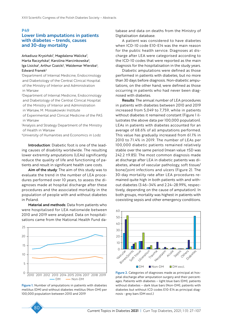#### P49

### Lower limb amputations in patients with diabetes – trends, causes and 30-day mortality

#### Arkadiusz Krysiński<sup>ı</sup>, Magdalena Walicka<sup>2</sup>, Marta Raczyńska<sup>3</sup>, Karolina Marcinkowska<sup>3</sup>, lga Lisicka<sup>3</sup>, Arthur Czaicki<sup>1</sup>, Waldemar Wierzba<sup>4</sup>, Edward Franek<sup>2</sup>

1 Department of Internal Medicine, Endocrinology and Diabetology of the Central Clinical Hospital of the Ministry of Interior and Administration in Warsaw

2 Department of Internal Medicine, Endocrinology and Diabetology of the Central Clinical Hospital of the Ministry of Interior and Administration in Warsaw, M. Mossakowski Institute

of Experimental and Clinical Medicine of the PAS in Warsaw

3 Analysis and Strategy Department of the Ministry of Health in Warsaw

4 University of Humanities and Economics in Lodz

Introduction: Diabetic foot is one of the leading causes of disability worldwide. The resulting lower extremity amputations (LEAs) significantly reduce the quality of life and functioning of patients and result in significant health care costs.

Aim of the study: The aim of this study was to evaluate the trend in the number of LEA procedures performed over 10 years, to assess the diagnoses made at hospital discharge after these procedures and the associated mortality in the population of people with and without diabetes in Poland.

Material and methods: Data from patients who were hospitalised for LEA nationwide between 2010 and 2019 were analysed. Data on hospitalisations came from the National Health Fund da-



Figure 1. Number of amputations in patients with diabetes mellitus (DM) and without diabetes mellitus (Non-DM) per 100,000 population between 2010 and 2019

tabase and data on deaths from the Ministry of Digitalisation database.

A patient was considered to have diabetes when ICD-10 code E10-E14 was the main reason for the public health service. Diagnoses at discharge after LEA were categorised according to the ICD-10 codes that were reported as the main diagnosis for the hospitalisation in the study years.

Diabetic amputations were defined as those performed in patients with diabetes, but no more than 30 days before diagnosis. Non-diabetic amputations, on the other hand, were defined as those occurring in patients who had never been diagnosed with diabetes.

Results: The annual number of LEA procedures in patients with diabetes between 2010 and 2019 increased from 5,049 to 7,759, while in patients without diabetes it remained constant (Figure 1 illustrates the above data per 100,000 population). LEAs in patients with diabetes accounted for an average of 68.6% of all amputations performed. This value has gradually increased from 61.1% in 2010 to 71.4% in 2019. The number of LEAs per 100,000 diabetic patients remained relatively stable over the same period (mean value ±SD was 242.2 ±9.85). The most common diagnosis made at discharge after LEA in diabetic patients was diabetes, ahead of vascular pathology, soft tissue/ bone/joint infections and ulcers (Figure 2). The 30-day mortality rate after LEA procedures remained quite high in both patients with and without diabetes (3.46–34% and 2.24–28.99%, respectively, depending on the cause of amputation). In both groups, mortality was highest in patients with coexisting sepsis and other emergency conditions.



Figure 2. Categories of diagnoses made as principal at hospital discharge after amputation surgery and their percentages. Patients with diabetes – light blue bars (DM), patients without diabetes – dark blue bars (Non-DM), patients with diabetes but without ICD codes E10-E14 as principal diagnosis - grey bars (DM excl.)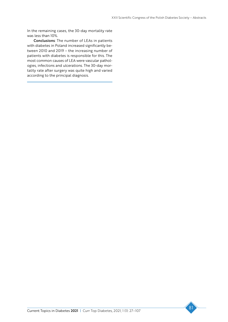In the remaining cases, the 30-day mortality rate was less than 10%.

Conclusions: The number of LEAs in patients with diabetes in Poland increased significantly between 2010 and 2019 – the increasing number of patients with diabetes is responsible for this. The most common causes of LEA were vascular pathologies, infections and ulcerations. The 30-day mortality rate after surgery was quite high and varied according to the principal diagnosis.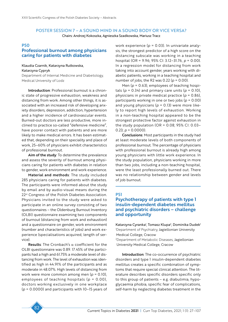# POSTER SESSION 7 – A SOUND MIND IN A SOUND BODY OR VICE VERSA?

Chairs: Andrzej Kokoszka, Agnieszka Szadkowska, Mariusz Tracz

### **P50**

# Professional burnout among physicians caring for patients with diabetes

### Klaudia Czarnik, Katarzyna Rutkowska,

#### Katarzyna Cypryk

Department of Internal Medicine and Diabetology, Medical University of Lodz

Introduction: Professional burnout is a chronic state of progressive exhaustion, weakness and distancing from work. Among other things, it is associated with an increased risk of developing anxiety disorders, depression, addiction, hypertension and a higher incidence of cardiovascular events. Burned-out doctors are less productive, more inclined to practice so-called "defensive medicine", have poorer contact with patients and are more likely to make medical errors. It has been estimated that, depending on their speciality and place of work, 25–60% of physicians exhibit characteristics of professional burnout.

Aim of the study: To determine the prevalence and assess the severity of burnout among physicians caring for patients with diabetes in relation to gender, work environment and work experience.

Material and methods: The study included 285 physicians caring for patients with diabetes. The participants were informed about the study by email and by audio-visual means during the 22<sup>st</sup> Congress of the Polish Diabetes Association. Physicians invited to the study were asked to participate in an online survey consisting of two questionnaires – the Oldenburg Burnout Inventory (OLBI) questionnaire examining two components of burnout (distancing from work and exhaustion) and a questionnaire on gender, work environment (number and characteristics of jobs) and work experience (specialisations acquired, length of service).

Results: The Cronbach's  $\alpha$  coefficient for the OLBI questionnaire was 0.89. 17.45% of the participants had a high and 61.75% a moderate level of distancing from work. The level of exhaustion was identified as high in 44.91% of the participants and as moderate in 48.07%. High levels of distancing from work were more common among men (*p* = 0.10), employees of teaching hospitals (*p* = 0.00), doctors working exclusively in one workplace (*p* = 0.0000) and participants with 10–15 years of work experience (*p* = 0.03). In univariate analysis, the strongest predictor of a high score on the distancing subscale was working in a teaching hospital (OR = 9.96; 95% CI: 3.12–31.76, *p* = 0.00). In a regression model for distancing from work taking into account gender, years working with diabetic patients, working in a teaching hospital and number of jobs, the R2 was  $0.22$  ( $p = 0.00$ ).

Men (*p* = 0.63), employees of teaching hospitals ( $p = 0.34$ ) and primary care units ( $p = 0.10$ ), physicians in private medical practice (*p* = 0.86), participants working in one or two jobs (*p* = 0.00) and young physicians (*p* = 0.13) were more likely to report high levels of exhaustion. Working in a non-teaching hospital appeared to be the strongest protective factor against exhaustion in the study population (OR =  $0.08$ ; 95% CI: 0.03-0.23;  $p = 0.0000$ ).

Conclusions: Most participants in the study had at least moderate levels of both components of professional burnout. The percentage of physicians with professional burnout is already high among young physicians with little work experience. In the study population, physicians working in more than two jobs, including a non-teaching hospital, were the least professionally burned out. There was no relationship between gender and levels of job burnout.

#### P51

# Psychotherapy of patients with type 1 insulin-dependent diabetes mellitus and psychiatric disorders – challenge and opportunity

Katarzyna Cyranka<sup>1</sup>, Tomasz Klupa<sup>2</sup>, Dominika Dudek<sup>1</sup> 1 Department of Psychiatry, Jagiellonian University Medical College, Cracow

2 Department of Metabolic Diseases, Jagiellonian University Medical College, Cracow

Introduction: The co-occurrence of psychiatric disorders and type 1 insulin-dependent diabetes mellitus creates a specific combination of symptoms that require special clinical attention. The literature describes specific disorders specific only to this group of patients – e.g. diabulimia, hypoglycaemia phobia, specific fear of complications, self-harm by neglecting diabetes treatment in the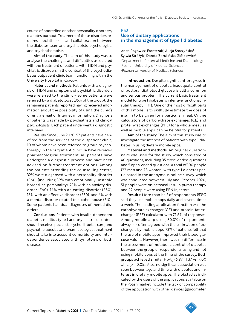course of bodrerline or other personality disorders, diabetes burnout. Treatment of these disorders requires specialist skills and collaboration between the diabetes team and psychiatrists, psychologists and psychotherapists.

Aim of the study: The aim of this study was to analyse the challenges and difficulties associated with the treatment of patients with T1DM and psychiatric disorders in the context of the psychodiabetes outpatient clinic team functioning within the University Hospital in Cracow.

Material and methods: Patients with a diagnosis of T1DM and symptoms of psychiatric disorders were referred to the clinic – some patients were referred by a diabetologist (35% of the group), the remaining patients reported having received information about the possibility of using the clinic's offer via email or Internet information. Diagnosis of patients was made by psychiatrists and clinical psychologists. Each patient underwent a diagnostic interview.

Results: Since June 2020, 57 patients have benefited from the services of the outpatient clinic, 10 of whom have been referred to group psychotherapy in the outpatient clinic, 14 have received pharmacological treatment, all patients have undergone a diagnostic process and have been advised on further treatment options. Among the patients attending the counselling centre, 32% were diagnosed with a personality disorder (F60) (including 39% with emotionally unstable borderline personality), 23% with an anxiety disorder (F40), 14% with an eating disorder (F50), 18% with an affective disorder (F30), and 4% with a mental disorder related to alcohol abuse (F10). Some patients had dual diagnoses of mental disorders.

Conclusions: Patients with insulin-dependent diabetes mellitus type 1 and psychiatric disorders should receive specialist psychodiabetes care, and psychotherapeutic and pharmacological treatment should take into account comorbidity and interdependence associated with symptoms of both diseases.

### P52 Use of dietary applications in the management of type 1 diabetes

Anita Rogowicz-Frontczak<sup>1</sup>, Alicja Sroczyńska<sup>2</sup>, Sylwia Stróżyk<sup>ı</sup>, Dorota Zozulińska-Ziółkiewicz<sup>ı</sup> 1 Department of Internal Medicine and Diabetology, Poznan University of Medical Sciences 2 Poznan University of Medical Sciences

Introduction: Despite significant progress in the management of diabetes, inadequate control of postprandial blood glucose is still a common and serious problem. The current basic treatment model for type 1 diabetes is intensive functional insulin therapy (FIT). One of the most difficult parts of this model is to skillfully estimate the dose of insulin to be given for a particular meal. Online calculators of carbohydrate exchanges (CE) and protein-fat exchanges (PFE) for a whole meal, as well as mobile apps, can be helpful for patients.

Aim of the study: The aim of this study was to investigate the interest of patients with type 1 diabetes in using dietary mobile apps.

Material and methods: An original questionnaire was used for the study, which consisted of 40 questions, including 35 close-ended questions and 5 open-ended questions. A total of 100 people (22 men and 78 women) with type 1 diabetes participated in the anonymous online survey, which was conducted between July and October 2020; 51 people were on personal insulin pump therapy and 49 people were using PEN injectors.

Results: More than half of respondents (53%) said they use mobile apps daily and several times a week. The leading application function was the carbohydrate exchanger (CE) and protein-fat exchanger (PFE) calculator with 71.6% of responses. Among mobile app users, 80.8% of respondents always or often agreed with the estimation of exchangers by mobile apps. 73% of patients felt that the use of mobile apps improved their blood glucose values. However, there was no difference in the assessment of metabolic control of diabetes between the group of respondents using and not using mobile apps at the time of the survey. Both groups achieved similar  $HbA_{1c}$  (6.87 ±1.37 vs. 7.00 ±1.12; *p* > 0.05). Also, no significant association was seen between age and time with diabetes and interest in dietary mobile apps. The obstacles indicated by the users of the applications available on the Polish market include the lack of compatibility of the application with other devices (glucometer,

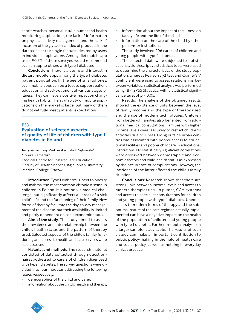sports watches, personal insulin pump) and health monitoring applications, the lack of information on physical activity management, and the lack of inclusion of the glycaemic index of products in the databases or the single features desired by users in individual applications. Among diet mobile app users, 90.5% of those surveyed would recommend such an app to others with type 1 diabetes.

Conclusions: There is a desire and interest in dietary mobile apps among the type 1 diabetes patient population. In the age of smartphones, such mobile apps can be a tool to support patient education and self-treatment at various stages of illness. They can have a positive impact on changing health habits. The availability of mobile applications on the market is large, but many of them do not yet fully meet patients' expectations.

#### **P53**

### Evaluation of selected aspects of quality of life of children with type 1 diabetes in Poland

#### Justyna Grudziąż-Sękowska', Jakub Sękowski', Monika Zamarlik2

1 Medical Centre for Postgraduate Education 2 Faculty of Health Sciences, Jagiellonian University Medical College, Cracow

Introduction: Type 1 diabetes is, next to obesity and asthma, the most common chronic disease in children in Poland. It is not only a medical challenge, but significantly affects all areas of a sick child's life and the functioning of their family. New forms of therapy facilitate the day-to-day management of the disease, but their availability is limited and partly dependent on socioeconomic status.

Aim of the study: The study aimed to assess the prevalence and interrelationship between the child's health status and the pattern of therapy used. Selected aspects of the child's family functioning and access to health and care services were also assessed.

Material and methods: The research material consisted of data collected through questionnaires addressed to carers of children diagnosed with type 1 diabetes. The survey questions were divided into four modules addressing the following issues respectively:

- demographics of the child and carer;
- information about the child's health and therapy;
- information about the impact of the illness on family life and the life of the child;
- information on the care of the child by other persons or institutions.

The study involved 206 carers of children and young people with type 1 diabetes.

The collected data were subjected to statistical analysis. Descriptive statistical tools were used to determine the characteristics of the study population, whereas Pearson's χ2 test and Cramer's V coefficient were used to assess relationships between variables. Statistical analysis was performed using IBM SPSS Statistics, with a statistical significance level of *p* < 0.05.

**Results:** The analysis of the obtained results showed the existence of links between the level of family income and the type of therapy used and the use of modern technologies. Children from better-off families also benefited from additional medical consultations. Families with higher income levels were less likely to restrict children's activities due to illness. Living outside urban centres was associated with poorer access to educational facilities and poorer childcare in educational institutions. No statistically significant correlations were observed between demographic and economic factors and child health status as expressed by the occurrence of complications. However, the incidence of the latter affected the child's family situation.

Conclusions: Research shows that there are strong links between income levels and access to modern therapies (insulin pumps, CGM systems) and access to specialist consultations for children and young people with type 1 diabetes. Unequal access to modern forms of therapy and the suboptimal nature of the care regimen actually implemented can have a negative impact on the health of the population of children and young people with type 1 diabetes. Further in-depth analysis on a larger sample is advisable. The results of such a study can make an important contribution to public policy-making in the field of health care and social policy, as well as helping in everyday clinical practice.

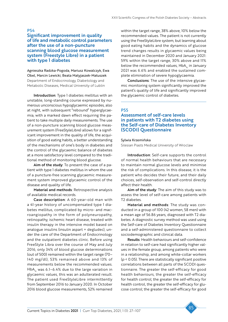#### P54

### Significant improvement in quality of life and metabolic control parameters after the use of a non-puncture scanning blood glucose measurement system (Freestyle Libre) in a patient with type 1 diabetes

Agnieszka Radzka-Pogoda, Mariusz Kowalczyk, Ewa Obel, Marcin Lewicki, Beata Matyjaszek-Matuszek Department of Endocrinology, Diabetology and Metabolic Diseases, Medical University of Lublin

Introduction: Type 1 diabetes mellitus with an unstable, long-standing course expressed by numerous unconscious hypoglycaemic episodes, also at night, with subsequent "rebound" hyperglycaemia, with a marked dawn effect requiring the patient to take multiple daily measurements. The use of a non-puncture scanning blood glucose measurement system (FreeStyleLibre) allows for a significant improvement in the quality of life, the acquisition of good eating habits, a better understanding of the mechanisms of one's body in diabetes and the control of the glycaemic balance of diabetes at a more satisfactory level compared to the traditional method of monitoring blood glucose.

Aim of the study: To present the case of a patient with type 1 diabetes mellitus in whom the use of a puncture-free scanning glycaemic measurement system improved glycaemic control of the disease and quality of life.

Material and methods: Retrospective analysis of available medical records.

Case description: A 60-year-old man with a 41-year history of uncompensated type 1 diabetes mellitus, complicated by micro- and macroangiopathy in the form of polyneuropathy, retinopathy, ischemic heart disease, treated with insulin therapy in the intensive model based on analogue insulins (insulin aspart + degludec), under the care of the Department of Endocrinology and the outpatient diabetes clinic. Before using FreeStyle Libra over the course of May and July 2016, only 34% of blood glucose determinations (out of 500) remained within the target range (70– 140 mg/dl), 53% remained above and 13% of measurements below the recommended values. HbA<sub>1c</sub> was 6.1–6.4% due to the large variation in glycaemic values, this was an adulterated result. The patient used FreeStyleLibre intermittently from September 2016 to January 2020. In October 2016 blood glucose measurements, 52% remained

within the target range, 38% above, 10% below the recommended values. The patient is not currently using the FreeStyleLibre system, but learning about good eating habits and the dynamics of glucose trend changes results in glycaemic values being maintained in December 2020 and January 2021: 59% within the target range, 30% above and 11% below the recommended values, HbA<sub>1c</sub> in January 2021 was 6.6% and enabled the sustained complete elimination of severe hypoglycaemia.

Conclusions: The use of the intensive glycaemic monitoring system significantly improved the patient's quality of life and significantly improved the glycaemic control of diabetes.

### **P55**

# Assessment of self-care levels in patients with T2 diabetes using the Self-care of Diabetes Inventory (SCODI) Questionnaire

#### Sylwia Krzemińska

Silesian Piasts Medical University of Wroclaw

Introduction: Self-care supports the control of normal health behaviours that are necessary to maintain normal glucose levels and minimise the risk of complications. In this disease, it is the patient who decides their future, and their daily choices, self-observation and self-control directly affect their health.

Aim of the study: The aim of this study was to assess the level of self-care among patients with T2 diabetes.

Material and methods: The study was conducted in a group of 100 (42 women, 58 men) with a mean age of 56.86 years, diagnosed with T2 diabetes. A diagnostic survey method was used using the Self-care of Diabetes Inventory Questionnaire and a self-administered questionnaire to collect sociodemographic and clinical data.

Results: Health behaviours and self-confidence in relation to self-care had significantly higher values in the female group, among patients who were in a relationship, and among white-collar workers (*p* < 0.05). There are statistically significant positive correlations between all parts of the SCODI questionnaire. The greater the self-efficacy for good health behaviours, the greater the self-efficacy for health control; the greater the self-efficacy for health control, the greater the self-efficacy for glucose control; the greater the self-efficacy for good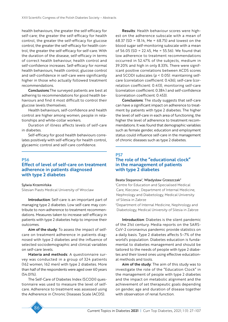health behaviours, the greater the self-efficacy for self-care; the greater the self-efficacy for health control, the greater the self-efficacy for glucose control; the greater the self-efficacy for health control, the greater the self-efficacy for self-care. With the duration of the disease, self-efficacy in terms of correct health behaviour, health control and self-confidence increases. Self-efficacy for normal health behaviours, health control, glucose control and self-confidence in self-care were significantly higher in those who actually followed treatment recommendations.

Conclusions:The surveyed patients are best at adhering to recommendations for good health behaviours and find it most difficult to control their glucose levels themselves.

Health behaviours, self-confidence and health control are higher among women, people in relationships and white-collar workers.

Duration of illness affects levels of self-care in diabetes.

Self-efficacy for good health behaviours correlates positively with self-efficacy for health control, glycaemic control and self-care confidence.

#### P56

### Effect of level of self-care on treatment adherence in patients diagnosed with type 2 diabetes

#### Sylwia Krzemińska

Silesian Piasts Medical University of Wroclaw

Introduction: Self-care is an important part of managing type 2 diabetes. Low self-care may contribute to non-adherence to treatment recommendations. Measures taken to increase self-efficacy in patients with type 2 diabetes help to improve their outcomes.

Aim of the study: To assess the impact of selfcare on treatment adherence in patients diagnosed with type 2 diabetes and the influence of selected sociodemographic and clinical variables on self-care levels.

Materia and methods: A questionnaire survey was conducted in a group of 324 patients (162 women, 162 men) with type 2 diabetes. More than half of the respondents were aged over 60 years (54.01%).

The Self-Care of Diabetes Index (SCODI) questionnaire was used to measure the level of selfcare. Adherence to treatment was assessed using the Adherence in Chronic Diseases Scale (ACDS).

Results: Health behaviour scores were highest on the adherence subscale with a mean of 68.37 (SD = 18.14, Me = 68.75) and lowest on the blood sugar self-monitoring subscale with a mean of 56.05 (SD = 22.45, Me = 55.56). We found that low adherence to treatment recommendations occurred in 52.47% of the subjects, medium in 39.20% and high in only 8.33%. There were significant positive correlations between ACDS scores and SCODI subscales (*p* < 0.05): maintaining selfcare (correlation coefficient: 0.436), self-care (correlation coefficient: 0.413), monitoring self-care (correlation coefficient: 0.384 ) and self-confidence (correlation coefficient: 0.453).

Conclusions: The study suggests that self-care can have a significant impact on adherence to treatment by patients with type 2 diabetes. The higher the level of self-care in each area of functioning, the higher the level of adherence to treatment recommendations. It was found that demographic variables such as female gender, education and employment status could influence self-care in the management of chronic diseases such as type 2 diabetes.

### **P57** The role of the "educational clock" in the management of patients with type 2 diabetes

#### Beata Stepanow<sup>i</sup>, Władysław Grzeszczak<sup>2</sup>

1 Centre for Education and Specialised Medical Care, Kleczew ; Department of Internal Medicine, Nephrology and Diabetology, Medical University of Silesia in Zabrze

2 Department of Internal Medicine, Nephrology and Diabetology, Medical University of Silesia in Zabrze

Introduction: Diabetes is the silent pandemic of the 21st century. Media reports on the SARS-CoV-2 coronavirus pandemic provide statistics on a daily basis. Type 2 diabetes affects 5–7% of the world's population. Diabetes education is fundamental to diabetes management and should be tailored to the needs of people with type 2 diabetes and their loved ones using effective educational methods and tools.

Aim of the study: The aim of this study was to investigate the role of the "Education Clock" in the management of people with type 2 diabetes and the impact on metabolic alignment and the achievement of set therapeutic goals depending on gender, age and duration of disease together with observation of renal function.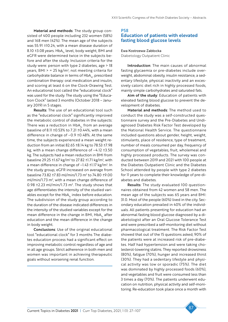Material and methods: The study group consisted of 400 people including 232 women (58%) and 168 men (42%). The mean age of the subjects was 55.91 ±10.24, with a mean disease duration of 8.10 ±3.08 years. HbA<sub>1c</sub> level, body weight, BMI and eGFR were determined twice in the subjects before and after the study. Inclusion criteria for the study were: person with type 2 diabetes, age > 18 years, BMI > = 25 kg/m2 , not meeting criteria for carbohydrate balance in terms of HbA<sub>1c</sub>, prescribed combination therapy: oral medication and insulin, and scoring at least 6 on the Clock-Drawing Test. An educational tool called the "educational clock" was used for the study. The study using the "Education Clock" lasted 3 months (October 2018 – January 2019) in 5 stages.

Results: The use of an educational tool such as the "educational clock" significantly improved the metabolic control of diabetes in the subjects: There was a reduction in  $HbA<sub>1c</sub>$  from an average baseline of 8.11 ±0.53% to 7.21 ±0.44%, with a mean difference in change of –0.9 ±0.48%. At the same time, the subjects experienced a mean weight reduction from an initial 82.65 ±8.14 kg to 78.53 ±7.98 kg, with a mean change difference of –4.12 ±3.50 kg. The subjects had a mean reduction in BMI from baseline 29.25 ±1.67 kg/m<sup>2</sup> to 27.82 ±1.71 kg/m<sup>2</sup>, with a mean difference in change of -1.43 ±1.17 kg/m<sup>2</sup>. In the study group, eGFR increased on average from baseline 73.82 ±7.83 ml/min/1.73 m2 to 74.80 ±9.00  $ml/min/1.73$  m<sup>2</sup>, with a mean change difference of  $0.98 \pm 2.23 \text{ ml/min} / 1.73 \text{ m}^2$ . The study shows that age differentiates the intensity of the studied variables except for the  $HbA_{1c}$  index before education. The subdivision of the study group according to the duration of the disease indicated differences in the intensity of the studied variables except for the mean difference in the change in BMI,  $HbA<sub>1c</sub>$  after education and the mean difference in the change in body weight.

Conclusions: Use of the original educational tool "educational clock" for 3 months The diabetes education process had a significant effect on improving metabolic control regardless of age and in all age groups. Strict adherence in both men and women was important in achieving therapeutic goals without worsening renal function.

### P58 Education of patients with elevated fasting blood glucose levels

Ewa Kostrzewa-Zabłocka Diabetology Outpatient Clinic

Introduction: The main causes of abnormal fasting glycaemia or pre-diabetes include overweight, abdominal obesity, insulin resistance, a sedentary lifestyle, physical inactivity and an excessively caloric diet rich in highly processed foods, mainly simple carbohydrates and saturated fats.

Aim of the study: Education of patients with elevated fasting blood glucose to prevent the development of diabetes.

Material and methods: The method used to conduct the study was a self-constructed questionnaire survey and the Pre-Diabetes and Undiagnosed Diabetes Risk Factor Test developed by the National Health Service. The questionnaire included questions about gender, height, weight, stimulants, place of residence, type of treatment, number of meals consumed per day, frequency of consumption of vegetables, fruit, wholemeal and highly processed products. The survey was conducted between 2019 and 2021 with 100 people at the Diabetes Outpatient Clinic and the Diabetes School attended by people with type 2 diabetes for 11 years to complete their knowledge of pre-diabetes and diabetes.

Results: The study evaluated 100 questionnaires obtained from 42 women and 58 men. The mean age of the subjects was 65 years and BMI: 31.0. Most of the people (60%) lived in the city. Secondary education prevailed in 40% of the individuals. All patients presenting for education had an abnormal fasting blood glucose diagnosed by a diabetologist after an Oral Glucose Tolerance Test and were prescribed a self-monitoring diet without pharmacological treatment. The Risk Factor Test showed that out of the 15 questions asked, 90% of the patients were at increased risk of pre-diabetes. Half had hypertension and were taking cholesterol-lowering statins. They reported drowsiness (80%), fatigue (70%), hunger and increased thirst (30%). They had a sedentary lifestyle and physical activity was low or sporadic (75%). The diet was dominated by highly processed foods (60%), and vegetables and fruit were consumed less than 3 times a day (70%). The patients underwent education on nutrition, physical activity and self-monitoring. Re-education took place once a month with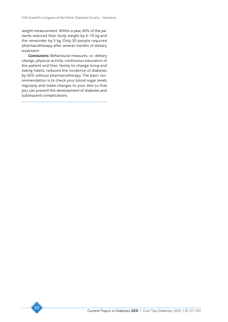weight measurement. Within a year, 60% of the patients reduced their body weight by 6–10 kg and the remainder by 5 kg. Only 30 people required pharmacotherapy after several months of dietary treatment.

Conclusions: Behavioural measures, i.e.: dietary change, physical activity, continuous education of the patient and their family to change living and eating habits, reduced the incidence of diabetes by 50% without pharmacotherapy. The basic recommendation is to check your blood sugar levels regularly and make changes to your diet so that you can prevent the development of diabetes and subsequent complications.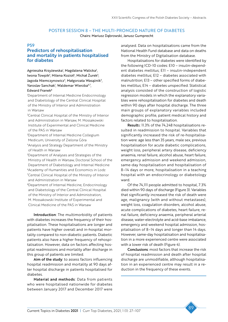# POSTER SESSION 8 – THE MULTI-PRONGED NATURE OF DIABETES

Chairs: Mariusz Dąbrowski, Janusz Gumprecht

#### P59

# Predictors of rehospitalisation and mortality in patients hospitalised for diabetes

Agnieszka Krzyżewska<sup>1</sup>, Magdalena Walicka<sup>2</sup>, lwona Towpik<sup>3</sup>, Milena Kozioł<sup>4</sup>, Michał Zurek<sup>5</sup>, Jagoda Niemczynowicz<sup>4</sup>, Małgorzata Wasążnik<sup>4</sup>, Yaroslav Sanchak<sup>1</sup>, Waldemar Wierzba<sup>6,7</sup>, Edward Franek<sup>8</sup>

1 Department of Internal Medicine Endocrinology and Diabetology of the Central Clinical Hospital of the Ministry of Interior and Administration in Warsaw

- 2 Central Clinical Hospital of the Ministry of Interior and Administration in Warsaw, M. Mossakowski Institute of Experimental and Clinical Medicine of the PAS in Warsaw
- 3 Department of Internal Medicine Collegium Medicum, University of Zielona Góra
- 4 Analysis and Strategy Department of the Ministry of Health in Warsaw
- 5 Department of Analyses and Strategies of the Ministry of Health in Warsaw, Doctoral School of the Department of Diabetology and Internal Medicine 6Academy of Humanities and Economics in Lodz 7 Central Clinical Hospital of the Ministry of Interior and Administration in Warsaw
- 8 Department of Internal Medicine, Endocrinology and Diabetology of the Central Clinical Hospital of the Ministry of Interior and Administration, M. Mossakowski Institute of Experimental and Clinical Medicine of the PAS in Warsaw

Introduction: The multimorbidity of patients with diabetes increases the frequency of their hospitalisation. These hospitalisations are longer and patients have higher overall and in-hospital mortality compared to non-diabetic patients. Diabetic patients also have a higher frequency of rehospitalisation. However, data on factors affecting hospital readmissions and mortality after discharge in this group of patients are limited.

Aim of the study: to assess factors influencing hospital readmission and mortality at 90 days after hospital discharge in patients hospitalised for diabetes.

Material and methods: Data from patients who were hospitalised nationwide for diabetes between January 2017 and December 2017 were

analysed. Data on hospitalisations came from the National Health Fund database and data on deaths from the Ministry of Digitalisation database.

Hospitalisations for diabetes were identified by the following ICD-10 codes: E10 – insulin-dependent diabetes mellitus; E11 – insulin-independent diabetes mellitus; E12 – diabetes associated with malnutrition; E13 – other specified forms of diabetes mellitus; E14 – diabetes unspecified. Statistical analysis consisted of the construction of logistic regression models in which the explanatory variables were rehospitalisation for diabetes and death within 90 days after hospital discharge. The three main groups of explanatory variables included demographic profile, patient medical history and factors related to hospitalisation.

Results: 11.3% of the 74,248 hospitalisations resulted in readmission to hospital. Variables that significantly increased the risk of re-hospitalisation were: age less than 35 years, male sex, previous hospitalisation for acute diabetic complications, weight loss, peripheral artery disease, deficiency anaemia, renal failure, alcohol abuse, heart failure, emergency admission and weekend admission, same-day hospitalisation and hospitalisation of 8–14 days or more, hospitalisation in a teaching hospital with an endocrinology or diabetology ward.

Of the 74,111 people admitted to hospital, 7.3% died within 90 days of discharge (Figure 3). Variables that significantly increased the risk of death were age, malignancy (with and without metastases), weight loss, coagulation disorders, alcohol abuse, acute complications of diabetes, heart failure, renal failure, deficiency anaemia, peripheral arterial disease, water-electrolyte and acid-base imbalance, emergency and weekend hospital admission, hospitalisation of 8–14 days and longer than 14 days. However, same-day hospitalisation and hospitalisation in a more experienced centre were associated with a lower risk of death (Figure 4).

Conclusions: most factors that increase the risk of hospital readmission and death after hospital discharge are unmodifiable, although hospitalisation in an experienced centre may result in a reduction in the frequency of these events.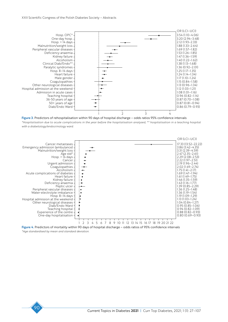

Figure 3. Predictors of rehospitalisation within 90 days of hospital discharge – odds ratios 95% confidence intervals

*\*Hospitalisation due to acute complications in the year before the hospitalisation analysed, \*\* hospitalisation in a teaching hospital with a diabetology/endocrinology ward.*



Figure 4. Predictors of mortality within 90 days of hospital discharge – odds ratios of 95% confidence intervals *\*Age standardised by mean and standard deviation.*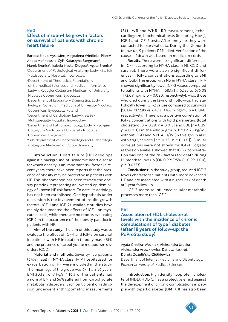#### P60

### Effect of insulin-like growth factors on survival of patients with chronic heart failure

Bartosz Jakub Myśliwiec<sup>1</sup>, Magdalena Wietlicka-Piszcz<sup>2</sup>, Aneta Mańkowska-Cyl<sup>3</sup>, Katarzyna Bergmann<sup>3</sup>,

Marek Bronisz<sup>4</sup>, Izabela Neska-Długosz<sup>5</sup>, Agata Bronisz<sup>6</sup> 1 Department of Pathological Anatomy, LudwikBłażek Multispecialty Hospital, Inowroclaw 2 Department of Theoretical Foundations

- of Biomedical Sciences and Medical Informatics, Ludwik Rydygier Collegium Medicum of University Nicolaus Copernicus, Bydgoszcz
- 3 Department of Laboratory Diagnostics, Ludwik Rydygier Collegium Medicum of University Nicolaus Copernicus, Bydgoszcz, Poland
- 4 Department of Cardiology, Ludwik Błażek Multispecialty Hospital, Inowroclaw
- 5 Department of Pathomorphology, Ludwik Rydygier Collegium Medicum of University Nicolaus
- Copernicus, Bydgoszcz
- 6Sub-department of Endocrinology and Diabetology, Collegium Medicum of Opole University

Introduction: Heart failure (HF) develops against a background of ischaemic heart disease for which obesity is an important risk factor. In recent years, there have been reports that the presence of obesity may be protective in patients with HF. This phenomenon has been termed the obesity paradox representing an inverted epidemiology of known HF risk factors. To date, its aetiology has not been established. One hypothesis under discussion is the involvement of insulin growth factors (IGF-1 and IGF-2). Available studies have mainly documented the effects of IGF-1 on myocardial cells, while there are no reports evaluating IGF-2 in the occurrence of the obesity paradox in patients with HF.

Aim of the study: The aim of this study was to evaluate the effect of IGF-1 and IGF-2 on survival in patients with HF in relation to body mass (BM) and the presence of carbohydrate metabolism disorders (CGD).

Material and methods: Seventy-five patients (64% male) in NYHA class II–IV hospitalised for exacerbation of HF were included in the study. The mean age of the group was 67.11 ±13.56 years, BMI 30.18  $\pm$ 6.17 kg/m<sup>2</sup>. 16% of the patients had a normal BM and 56% suffered from carbohydrate metabolism disorders. Each participant on admission underwent anthropometric measurements

(BMI, WR and WHR), RR measurement, echocardiogram, biochemical tests (including  $HbA_1$ ), IGF-1 and IGF-2 tests. After one year they were contacted for survival data. During the 12-month follow-up, 9 patients (12%) died. Verification of the causes of death was based on medical records.

Results: There were no significant differences in IGF-1 according to NYHA class, BMI, CGD and survival. There were also no significant differences in IGF-2 concentrations according to BMI and CGD. The group with NS in NYHA class III/IV showed significantly lower IGF-2 values compared to patients with NYHA II [583.71 ±162.35 vs. 676.08 ±172.09 ng/ml; *p* = 0.020, respectively]. Also, those who died during the 12-month follow-up had statistically lower IGF-2 values compared to survivors [501.47 ±172.89 vs. 645.31 ±166.17 ng/ml; *p* = 0.040, respectively]. There was a positive correlation of IGF-2 concentrations with lipid parameters (total cholesterol [*r* = 0.28; *p* = 0.015] and LDL [*r* = 0.29;  $p = 0.01$ ]) in the whole group, BMI  $\geq 25$  kg/m<sup>2</sup>, without CGD and NYHA III/IV (in this group also with triglycerides [*r* = 0.35; *p* = 0.031]). Similar correlations were not shown for IGF-1. Logistic regression analysis showed that IGF-2 concentration was one of the risk factors for death during 12-month follow-up [OR 0.99; [95% CI: 0.99–1.00]; *p* = 0.0253].

Conclusions: In the study group, reduced IGF-2 levels characterise patients with more advanced HF and are associated with a higher risk of death at 1-year follow-up.

IGF-2 seems to influence cellular metabolic processes more than IGF-1.

### P61

## Association of HDL cholesterol levels with the incidence of chronic complications of type 1 diabetes (after 18 years of follow-up: the PoProStu study)

Agata Grzelka-Woźniak, Aleksandra Uruska, Aleksandra Araszkiewicz, Dariusz Naskręt, Dorota Zozulińska-Ziółkiewicz Department of Internal Medicine and Diabetology, Poznan University of Medical Sciences

Introduction: High density lipoprotein cholesterol (HDL): HDL-C) has a protective effect against the development of chronic complications in people with type 1 diabetes (DM 1). It has also been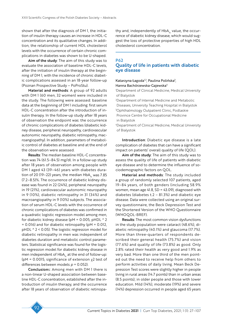shown that after the diagnosis of DM 1, the initiation of insulin therapy causes an increase in HDL-C concentration and its qualitative changes. In addition, the relationship of current HDL cholesterol levels with the occurrence of certain chronic complications in diabetes was shown to be U-shaped.

Aim of the study: The aim of this study was to evaluate the association of baseline HDL-C levels, after the initiation of insulin therapy at the beginning of DM 1, with the incidence of chronic diabetic complications assessed in an 18-year follow-up (Poznan Prospective Study – PoProStu).

Material and methods: A group of 92 adults with DM 1 (60 men, 32 women) were included in the study. The following were assessed: baseline data at the beginning of DM 1 including: first serum HDL-C concentration after the introduction of insulin therapy. In the follow-up study after 18 years of observation the endpoint was: the occurrence of chronic complications of diabetes (diabetic kidney disease, peripheral neuropathy, cardiovascular autonomic neuropathy, diabetic retinopathy, macroangiopathy). In addition, parameters of metabolic control of diabetes at baseline and at the end of the observation were assessed.

Results: The median baseline HDL-C concentration was 74 (61.5–84.5) mg/dl. In a follow-up study after 18 years of observation among people with DM 1 aged 43 (39–46) years with diabetes duration of 20 (19–22) years, the median  $HbA<sub>1c</sub>$  was 7.85 (7.2–8.5)%. The occurrence of diabetic kidney disease was found in 22 (24%), peripheral neuropathy in 19 (21%), cardiovascular autonomic neuropathy in 9 (10%), diabetic retinopathy in 31 (34%) and macroangiopathy in 9 (10%) subjects. The association of serum HDL-C levels with the occurrence of chronic complications of diabetes was confirmed in a quadratic logistic regression model among men, for diabetic kidney disease ( $pM = 0.005$ ,  $pHDL$  ^ 2 = 0.016) and for diabetic retinopathy (pM = 0.012, pHDL ^ 2 < 0.05). The logistic regression model for diabetic retinopathy in men was independent of diabetes duration and metabolic control parameters. Statistical significance was found for the logistic regression model for diabetic kidney disease in men independent of  $HbA<sub>1c</sub>$  at the end of follow-up: (pM = 0.0015, significance of extension  $\chi$ 2 test of differences between models *p* = 0.052).

Conclusions: Among men with DM 1 there is a non-linear U-shaped association between baseline HDL-C concentration, established after the introduction of insulin therapy, and the occurrence after 18 years of observation of diabetic retinopathy and, independently of  $HbA<sub>1c</sub>$  value, the occurrence of diabetic kidney disease, which would suggest the loss of protective properties of high HDL cholesterol concentration.

### P62 Quality of life in patients with diabetic eye disease

#### Katarzyna Łagoda<sup>1,2</sup>, Paulina Polińska<sup>3</sup>, Hanna Bachórzewska-Gajewska<sup>4</sup>

1 Department of Clinical Medicine, Medical University of Bialystok

2 Department of Internal Medicine and Metabolic Diseases, University Teaching Hospital in Bialystok 3 Ophthalmology Outpatient Clinic, Podlaskie Province Centre for Occupational Medicine in Bialystok

4 Department of Clinical Medicine, Medical University of Bialystok

Introduction: Diabetic eye disease is a late complication of diabetes that can have a significant impact on patients' overall quality of life (QOL).

Aim of the study: The aim of this study was to assess the quality of life of patients with diabetic eye disease and to determine the influence of sociodemographic factors on QOL.

Material and methods: The study included a group of randomly selected 107 patients, aged 19–84 years, of both genders (including 58.9% women, mean age 41.8, SD = 43.09), diagnosed with diabetes (diabetes t.2 – 81.3%) and diabetic eye disease. Data were collected using an original survey questionnaire, the Beck Depression Test and the Shortened Version of the WHO Questionnaire (WHOQOL-BREF).

Results: The most common vision dysfunctions in the study population were cataract (48.6%), diabetic retinopathy (40.1%) and glaucoma (17.7%). More than three-quarters of respondents described their general health (75.7%) and vision (77.6%) and quality of life (73.8%) as good. Only 2.8% rated their health as very good and 1.9% as very bad. More than one third of the men pointed out the need to receive help from others to perform activities of daily living. Mean Beck Depression Test scores were slightly higher in people living in rural areas (14.7 points) than in urban areas (8.5 points); in older people and those with lower education. Mild (14%), moderate (19%) and severe (14%) depression occurred in people aged 65 years

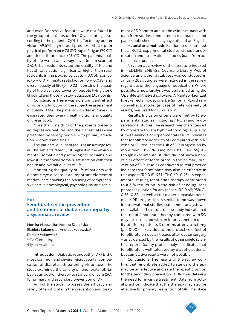and over. Depressive features were not found in the group of patients under 40 years of age. According to the patients, QOL is affected by poorer vision (49.5%), high blood pressure (41.1%), poor physical performance (31.8%), rapid fatigue (29.9%) and sleep disturbances (23.4%). The patients' quality of life was at an average level (mean score of 3.4). Urban residents rated the quality of life and health satisfaction significantly higher than rural residents in the psychological (*p* = 0.001), somatic ( $p = 0.017$ ), health satisfaction ( $p = 0.038$ ) and overall quality of life (*p* = 0.021) domains. The quality of life was rated lower by: people living alone (3 points) and those with low education (3.59 points).

Conclusions:There was no significant effect of vision dysfunction on the subjective assessment of quality of life. The patients with diabetic eye disease rated their overall health, vision and quality of life as good.

More than one third of the patients presented depressive features, and the highest rates were presented by elderly people, with primary education, widowed and single.

The patients' quality of life is at an average level. The subjects rated QOL highest in the environmental, somatic and psychological domains, and lowest in the social domain, satisfaction with their health and overall quality of life.

Monitoring the quality of life of patients with diabetic eye disease is an important element of medical care enabling the planning of comprehensive care: diabetological, psychological and social.

#### P63

### Fenofibrate in the prevention and treatment of diabetic retinopathy: a systematic review

Monika Małowicka<sup>1</sup>, Monika Szałańska<sup>1</sup>, Elżbieta Łukomska<sup>1</sup>, Aneta Jakubowska<sup>2</sup>, Dariusz Wilkowski2 1 HTA Consulting 2 Mylan Healthcare

Introduction: Diabetic retinopathy (DR) is the most common and severe microvascular complication of diabetes, threatening vision loss. The study examined the validity of fenofibrate (off-label) as an add-on therapy to standard of care (SO) for primary and secondary prevention of DR.

Aim of the study: To assess the efficacy and safety of fenofibrate in the prevention and treatment of DR and to add to the evidence base with data from studies conducted in real practice and papers published in a language other than English.

Material and methods: Randomised controlled trials (RCTs), experimental studies without randomisation and observational studies (data from actual clinical practice).

A systematic review of the literature indexed in MEDLINE, EMBASE, Cochrane Library, Web of Science and other databases was conducted in January 2021. Studies were included in the review regardless of the language of publication. Where possible, a meta-analysis was performed using the OpenMeta[Analyst] software. A Mantel-Haenszel fixed-effects model or a DerSimonian-Laird random-effects model (in case of heterogeneity of results) was used for cumulation.

Results: Inclusion criteria were met by 16 experimental studies (including 7 RCTs) and 14 observational studies. The research was characterised by moderate to very high methodological quality. A meta-analysis of experimental results indicates that fenofibrate added to SO compared with placebo or SO reduces the risk of DR progression by more than 50% (RR 0.45; 95% CI: 0.30–0.65). Although experimental studies did not show a beneficial effect of fenofibrate in the primary prevention of DR, studies conducted in real practice indicate that fenofibrate may also be effective in this aspect (RR 0.81; 95% CI: 0.69–0.95). In experimental studies, fenofibrate therapy contributed to a 31% reduction in the risk of needing laser photocoagulation for any reason (RR 0.69; 95% CI: 0.58–0.82), as well as for diabetic macular oedema or DR progression. A similar trend was shown in observational studies, but a meta-analysis was not available. The results of one study indicate that the use of fenofibrate therapy compared with SO may be associated with an improvement in quality of life in patients 3 months after vitrectomy (*p* = 0.007), likely due to the protective effect of fenofibrate on ocular tissues after ocular surgery – as evidenced by the results of other single scientific reports. Safety profile analysis indicates that fenofibrate is well tolerated by diabetic patients, but cumulative results were not possible.

Conclusions: The results of the review confirm that fenofibrate added to standard therapy may be an effective and safe therapeutic option for the secondary prevention of DR, thus delaying the need for invasive treatment. Data from actual practice indicate that the therapy may also be effective for primary prevention of DR. The place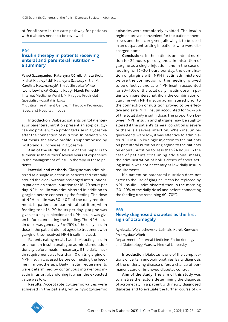of fenofibrate in the care pathway for patients with diabetes needs to be reviewed.

#### P64

# Insulin therapy in patients receiving enteral and parenteral nutrition – a summary

Paweł Szczepaniec<sup>i</sup>, Katarzyna Górnik<sup>i</sup>, Aneta Brot<sup>i</sup>, Michał Kiedrzyński<sup>i</sup>, Katarzyna Szewczyk- Bialik<sup>i</sup>, Karolina Kaczmarczyk<sup>ı</sup>, Emilia Skrobisz-Wikło<sup>ı</sup>, lwona Lewińska<sup>1</sup>, Grażyna Kulig<sup>2</sup>, Marek Kunecki<sup>2</sup> 1 Internal Medicine Ward I, M. Pirogow Provincial Specialist Hospital in Lodz 2 Nutrition Treatment Centre, M. Pirogow Provincial Specialist Hospital in Lodz

Introduction: Diabetic patients on total enteral or parenteral nutrition present an atypical glycaemic profile with a prolonged rise in glycaemia after the connection of nutrition. In patients who eat meals, the above profile is superimposed by postprandial increases in glycaemia.

Aim of the study: The aim of this paper is to summarise the authors' several years of experience in the management of insulin therapy in these patients.

Material and methods: Glargine was administered as a single injection in patients fed enterally around the clock without prolonged interruptions. In patients on enteral nutrition for 16–20 hours per day, NPH insulin was administered in addition to glargine before connecting the feeding. The dose of NPH insulin was 30–40% of the daily requirement. In patients on parenteral nutrition, when feeding took 16–20 hours per day, glargine was given as a single injection and NPH insulin was given before connecting the feeding. The NPH insulin dose was generally 66–75% of the daily insulin dose. If the patient did not agree to treatment with glargine, they received NPH insulin instead.

Patients eating meals had short-acting insulin or a human insulin analogue administered additionally before meals if necessary. If the daily insulin requirement was less than 10 units, glargine or NPH insulin was used before connecting the feeding in monotherapy. Daily insulin requirements were determined by continuous intravenous insulin infusion, abandoning it when the expected value was low.

Results: Acceptable glycaemic values were achieved in the patients, while hypoglycaemic episodes were completely avoided. The insulin regimen proved convenient for the patients themselves and their caregivers, allowing it to be used in an outpatient setting in patients who were discharged home.

Conclusions: In the patients on enteral nutrition for 24 hours per day, the administration of glargine as a single injection, and in the case of feeding for 16–20 hours per day, the combination of glargine with NPH insulin administered before the connection of the feeding, proved to be effective and safe. NPH insulin accounted for 30–40% of the total daily insulin dose. In patients on parenteral nutrition, the combination of glargine with NPH insulin administered prior to the connection of nutrition proved to be effective and safe. NPH insulin accounted for 66–75% of the total daily insulin dose. The proportion between NPH insulin and glargine may be slightly altered if the patient's general condition is severe or there is a severe infection. When insulin requirements were low, it was effective to administer NPH insulin by single injection to the patients on parenteral nutrition or glargine to the patients on enteral nutrition for less than 24 hours. In the case of patients consuming additional meals, the administration of bolus doses of short-acting insulin was not necessary at low daily insulin requirements.

If a patient on parenteral nutrition does not agree to the use of glargine, it can be replaced by NPH insulin – administered then in the morning (30–40% of the daily dose) and before connecting the feeding (the remaining 60–70%).

### P65 Newly diagnosed diabetes as the first sign of acromegaly

### Agnieszka Wojciechowska-Luźniak, Marek Kowrach, Przemysław Witek

Department of Internal Medicine, Endocrinology and Diabetology, Warsaw Medical University

Introduction: Diabetes is one of the complications of certain endocrinopathies. Early diagnosis of the underlying disease offers a chance of permanent cure or improved diabetes control.

Aim of the study: The aim of this study was to analyse the factors determining the diagnosis of acromegaly in a patient with newly diagnosed diabetes and to evaluate the further course of di-

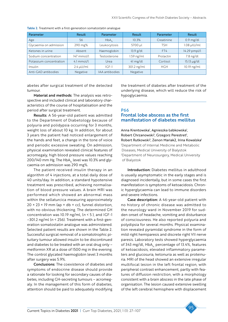| Parameter               | Result         | Parameter      | Result             | Parameter  | Result           |
|-------------------------|----------------|----------------|--------------------|------------|------------------|
| Age                     | 56             | $HbA_{1c}$     | 10.3%              | Creatinine | $0.9$ mg/dl      |
| Glycaemia on admission  | 290 mg%        | Leukocytosis   | 5700 µl            | TSH        | $1.08$ µlU/ml    |
| Ketones in urine        | Absent         | Haemoglobin    | $13.9$ g/dl        | FT4        | 14.29 pmpl/l     |
| Sodium concentration    | 147 mmol/l     | Testosterone   | $1.59$ ng/ml       | Prolactin  | 7.8 ng/dl        |
| Potassium concentration | $4.1$ mmol/l   | Urea           | $41 \text{ mg/dl}$ | Cortisol   | $15.13 \mu g/dl$ |
| Insulin                 | $2.4 \mu U/ml$ | $ CF-1 $       | 301.2 ng/ml        | <b>HGH</b> | 10.19 ng/ml      |
| Anti-GAD antibodies     | Negative       | IAA antibodies | Negative           |            |                  |

Table 2. Treatment with a first-generation somatostatin analogue

abetes after surgical treatment of the detected tumour.

Material and methods: The analysis was retrospective and included clinical and laboratory characteristics of the course of hospitalisation and the period after surgical treatment.

Results: A 56-year-old patient was admitted to the Department of Diabetology because of polyuria and polidypsia occurring for 3 months, weight loss of about 10 kg. In addition, for about 3 years the patient had noticed enlargement of the hands and feet, a change in the tone of voice and periodic excessive sweating. On admission, physical examination revealed clinical features of acromegaly, high blood pressure values reaching  $200/140$  mm Hg. The HbA<sub>1c</sub> level was 10.3% and glycaemia on admission was 290 mg%.

The patient received insulin therapy in an algorithm of 4 injections, at a total daily dose of 40 units/day. In addition, a standard hypotensive treatment was prescribed, achieving normalisation of blood pressure values. A brain MRI was performed which showed an abnormal mass within the sellaturcica measuring approximately  $20 \times 23 \times 19$  mm (ap  $\times$  db  $\times$  cc), funnel distortion, with no obvious thickening. The determined GH concentration was 10.19 ng/ml, (*n* < 5 ), and IGF-1 –301.2 ng/ml (*n* < 256). Treatment with a first-generation somatostatin analogue was administered. Selected patient results are shown in the Table 2. Successful surgical removal of a somatotrophic pituitary tumour allowed insulin to be discontinued and diabetes to be treated with an oral drug only – metformin XR at a dose of 1500 mg in the evening. The control glycated haemoglobin level 3 months after surgery was 5.9%.

Conclusions: The coexistence of diabetes and symptoms of endocrine disease should provide a rationale for looking for secondary causes of diabetes, including GH-secreting tumours – acromegaly. In the management of this form of diabetes, attention should be paid to adequately modifying

the treatment of diabetes after treatment of the underlying disease, which will reduce the risk of hypoglycaemia.

### P66 Frontal lobe abscess as the first manifestation of diabetes mellitus

Anna Krentowska<sup>1</sup>, Agnieszka Łebkowska<sup>1</sup>, Robert Chrzanowski<sup>2</sup>, Grzegorz Perestret<sup>2</sup>, Robert Rutkowski<sup>2</sup>, Zenon Mariak2, Irina Kowalska<sup>1</sup> 1 Department of Internal Medicine and Metabolic Diseases, Medical University of Bialystok 2 Department of Neurosurgery, Medical University of Bialystok

Introduction: Diabetes mellitus in adulthood is usually asymptomatic in the early stages and is diagnosed incidentally, but in some cases the first manifestation is symptoms of ketoacidosis. Chronic hyperglycaemia can lead to immune disorders and severe infections.

Case description: A 46-year-old patient with no history of chronic disease was admitted to the neurology ward in November 2019 for sudden onset of headache, vomiting and disturbance of consciousness. He also reported polyuria and polydipsia for several months. Physical examination revealed pyramidal syndrome in the form of mild right hemiparesis and discrete right VII nerve paresis. Laboratory tests showed hyperglycaemia of 343 mg/dl,  $HbA<sub>1c</sub>$  percentage of 13.4%, features of ketoacidosis, elevated inflammatory parameters and glucosuria, ketonuria as well as proteinuria. MRI of the head showed an extensive irregular multifocal lesion in the left frontal region, with peripheral contrast enhancement, partly with features of diffusion restriction, with a morphology consistent with a brain abscess in the late phase of organisation. The lesion caused extensive swelling of the left cerebral hemisphere with displacement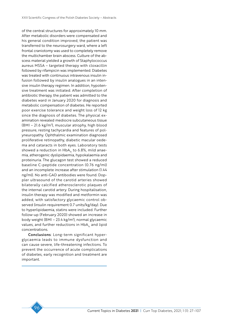of the central structures for approximately 10 mm. After metabolic disorders were compensated and his general condition improved, the patient was transferred to the neurosurgery ward, where a left frontal craniotomy was used to completely remove the multichamber brain abscess. Culture of the abscess material yielded a growth of Staphylococcus aureus MSSA – targeted therapy with cloxacillin followed by rifampicin was implemented. Diabetes was treated with continuous intravenous insulin infusion followed by insulin analogues in an intensive insulin therapy regimen. In addition, hypotensive treatment was initiated. After completion of antibiotic therapy, the patient was admitted to the diabetes ward in January 2020 for diagnosis and metabolic compensation of diabetes. He reported poor exercise tolerance and weight loss of 12 kg since the diagnosis of diabetes. The physical examination revealed mediocre subcutaneous tissue (BMI – 21.6 kg/m2 ), muscular atrophy, high blood pressure, resting tachycardia and features of polyneuropathy. Ophthalmic examination diagnosed proliferative retinopathy, diabetic macular oedema and cataracts in both eyes. Laboratory tests showed a reduction in  $HbA<sub>1c</sub>$  to 6.8%, mild anaemia, atherogenic dyslipidaemia, hypokalaemia and proteinuria. The glucagon test showed a reduced baseline C-peptide concentration (0.76 ng/ml) and an incomplete increase after stimulation (1.44 ng/ml). No anti-GAD antibodies were found. Doppler ultrasound of the carotid arteries showed bilaterally calcified atherosclerotic plaques of the internal carotid artery. During hospitalisation, insulin therapy was modified and metformin was added, with satisfactory glycaemic control observed (insulin requirement 0.7 units/kg/day). Due to hyperlipidaemia, statins were included. Further follow-up (February 2020) showed an increase in body weight (BMI – 23.4 kg/m2 ), normal glycaemic values, and further reductions in HbA<sub>1</sub> and lipid concentrations.

Conclusions: Long-term significant hyperglycaemia leads to immune dysfunction and can cause severe, life-threatening infections. To prevent the occurrence of acute complications of diabetes, early recognition and treatment are important.

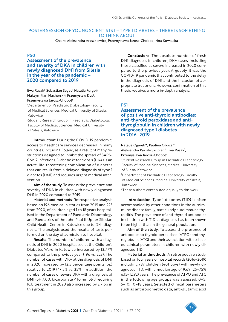## POSTER SESSION OF YOUNG SCIENTISTS I – TYPE 1 DIABETES – THERE IS SOMETHING TO THINK ABOUT

Chairs: Aleksandra Araszkiewicz, Przemysława Jarosz-Chobot, Irina Kowalska

### PS0

### Assessment of the prevalence and severity of DKA in children with newly diagnosed DM1 from Silesia in the year of the pandemic – 2020 compared to 2019

### Ewa Rusak<sup>1</sup>, Sebastian Seget<sup>1</sup>, Natalia Furgał<sup>2</sup>, Maksymilian Macherski<sup>2</sup>, Przemysław Dys<sup>2</sup>, Przemysława Jarosz-Chobot<sup>1</sup>

1 Department of Paediatric Diabetology Faculty of Medical Sciences, Medical University of Silesia, Katowice

2 Student Research Group in Paediatric Diabetology, Faculty of Medical Sciences, Medical University of Silesia, Katowice

Introduction: During the COVID-19 pandemic, access to healthcare services decreased in many countries, including Poland, as a result of many restrictions designed to inhibit the spread of SARS-CoV-2 infections. Diabetic ketoacidosis (DKA) is an acute, life-threatening complication of diabetes that can result from a delayed diagnosis of type 1 diabetes (DM1) and requires urgent medical intervention.

Aim of the study: To assess the prevalence and severity of DKA in children with newly diagnosed DM1 in 2020 compared to 2019.

Material and methods: Retrospective analysis based on 196 medical histories from 2019 and 223 from 2020, of children aged 1 to 18 years hospitalised in the Department of Paediatric Diabetology and Paediatrics of the John Paul II Upper Silesian Child Health Centre in Katowice due to DM1 diagnosis. The analysis used the results of tests performed on the day of admission to hospital.

Results: The number of children with a diagnosis of DM1 in 2020 hospitalised at the Children's Diabetes Ward in Katowice increased by 13.77% compared to the previous year (196 vs. 223). The number of cases with DKA at the diagnosis of DM1 in 2020 increased by 12.5 percentage points (pp) relative to 2019 (47.5% vs. 35%). In addition, the number of cases of severe DKA with a diagnosis of DM1 (pH 7.00, bicarbonate < 10 mmol/l) requiring ICU treatment in 2020 also increased by 2.7 pp in this group.

Conclusions: The absolute number of fresh DM1 diagnoses in children, DKA cases, including those classified as severe increased in 2020 compared to the previous year. Arguably, it was the COVID-19 pandemic that contributed to the delay in the diagnosis of DM1 and the inclusion of appropriate treatment. However, confirmation of this thesis requires a more in-depth analysis.

# PS1

Assessment of the prevalence of positive anti-thyroid antibodies: anti-thyroid peroxidase and antithyroglobulin in children with newly diagnosed type 1 diabetes in 2016–2019

#### Natalia Ogarek<sup>1\*</sup>, Paulina Oboza<sup>1\*</sup>, Aleksandra Pyziak-Skupień<sup>2</sup>, Ewa Rusak<sup>2</sup>, Przemysława Jarosz-Chobot2

1 Student Research Group in Paediatric Diabetology, Faculty of Medical Sciences, Medical University of Silesia, Katowice

2 Department of Paediatric Diabetology, Faculty of Medical Sciences, Medical University of Silesia, Katowice

\*These authors contributed equally to this work.

Introduction: Type 1 diabetes (T1D) is often accompanied by other conditions in the autoimmune disease family, particularly autoimmune thyroiditis. The prevalence of anti-thyroid antibodies in children with T1D at diagnosis has been shown to be higher than in the general population.

Aim of the study: To assess the presence of antibodies to thyroid peroxidase (ATPO) and thyroglobulin (ATG) and their association with selected clinical parameters in children with newly diagnosed T1D.

Material andmethods: A retrospective study, based on four years of hospital records (2016–2019) including 737 children (401 boys) with newly diagnosed T1D, with a median age of 9.69 (25–75% 6.15–12.92) years. The prevalence of ATPO and ATG in the following age groups was assessed: 0–5; 5–10; 10–18 years. Selected clinical parameters such as anthropometric data, anti-glutamic acid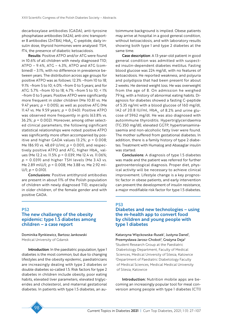decarboxylase antibodies (GADA), anti-tyrosine phosphatase antibodies (IA2A), anti-zinc transporter 8 antibodies (ZnT8A), HbA<sub>1c</sub>, C-peptide, daily insulin dose, thyroid hormones were analysed: TSH, fT4, the presence of diabetic ketoacidosis.

Results: Positive ATPO and/or ATG were found in 10.6% of all children with newly diagnosed T1D; ATPO – 9.4%, ATG – 4.3%, ATPO and ATG (combined) – 3.1%, with no difference in prevalence between years. The distribution across age groups for positive ATPO was as follows: 12.3% –from 10 to 18; 9.1% –from 5 to 10; 4.0% –from 0 to 5 years; and for ATG: 5.7% –from 10 to 18; 4.7% –from 5 to 10; < 1% –from 0 to 5 years. Positive ATPO were significantly more frequent in older children (Me 10.81 vs. Me 9.47 years; *p* = 0.005), as well as positive ATG (Me 11.47 vs. Me 9.59 years; *p* = 0.040). Positive ATPO was observed more frequently in girls (63.8% vs. 36.2%; *p* = 0.002). Moreover, among other selected clinical parameters, the following significant statistical relationships were noted: positive ATPO was significantly more often accompanied by positive and higher GADA values 13.2%; *p* = 0.008; Me 186.93 vs. 48.69 U/ml; *p* = 0.001), and respectively positive ATPO and ATG, higher HbA<sub>1c</sub> values (Me 12.2 vs. 11.5% *p* = 0.039; Me 12.4 vs. 11.06%; *p* = 0.039) and higher TSH levels (Me 3.43 vs. Me 2.89 mIU/l; *p* = 0.008; Me 3.88 vs. Me 2.92 mI- $U/I$ ;  $p = 0.010$ ).

Conclusions: Positive antithyroid antibodies are present in about 11% of the Polish population of children with newly diagnosed T1D, especially in older children, of the female gender and with positive GADA.

### PS2

# The new challenge of the obesity epidemic: type 1.5 diabetes among children – a case report

Dominika Rynkiewicz, Bartosz Jankowski Medical University of Gdansk

Introduction: In the paediatric population, type 1 diabetes is the most common, but due to changing lifestyles and the obesity epidemic, paediatricians are increasingly dealing with type 2 diabetes or double diabetes so-called 1.5. Risk factors for type 2 diabetes in children include obesity, poor eating habits, elevated liver parameters, elevated triglycerides and cholesterol, and maternal gestational diabetes. In patients with type 1.5 diabetes, an autoimmune background is implied. Obese patients may arrive at hospital in a good general condition, without ketoacidosis, and with laboratory results showing both type 1 and type 2 diabetes at the same time.

Case description: A 13-year-old patient in good general condition was admitted with suspected insulin-dependent diabetes mellitus. Fasting blood glucose was 224 mg/dl, with no features of ketoacidosis. He reported weakness, and polyuria and polydipsia that had been present for about 2 weeks. He denied weight loss. He was overweight from the age of 8. On admission he weighed 79 kg, with a history of abnormal eating habits. Diagnosis for diabetes showed a fasting C-peptide of 5.35 ng/ml with a blood glucose of 160 mg/dl, IA2 of 20.8 IU/ml,  $HbA<sub>1c</sub>$  of 8.2% and urine glucose of 5962 mg/dl. He was also diagnosed with autoimmune thyroiditis. Hypertriglyceridaemia (TG 350 mg/dl), elevated GGTP, hypertransaminasaemia and non-alcoholic fatty liver were found. The mother suffered from gestational diabetes. In addition, there is a family history of type 2 diabetes. Treatment with Humalog and Abasaglar insulin was started.

Conclusions: A diagnosis of type 1.5 diabetes was made and the patient was referred for further gastroenterological diagnosis. Proper diet, physical activity will be necessary to achieve clinical improvement. Lifestyle change is a key prognostic factor in obese patients, and early intervention can prevent the development of insulin resistance, a major modifiable risk factor for type 1.5 diabetes.

#### PS3

### Diabetes and new technologies – using the m-health app to convert food by children and young people with type 1 diabetes

Katarzyna Więckowska-Rusek<sup>1</sup>, Justyna Danel<sup>1</sup>, Przemysława Jarosz-Chobot<sup>2</sup>, Grażyna Deja<sup>2</sup> 1 Student Research Group at the Paediatric Diabetology Department, Faculty of Medical Sciences, Medical University of Silesia, Katowice 2 Department of Paediatric Diabetology Faculty of Medical Sciences, Medical Medical University of Silesia, Katowice

Introduction: Nutrition mobile apps are becoming an increasingly popular tool for meal conversion among people with type 1 diabetes (CT1)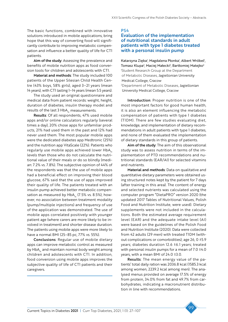The basic functions, combined with innovative solutions introduced in mobile applications, bring hope that this way of converting food will significantly contribute to improving metabolic compensation and influence a better quality of life for CT1 patients.

Aim of the study: Assessing the prevalence and benefits of mobile nutrition apps as food conversion tools for children and adolescents with CT1.

Material and methods: The study included 100 patients of the Upper Silesian Child Health Centre (43% boys, 58% girls), aged 3–21 years (mean 14 years), with CT1 lasting 1–14 years (mean 5.5 years).

The study used an original questionnaire and medical data from patient records: weight, height, duration of diabetes, insulin therapy model and results of the last 3  $HbA<sub>1c</sub>$  measurements.

Results: Of all respondents, 47% used mobile apps and/or online calculators regularly (several times a day), 20% chose apps for unfamiliar products, 21% had used them in the past and 12% had never used them. The most popular mobile apps were the dedicated diabetes app Medtronic (25%) and the nutrition app VitaScale (22%). Patients who regularly use mobile apps achieved lower  $HbA<sub>1c</sub>$ levels than those who do not calculate the nutritional value of their meals or do so blindly (median: 7.2% vs. 7.8%). The subjective opinion of 44% of the respondents was that the use of mobile apps had a beneficial effect on improving their blood glucose, 67% said that the use of apps improved their quality of life. The patients treated with an insulin pump achieved better metabolic compensation as measured by  $HbA_{12}$  (7.5% vs. 8.5%), however, no association between treatment modality (pump/multiple injections) and frequency of use of the application was demonstrated. The use of mobile apps correlated positively with younger patient age (where carers are more likely to be involved in treatment) and shorter disease duration. The patients using mobile apps were more likely to have a normal BMI (25–85 pc, 77% vs. 55%).

Conclusions: Regular use of mobile dietary apps can improve metabolic control as measured by  $HbA<sub>1c</sub>$  and maintain normal body weight among children and adolescents with CT1. In addition, food conversion using mobile apps improves the subjective quality of life of CT1 patients and their caregivers.

PS4

## Evaluation of the implementation of nutritional standards in adult patients with type 1 diabetes treated with a personal insulin pump

Katarzyna Zięba<sup>i</sup>, Magdalena Płonka<sup>i</sup>, Albert Wróbel<sup>i</sup>, Tomasz Klupa<sup>2</sup>, Maciej Małecki<sup>2</sup>, Bartłomiej Matejko<sup>2</sup> 1 Student Research Group at the Department of Metabolic Diseases, Jagiellonian University Medical College, Cracow 2 Department of Metabolic Diseases, Jagiellonian University Medical College, Cracow

Introduction: Proper nutrition is one of the most important factors for good human health, it is also an element influencing the metabolic compensation of patients with type 1 diabetes (T1DM). There are few studies evaluating diet, knowledge, and implementation of dietary recommendations in adult patients with type 1 diabetes, and none of them evaluated the implementation of dietary standards in this group of patients.

Aim of the study: The aim of this observational study was to assess nutrition in terms of the implementation of PTD recommendations and nutritional standards (EAR/AI) for selected vitamins and nutrients.

Material and methods: Data on qualitative and quantitative dietary parameters were obtained using structured notes kept by the patient for 7 days (after training in this area). The content of energy and selected nutrients was calculated using the computer program "DietaPRO" version 2020 (the updated 2017 Tables of Nutritional Values, Polish Food and Nutrition Institute, were used). Dietary supplements were not included in the calculations. Both the estimated average requirement level (EAR) and the adequate intake level (AI) were based on the guidelines of the Polish Food and Nutrition Institute (2020). Data were collected from 42 adults (29 men) with treated T1DM (without complications or comorbidities); age 26, 0 ±5.9 years; diabetes duration 12.6 ±6.1 years; treated with personal insulin pumps for a mean of 7.0 ±4.0 years, with a mean BMI of 24.0 ±3.0.

Results: The mean energy value of the patients' total daily ration was 2036.8 kcal (1585.3 kcal among women, 2239.2 kcal among men). The analysed menus provided on average 17.5% of energy from protein, 34.0% from fat and 49.7% from carbohydrates, indicating a macronutrient distribution in line with recommendations.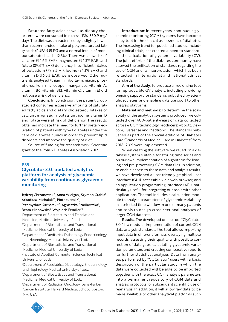Saturated fatty acids as well as dietary cholesterol were consumed in excess (13%, 350.9 mg/ day). The diet was characterised by a slightly lower than recommended intake of polyunsaturated fatty acids (PUFAs) (5.1%) and a normal intake of monounsaturated acids (12.5%). There was a low risk of calcium (94.6% EAR), magnesium (94.3% EAR) and folate (89.6% EAR) deficiency. Insufficient intakes of potassium (79.8% AI), iodine (34.1% EAR) and vitamin D (16.5% EAR) were observed. Other nutrients analysed (thiamin, riboflavin, niacin, phosphorus, iron, zinc, copper, manganese, vitamin A, vitamin B6, vitamin B12, vitamin C, vitamin E) did not pose a risk of deficiency.

Conclusions: In conclusion, the patient group studied consumes excessive amounts of saturated fatty acids and dietary cholesterol. Intakes of calcium, magnesium, potassium, iodine, vitamin D and folate were at risk of deficiency. The results obtained indicate the need for further dietary education of patients with type 1 diabetes under the care of diabetes clinics in order to prevent lipid disorders and improve the quality of diet.

Source of funding for research work: Scientific grant of the Polish Diabetes Association 2017.

### PS5

## Glyculator 3.0: updated analytics platform for analysis of glycaemic variability from continuous glycaemic monitoring

Jędrzej Chrzanowski', Anna Wielgus', Szymon Grabla', Arkadiusz Michalak<sup>2,3</sup>, Piotr Łuczak<sup>4,5</sup>, Przemysław Kucharski<sup>4,5</sup>, Agnieszka Szadkowska<sup>6</sup>, Beata Mianowska<sup>6</sup>, Wojciech Fendler<sup>7,8</sup> 1 Department of Biostatistics and Translational Medicine, Medical University of Lodz 2 Department of Biostatistics and Translational Medicine, Medical University of Lodz 3 Department of Paediatrics, Diabetology, Endocrinology and Nephrology, Medical University of Lodz 4 Department of Biostatistics and Translational Medicine, Medical University of Lodz

5 Institute of Applied Computer Science, Technical University of Lodz

6Department of Paediatrics, Diabetology, Endocrinology and Nephrology, Medical University of Lodz 7 Department of Biostatistics and Translational Medicine, Medical University of Lodz

8 Department of Radiation Oncology, Dana-Farber Cancer Instutute, Harvard Medical School, Boston, MA, USA



Aim of the study: To produce a free online tool for reproducible GV analysis, including providing ongoing support for standards published by scientific societies, and enabling data transport to other analysis platforms.

Material and methods: To determine the scalability of the analytical systems produced, we collected over 400-patient-years of data collected across 4 CGM technology producers: Abbott, Dexcom, Eversense and Medtronic. The standards published as part of the special editions of Diabetes Care "Standards of Medical Care in Diabetes" from 2018–2021 were implemented.

When creating the software, we relied on a database system suitable for storing time series and on our own implementation of algorithms for loading and pre-processing CGM data files. In addition, to enable access to these data and analysis results, we have developed a user-friendly graphical user interface (GUI), accessible via a web browser, and an application programming interface (API), particularly useful for integrating our tools with other applications. The tool includes a calculation module to analyse parameters of glycaemic variability in a selected time window in one or many patients and tools to design cross-sectional analyses of larger CGM datasets.

Results: The developed online tool "GlyCulator 3.0." is a modular implementation of current CGM data analysis standards. The tool allows importing input data in different formats, overlaying multiple records, assessing their quality with possible correction of data gaps, calculating glycaemic variation parameters and creating comparative reports for further statistical analyses. Data from analyses performed by "GlyCulator" users with a basic description of the particular study in which the data were collected will be able to be imported together with the exact CGM analysis parameters into a permanent repository of CGM data and analysis protocols for subsequent scientific use or reanalysis. In addition, it will allow raw data to be made available to other analytical platforms such

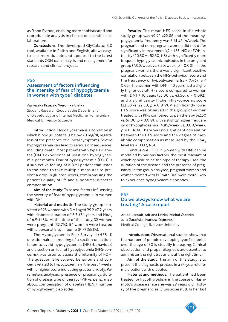as R and Python, enabling more sophisticated and reproducible analysis in clinical or scientific collaborations.

Conclusions: The developed GlyCulator 3.0 tool, available in Polish and English, allows easyto-use, reproducible and updated to the latest standards CGM data analysis and management for research and clinical projects.

### PS6

## Assessment of factors influencing the intensity of fear of hypoglycaemia in women with type 1 diabetes

#### Agnieszka Przezak, Weronika Bielka

Student Research Group at the Department of Diabetology and Internal Medicine, Pomeranian Medical University, Szczecin

Introduction: Hypoglycaemia is a condition in which blood glucose falls below 70 mg/dl, regardless of the presence of clinical symptoms. Severe hypoglycaemia can lead to serious consequences, including death. Most patients with type 1 diabetes (DM1) experience at least one hypoglycaemia per month. Fear of hypoglycaemia (FOH) is a subjective feeling of a DM1 patient that leads to the need to take multiple measures to prevent a drop in glucose levels, compromising the patient's quality of life and suboptimal diabetes compensation.

Aim of the study: To assess factors influencing the severity of fear of hypoglycaemia in women with DM1.

Material and methods: The study group consisted of 98 women with DM1 aged 29.2 ±7.2 years, with diabetes duration of 13.7  $\pm$ 8.1 years and HbA<sub>1c</sub> of 6.9 ±1.3%. At the time of the study, 32 women were pregnant (32.7%). 54 women were treated with a personal insulin pump (PIP) (55.1%).

The Hypoglycaemia Fear Survey-II (HFS-II) questionnaire, consisting of a section on actions taken to avoid hypoglycaemia (HFS-behaviour) and a section on fear of hypoglycaemia (HFS-concerns), was used to assess the intensity of FOH. The questionnaire covered behaviours and concerns related to hypoglycaemia in the past 4 weeks, with a higher score indicating greater anxiety. Parameters analysed: presence of pregnancy, duration of disease, type of therapy (PIP vs. pens), metabolic compensation of diabetes (HbA<sub>1</sub>), number of hypoglycaemic episodes.

Results: The mean HFS score in the whole study group was 49.94 ±22.86 and the mean hypoglycaemia frequency was 5.61 ±6.14/week. The pregnant and non-pregnant women did not differ significantly in treatment ( $\chi$ 2 = 1.33, NS) or FOH intensity (40.50 vs. 52.50, NS) with significantly more frequent hypoglycaemic episodes in the pregnant group (7.00/week vs. 3.50/week, *p* = 0.001). In the pregnant women, there was a significant positive correlation between the HFS-behaviour score and the frequency of hypoglycaemia (rs = 0.467, *p* < 0.05). The women with DM1 < 10 years had a slightly higher overall HFS score compared to women with DM1 ≥ 10 years (55.00 vs. 43.50, *p* = 0.092), and a significantly higher HFS-concerns score (32.50 vs. 22.50, *p* = 0.019). A significantly lower HFS score was observed in the group of women treated with PIPs compared to pen therapy (42.50 vs. 57.00,  $p = 0.018$ ), with a slightly higher frequency of hypoglycaemia (4.85/week vs. 3.00/week, *p* = 0.064). There was no significant correlation between the HFS score and the degree of metabolic compensation as measured by the  $HbA<sub>1c</sub>$ level (rs = 0.132, NS).

Conclusions: FOH in women with DM1 can be modified by various factors, the most relevant of which appear to be the type of therapy used, the duration of the disease and the presence of pregnancy. In the group analysed, pregnant women and women treated with PIP with DM1 were more likely to experience hypoglycaemic episodes.

## PS7 Do we always know what we are treating? A case report

ArkadiuszAab, Adriana Liszka, Michał Oleszko, Julia Zarańska, Mariusz Dąbrowski Medical College, Rzeszow University

Introduction: Observational studies show that the number of people developing type 1 diabetes over the age of 30 is steadily increasing. Clinical observation and proper diagnosis are essential to administer the right treatment at the right time.

Aim of the study: The aim of this study is to present the diagnostic process in a 34-year-old female patient with diabetes.

Material and methods: The patient had been treated for hypothyroidism in the course of Hashimoto's disease since she was 29 years old. History of five pregnancies (3 unsuccessful). In her last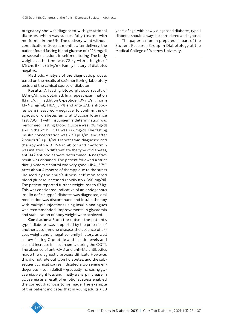pregnancy she was diagnosed with gestational diabetes, which was successfully treated with metformin in the UK. The delivery went without complications. Several months after delivery, the patient found fasting blood glucose of ≥ 126 mg/dl on several occasions in self-monitoring. The body weight at the time was 72 kg with a height of 175 cm, BMI 23.5 kg/m<sup>2</sup>. Family history of diabetes negative.

Methods: Analysis of the diagnostic process based on the results of self-monitoring, laboratory tests and the clinical course of diabetes.

Results: A fasting blood glucose result of 133 mg/dl was obtained. In a repeat examination 113 mg/dl, in addition C-peptide 1.09 ng/ml (norm 1.1–4.2 ng/ml),  $HbA<sub>1c</sub>$  5.7% and anti-GAD antibodies were measured – negative. To confirm the diagnosis of diabetes, an Oral Glucose Tolerance Test (OGTT) with insulinaemia determination was performed. Fasting blood glucose was 108 mg/dl and in the 2<sup>nd</sup> h OGTT was 222 mg/dl. The fasting insulin concentration was 2.70 µIU/ml and after 2 hour's 8.30 µIU/ml. Diabetes was diagnosed and therapy with a DPP-4 inhibitor and metformin was initiated. To differentiate the type of diabetes, anti-IA2 antibodies were determined. A negative result was obtained. The patient followed a strict diet, glycaemic control was very good, HbA<sub>1</sub>, 5.7%. After about 4 months of therapy, due to the stress induced by the child's illness, self-monitored blood glucose increased rapidly (to > 360 mg/dl). The patient reported further weight loss to 63 kg. This was considered indicative of an endogenous insulin deficit, type 1 diabetes was diagnosed, oral medication was discontinued and insulin therapy with multiple injections using insulin analogues was recommended. Improvements in glycaemia and stabilisation of body weight were achieved.

Conclusions: From the outset, the patient's type 1 diabetes was supported by the presence of another autoimmune disease, the absence of excess weight and a negative family history, as well as low fasting C-peptide and insulin levels and a small increase in insulinaemia during the OGTT. The absence of anti-GAD and anti-IA2 antibodies made the diagnostic process difficult. However, this did not rule out type 1 diabetes, and the subsequent clinical course indicated a worsening endogenous insulin deficit – gradually increasing glycaemia, weight loss and finally a sharp increase in glycaemia as a result of emotional stress enabled the correct diagnosis to be made. The example of this patient indicates that in young adults > 30



The paper has been prepared as part of the Student Research Group in Diabetology at the Medical College of Rzeszow University.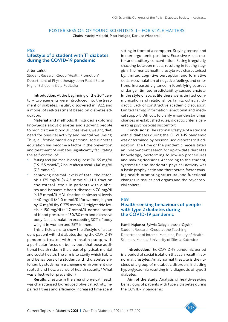## POSTER SESSION OF YOUNG SCIENTISTS II – FOR STYLE MATTERS

Chairs: Maciej Małecki, Piotr Molęda, Dariusz Włodarek

### PS8

# Lifestyle of a student with T1 diabetes during the COVID-19 pandemic

#### Artur Lański

Student Research Group "Health Promotion" Department of Physiotherapy, John Paul II State Higher School in Biala Podlaska

Introduction: At the beginning of the  $20<sup>th</sup>$  century, two elements were introduced into the treatment of diabetes, insulin, discovered in 1922, and a model of self-treatment based on diabetes education.

Material and methods: It included exploring knowledge about diabetes and allowing people to monitor their blood glucose levels, weight, diet, need for physical activity and mental wellbeing. Thus, a lifestyle based on personalised diabetes education has become a factor in the prevention and treatment of diabetes, significantly facilitating the self-control of:

- fasting and pre-meal blood glucose: 70–99 mg/dl (3.9–5.5 mmol/l), 2 hours after a meal: < 140 mg/dl (7.8 mmol/l);
- achieving optimal levels of total cholesterol: < 175 mg/dl (< 4.5 mmol/l), LDL fraction cholesterol levels in patients with diabetes and ischaemic heart disease: < 70 mg/dl (< 1.9 mmol/l), HDL fraction cholesterol levels: > 40 mg/dl (> 1.0 mmol/l) [for women, higher by 10 mg/dl (by 0.275 mmol/l)], triglyceride levels: < 150 mg/dl (< 1.7 mmol/l), normalisation of blood pressure: < 130/80 mm and excessive body fat accumulation exceeding 30% of body weight in women and 25% in men.

This article aims to show the lifestyle of a student patient with tl diabetes during the COVID-19 pandemic treated with an insulin pump, with a particular focus on behaviours that pose additional health risks in the areas of physical, mental and social health. The aim is to clarify which habits and behaviours of a student with t1 diabetes enforced by studying in a changing environment disrupted, and how, a sense of health security? What was effective for prevention?

Results: Lifestyle in the area of physical health was characterised by: reduced physical activity, impaired fitness and efficiency. Increased time spent sitting in front of a computer. Staying tensed and in non-ergonomic positions. Excessive visual-motor and auditory concentration. Eating irregularly, snacking between meals, resulting in feeling sluggish. The mental health lifestyle was characterised by: limited cognitive perception and formative skills. Accumulation of negative feelings and emotions. Increased vigilance in identifying sources of danger, limited predictability caused anxiety. In the style of social life there were: limited communication and relationships: family, collegial, didactic. Lack of constructive academic discussion. Limited family, information, emotional and medical support. Difficult to clarify misunderstandings, changes in established rules, didactic criteria generating psychosocial discomfort.

Conclusions: The rational lifestyle of a student with t1 diabetes during the COVID-19 pandemic was determined by personalised diabetes self-education. The time of the pandemic necessitated an independent search for up-to-date diabetes knowledge, performing follow-up procedures and making decisions. According to the student, systematic and moderate physical activity was a basic prophylactic and therapeutic factor causing health-promoting structural and functional changes in tissues and organs and the psychosocial sphere.

### PS9

## Health-seeking behaviours of people with type 2 diabetes during the COVID-19 pandemic

#### Kamil Mąkosza, Sylwia Dzięgielewska-Gęsiak

Student Research Group at the Teaching Department of Internal Medicine, Faculty of Health Sciences, Medical University of Silesia, Katowice

Introduction: The COVID-19 pandemic period is a period of social isolation that can result in abnormal lifestyles. An abnormal lifestyle is the nucleus of a group of metabolic disorders, including hyperglycaemia resulting in a diagnosis of type 2 diabetes.

Aim of the study: Analysis of health-seeking behaviours of patients with type 2 diabetes during the COVID-19 pandemic.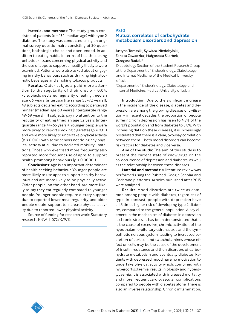Material and methods: The study group consisted of patients (*n* = 134, median age) with type 2 diabetes. The study was conducted using an original survey questionnaire consisting of 30 questions, both single-choice and open-ended. In addition to eating habits in terms of health-seeking behaviour, issues concerning physical activity and the use of apps to support a healthy lifestyle were examined. Patients were also asked about engaging in risky behaviours such as drinking high alcoholic beverages and smoking tobacco products.

Results: Older subjects paid more attention to the regularity of their diet  $p = 0.04$ : 75 subjects declared regularity of eating (median age 66 years [interquartile range 55–72 years]), 48 subjects declared eating according to perceived hunger (median age 60 years [interquartile range 49-69 years]), 11 subjects pay no attention to the regularity of eating (median age 52 years (interquartile range 47–65 years)). Younger people were more likely to report smoking cigarettes (*p* = 0.01) and were more likely to undertake physical activity (*p* < 0.001), with some seniors not doing any physical activity at all due to declared mobility limitations. Those who exercised more frequently also reported more frequent use of apps to support health-promoting behaviours (*p* < 0.00001).

Conclusions: Age is an important determinant of health-seeking behaviour. Younger people are more likely to use apps to support healthy behaviours and are more likely to be physically active. Older people, on the other hand, are more likely to say they eat regularly compared to younger people. Younger people require dietary support due to reported lower meal regularity, and older people require support to increase physical activity due to reported lower physical activity.

Source of funding for research work: Statutory research: KNW-1-072/K/9/K.

## PS10 Mutual correlates of carbohydrate metabolism disorders and depression

### Justyna Tomasik<sup>i</sup>, Sylwiusz Niedobylski<sup>i</sup>, Zaneta Zawadzka<sup>1</sup>, Małgorzata Skarbek<sup>1</sup>, Grzegorz Rudzki2

1 Diabetology Section of the Student Research Group at the Department of Endocrinology, Diabetology and Internal Medicine of the Medical University of Lublin

2 Department of Endocrinology, Diabetology and Internal Medicine, Medical University of Lublin

Introduction: Due to the significant increase in the incidence of the disease, diabetes and depression are among the growing diseases of civilisation – in recent decades, the proportion of people suffering from depression has risen to 4.3% of the world's population and from diabetes to 8.8%. With increasing data on these diseases, it is increasingly postulated that there is a clear, two-way correlation between them – both mood disorders can become risk factors for diabetes and vice versa.

Aim of the study: The aim of this study is to present the current state of knowledge on the co-occurrence of depression and diabetes, as well as the relationship between these diseases.

Material and methods: A literature review was performed using the PubMed, Google Scholar and Cochrane platforms. Articles published after 2015 were analysed.

Results: Mood disorders are twice as common among people with diabetes, regardless of type. In contrast, people with depression have a 1.5 times higher risk of developing type 2 diabetes, compared to the general population. A key element in the mechanism of diabetes in depression is chronic stress. It has been demonstrated that it is the cause of excessive, chronic activation of the hypothalamic-pituitary-adrenal axis and the sympathetic nervous system, leading to increased secretion of cortisol and catecholamines whose effect on cells may be the cause of the development of insulin resistance and then disorders of carbohydrate metabolism and eventually diabetes. Patients with depressed mood have no motivation to undertake physical activity which, combined with hypercortisolaemia, results in obesity and hyperglycaemia. It is associated with increased mortality and more frequent cardiovascular complications compared to people with diabetes alone. There is also an inverse relationship. Chronic inflammation,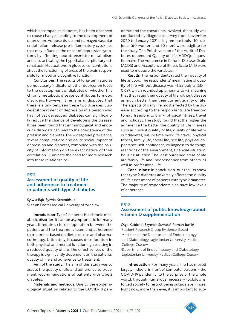which accompanies diabetes, has been observed to cause changes leading to the development of depression. Adipose tissue and damaged vascular endothelium release pro-inflammatory cytokines that may influence the onset of depressive symptoms by affecting neurotransmitter metabolism and also activating the hypothalamic-pituitary-adrenal axis. Fluctuations in glucose concentrations affect the functioning of areas of the brain responsible for mood and cognitive function.

Conclusions: The results of long-term studies do not clearly indicate whether depression leads to the development of diabetes or whether this chronic metabolic disease contributes to mood disorders. However, it remains undisputed that there is a link between these two diseases. Successful treatment of depression in a person who has not yet developed diabetes can significantly reduce the chance of developing the disease. It has been found that immunological and endocrine disorders can lead to the coexistence of depression and diabetes. The widespread prevalence, severe complications and acute social impact of depression and diabetes, combined with the paucity of information on the exact nature of their correlation, illuminate the need for more research into these relationships.

### PS11

## Assessment of quality of life and adherence to treatment in patients with type 2 diabetes

Sylwia Bąk, Sylwia Krzemińska Silesian Piasts Medical University of Wroclaw

Introduction: Type 2 diabetes is a chronic metabolic disorder. It can be asymptomatic for many years. It requires close cooperation between the patient and the treatment team and adherence to treatment based on diet, exercise and pharmacotherapy. Ultimately, it causes deterioration in both physical and mental functioning, resulting in a reduced quality of life. The effectiveness of the therapy is significantly dependent on the patients' quality of life and adherence to treatment.

Aim of the study: The aim of this study was to assess the quality of life and adherence to treatment recommendations of patients with type 2 diabetes.

Materials and methods: Due to the epidemiological situation related to the COVID-19 pandemic and the constraints involved, the study was conducted by diagnostic survey from November 2020 to January 2021 using remote tools. 110 subjects (60 women and 50 men) were eligible for the study. The Polish version of the Audit of Diabetes-dependent Quality of Life (ADDQoL) questionnaire, The Adherence in Chronic Diseases Scale (ACDS) and Acceptance of Illness Scale (AIS) were used to measure the variables.

Results: The respondents rated their quality of life as good. The respondents' mean rating of quality of life without disease was –1.55 points (SD = 0.69), which rounded up amounts to –2, meaning that they rated their quality of life without disease as much better than their current quality of life. The aspects of daily life most affected by the disease, according to the respondents, are freedom to eat, freedom to drink, physical fitness, travel and holidays. The study found that the higher the adherence the better the quality of life in areas such as current quality of life, quality of life without diabetes, leisure time, work life, travel, physical fitness, family life, social life, sex life, physical appearance, self-confidence, willingness to do things, reactions of the environment, financial situation, housing situation. The least burdened areas of life are family life and independence from others, as well as professional life.

Conclusions: In conclusion, our results show that type 2 diabetes adversely affects the quality of life assessment of patients with type 2 diabetes. The majority of respondents also have low levels of adherence.

### PS12

## Assessment of public knowledge about vitamin D supplementation

Olga Kubicka<sup>i</sup>, Szymon Suwała<sup>2</sup>, Roman Junik<sup>2</sup> 1 Student Research Group Evidence-Based Medicine at the Department of Endocrinology and Diabetology, Jagiellonian University Medical College, Cracow

2 Department of Endocrinology and Diabetology, Jagiellonian University Medical College, Cracow

Introduction: For many years, life has moved largely indoors, in front of computer screens – the COVID-19 pandemic, to the surprise of the whole world, through numerous necessary lockdowns, forced society to restrict being outside even more. Right now, more than ever, it is important to sup-

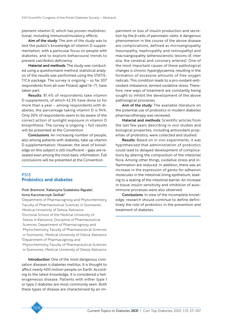plement vitamin D, which has proven multidirectional, including immunostimulatory, effects.

Aim of the study: The aim of the study was to test the public's knowledge of vitamin D supplementation, with a particular focus on people with diabetes, and to explore behavioural trends to prevent calcifediol deficiency.

Material and methods: The study was conducted using a questionnaire method, statistical analysis of the results was performed using the STATIS-TICA package. The survey is ongoing – so far 307 respondents from all over Poland, aged 16–71, have taken part.

Results: 81.4% of respondents take vitamin D supplements, of which 42.3% have done so for more than a year – among respondents with diabetes, the percentage taking vitamin D is 94%. Only 30% of respondents seem to be aware of the correct action of sunlight exposure in vitamin D biosynthesis. The survey is ongoing – full results will be presented at the Convention.

Conclusions: An increasing number of people, also among patients with diabetes, take up vitamin D supplementation. However, the level of knowledge on this subject is still insufficient – gaps are revealed even among the most basic information. Full conclusions will be presented at the Convention.

## PS13 Probiotics and diabetes

### Piotr Bramora<sup>1</sup>, Katarzyna Szałabska-Rąpała<sup>2</sup>, Ilona Kaczmarczyk-Sedlak3

1 Department of Pharmacognosy and Phytochemistry, Faculty of Pharmaceutical Sciences in Sosnowiec, Medical University of Silesia, Katowice 2 Doctoral School of the Medical University of Silesia in Katowice, Discipline of Pharmaceutical Sciences, Department of Pharmacognosy and Phytochemistry, Faculty of Pharmaceutical Sciences in Sosnowiec, Medical University of Silesia, Katowice 3 Department of Pharmacognosy and

Phytochemistry, Faculty of Pharmaceutical Sciences in Sosnowiec, Medical University of Silesia, Katowice

Introduction: One of the most dangerous civilisation diseases is diabetes mellitus. It is thought to affect nearly 400 million people on Earth. According to the latest knowledge, it is considered a heterogeneous disease. Patients with either type 1 or type 2 diabetes are most commonly seen. Both these types of disease are characterised by an im-



Aim of the study: The available literature on the potential use of probiotics in modern diabetes pharmacotherapy was reviewed.

Material and methods: Scientific articles from the last few years describing in vivo studies and biological properties, including antioxidant properties of probiotics, were collected and studied.

Results: Based on in vivo experiments, it was hypothesised that administration of probiotics could lead to delayed development of complications by altering the composition of the intestinal flora. Among other things, oxidative stress and inflammation are reduced. In addition, there was an increase in the expression of genes for adhesion molecules in the intestinal lining epithelium, leading to a sealing of the intestinal barrier. An increase in tissue insulin sensitivity and inhibition of autoimmune processes were also observed.

Conclusions: In view of the incomplete knowledge, research should continue to define definitively the role of probiotics in the prevention and treatment of diabetes.